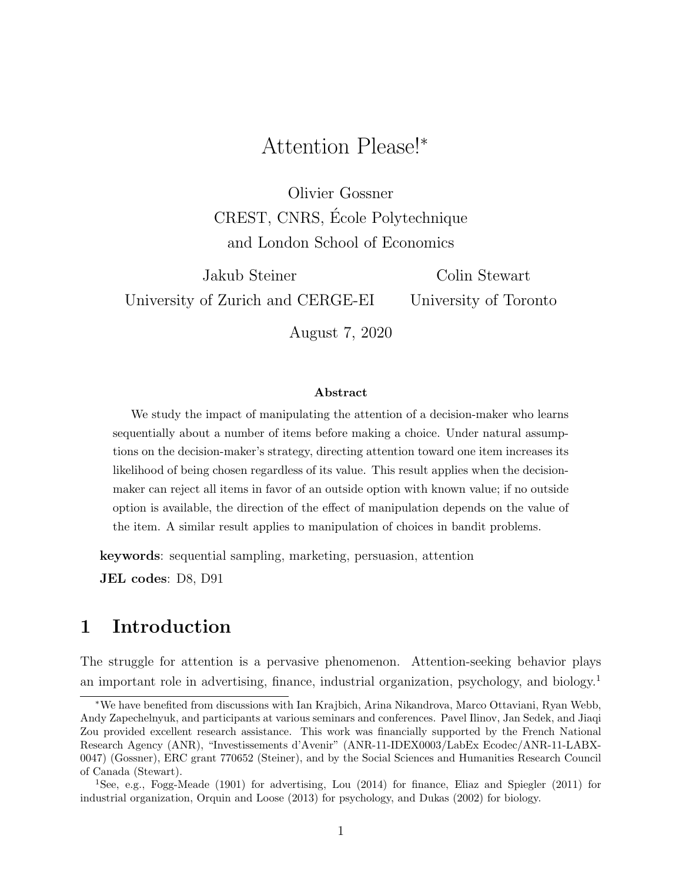# Attention Please!<sup>∗</sup>

Olivier Gossner CREST, CNRS, Ecole Polytechnique ´ and London School of Economics

Jakub Steiner University of Zurich and CERGE-EI Colin Stewart University of Toronto August 7, 2020

#### Abstract

We study the impact of manipulating the attention of a decision-maker who learns sequentially about a number of items before making a choice. Under natural assumptions on the decision-maker's strategy, directing attention toward one item increases its likelihood of being chosen regardless of its value. This result applies when the decisionmaker can reject all items in favor of an outside option with known value; if no outside option is available, the direction of the effect of manipulation depends on the value of the item. A similar result applies to manipulation of choices in bandit problems.

keywords: sequential sampling, marketing, persuasion, attention JEL codes: D8, D91

### 1 Introduction

The struggle for attention is a pervasive phenomenon. Attention-seeking behavior plays an important role in advertising, finance, industrial organization, psychology, and biology.[1](#page-0-0)

<sup>∗</sup>We have benefited from discussions with Ian Krajbich, Arina Nikandrova, Marco Ottaviani, Ryan Webb, Andy Zapechelnyuk, and participants at various seminars and conferences. Pavel Ilinov, Jan Sedek, and Jiaqi Zou provided excellent research assistance. This work was financially supported by the French National Research Agency (ANR), "Investissements d'Avenir" (ANR-11-IDEX0003/LabEx Ecodec/ANR-11-LABX-0047) (Gossner), ERC grant 770652 (Steiner), and by the Social Sciences and Humanities Research Council of Canada (Stewart).

<span id="page-0-0"></span><sup>1</sup>See, e.g., [Fogg-Meade](#page-31-0) [\(1901\)](#page-31-0) for advertising, [Lou](#page-32-0) [\(2014\)](#page-32-0) for finance, [Eliaz and Spiegler](#page-31-1) [\(2011\)](#page-31-1) for industrial organization, [Orquin and Loose](#page-32-1) [\(2013\)](#page-32-1) for psychology, and [Dukas](#page-31-2) [\(2002\)](#page-31-2) for biology.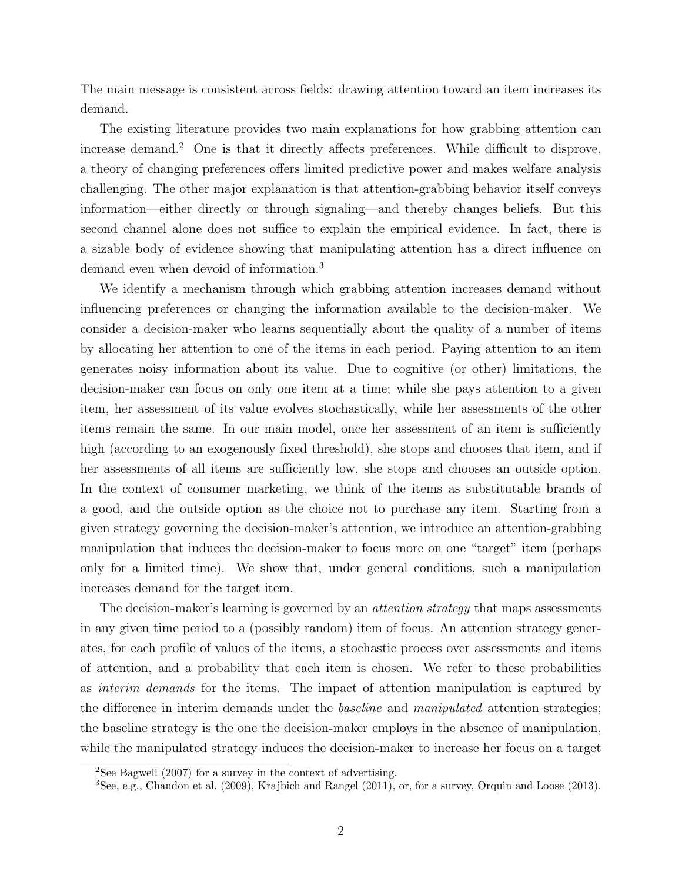The main message is consistent across fields: drawing attention toward an item increases its demand.

The existing literature provides two main explanations for how grabbing attention can increase demand.[2](#page-1-0) One is that it directly affects preferences. While difficult to disprove, a theory of changing preferences offers limited predictive power and makes welfare analysis challenging. The other major explanation is that attention-grabbing behavior itself conveys information—either directly or through signaling—and thereby changes beliefs. But this second channel alone does not suffice to explain the empirical evidence. In fact, there is a sizable body of evidence showing that manipulating attention has a direct influence on demand even when devoid of information.[3](#page-1-1)

We identify a mechanism through which grabbing attention increases demand without influencing preferences or changing the information available to the decision-maker. We consider a decision-maker who learns sequentially about the quality of a number of items by allocating her attention to one of the items in each period. Paying attention to an item generates noisy information about its value. Due to cognitive (or other) limitations, the decision-maker can focus on only one item at a time; while she pays attention to a given item, her assessment of its value evolves stochastically, while her assessments of the other items remain the same. In our main model, once her assessment of an item is sufficiently high (according to an exogenously fixed threshold), she stops and chooses that item, and if her assessments of all items are sufficiently low, she stops and chooses an outside option. In the context of consumer marketing, we think of the items as substitutable brands of a good, and the outside option as the choice not to purchase any item. Starting from a given strategy governing the decision-maker's attention, we introduce an attention-grabbing manipulation that induces the decision-maker to focus more on one "target" item (perhaps only for a limited time). We show that, under general conditions, such a manipulation increases demand for the target item.

The decision-maker's learning is governed by an *attention strategy* that maps assessments in any given time period to a (possibly random) item of focus. An attention strategy generates, for each profile of values of the items, a stochastic process over assessments and items of attention, and a probability that each item is chosen. We refer to these probabilities as interim demands for the items. The impact of attention manipulation is captured by the difference in interim demands under the *baseline* and *manipulated* attention strategies; the baseline strategy is the one the decision-maker employs in the absence of manipulation, while the manipulated strategy induces the decision-maker to increase her focus on a target

<span id="page-1-0"></span><sup>&</sup>lt;sup>2</sup>See [Bagwell](#page-30-0) [\(2007\)](#page-30-0) for a survey in the context of advertising.

<span id="page-1-1"></span> ${}^{3}$ See, e.g., [Chandon et al.](#page-30-1) [\(2009\)](#page-30-1), [Krajbich and Rangel](#page-32-2) [\(2011\)](#page-32-2), or, for a survey, [Orquin and Loose](#page-32-1) [\(2013\)](#page-32-1).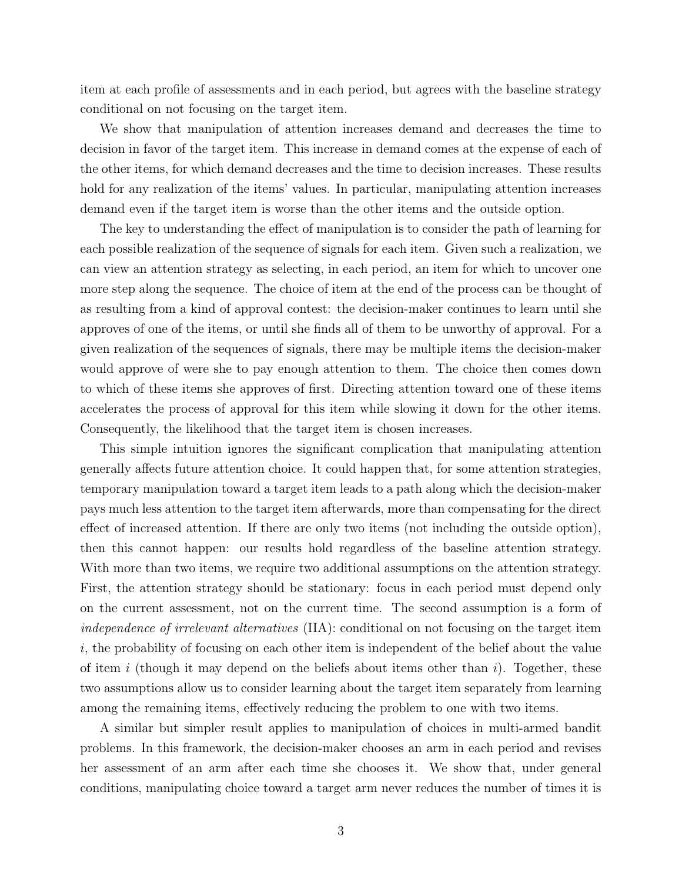item at each profile of assessments and in each period, but agrees with the baseline strategy conditional on not focusing on the target item.

We show that manipulation of attention increases demand and decreases the time to decision in favor of the target item. This increase in demand comes at the expense of each of the other items, for which demand decreases and the time to decision increases. These results hold for any realization of the items' values. In particular, manipulating attention increases demand even if the target item is worse than the other items and the outside option.

The key to understanding the effect of manipulation is to consider the path of learning for each possible realization of the sequence of signals for each item. Given such a realization, we can view an attention strategy as selecting, in each period, an item for which to uncover one more step along the sequence. The choice of item at the end of the process can be thought of as resulting from a kind of approval contest: the decision-maker continues to learn until she approves of one of the items, or until she finds all of them to be unworthy of approval. For a given realization of the sequences of signals, there may be multiple items the decision-maker would approve of were she to pay enough attention to them. The choice then comes down to which of these items she approves of first. Directing attention toward one of these items accelerates the process of approval for this item while slowing it down for the other items. Consequently, the likelihood that the target item is chosen increases.

This simple intuition ignores the significant complication that manipulating attention generally affects future attention choice. It could happen that, for some attention strategies, temporary manipulation toward a target item leads to a path along which the decision-maker pays much less attention to the target item afterwards, more than compensating for the direct effect of increased attention. If there are only two items (not including the outside option), then this cannot happen: our results hold regardless of the baseline attention strategy. With more than two items, we require two additional assumptions on the attention strategy. First, the attention strategy should be stationary: focus in each period must depend only on the current assessment, not on the current time. The second assumption is a form of independence of irrelevant alternatives (IIA): conditional on not focusing on the target item  $i$ , the probability of focusing on each other item is independent of the belief about the value of item i (though it may depend on the beliefs about items other than i). Together, these two assumptions allow us to consider learning about the target item separately from learning among the remaining items, effectively reducing the problem to one with two items.

A similar but simpler result applies to manipulation of choices in multi-armed bandit problems. In this framework, the decision-maker chooses an arm in each period and revises her assessment of an arm after each time she chooses it. We show that, under general conditions, manipulating choice toward a target arm never reduces the number of times it is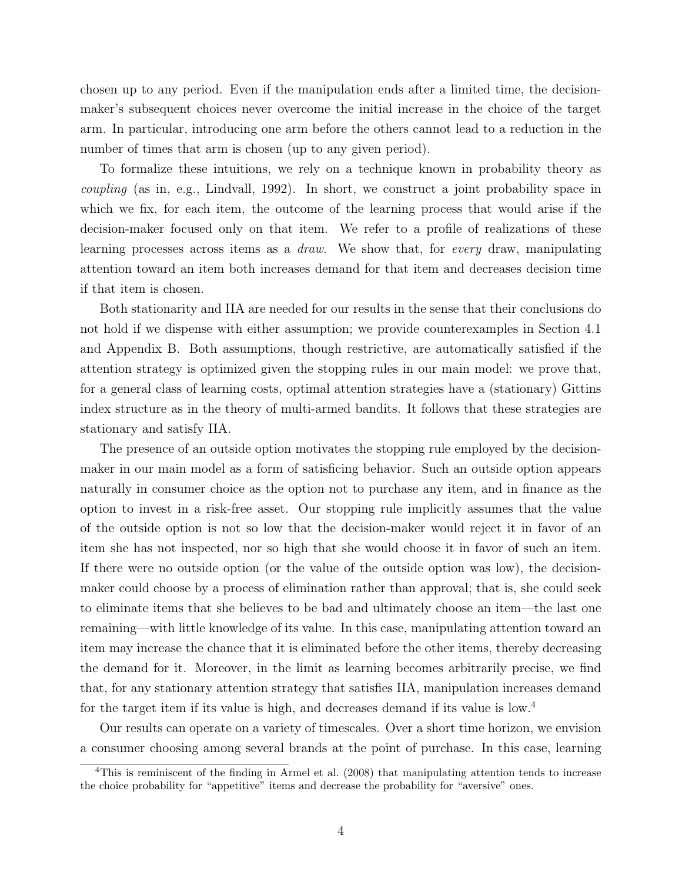chosen up to any period. Even if the manipulation ends after a limited time, the decisionmaker's subsequent choices never overcome the initial increase in the choice of the target arm. In particular, introducing one arm before the others cannot lead to a reduction in the number of times that arm is chosen (up to any given period).

To formalize these intuitions, we rely on a technique known in probability theory as coupling (as in, e.g., [Lindvall,](#page-32-3) [1992\)](#page-32-3). In short, we construct a joint probability space in which we fix, for each item, the outcome of the learning process that would arise if the decision-maker focused only on that item. We refer to a profile of realizations of these learning processes across items as a draw. We show that, for every draw, manipulating attention toward an item both increases demand for that item and decreases decision time if that item is chosen.

Both stationarity and IIA are needed for our results in the sense that their conclusions do not hold if we dispense with either assumption; we provide counterexamples in [Section 4.1](#page-17-0) and [Appendix B.](#page-43-0) Both assumptions, though restrictive, are automatically satisfied if the attention strategy is optimized given the stopping rules in our main model: we prove that, for a general class of learning costs, optimal attention strategies have a (stationary) Gittins index structure as in the theory of multi-armed bandits. It follows that these strategies are stationary and satisfy IIA.

The presence of an outside option motivates the stopping rule employed by the decisionmaker in our main model as a form of satisficing behavior. Such an outside option appears naturally in consumer choice as the option not to purchase any item, and in finance as the option to invest in a risk-free asset. Our stopping rule implicitly assumes that the value of the outside option is not so low that the decision-maker would reject it in favor of an item she has not inspected, nor so high that she would choose it in favor of such an item. If there were no outside option (or the value of the outside option was low), the decisionmaker could choose by a process of elimination rather than approval; that is, she could seek to eliminate items that she believes to be bad and ultimately choose an item—the last one remaining—with little knowledge of its value. In this case, manipulating attention toward an item may increase the chance that it is eliminated before the other items, thereby decreasing the demand for it. Moreover, in the limit as learning becomes arbitrarily precise, we find that, for any stationary attention strategy that satisfies IIA, manipulation increases demand for the target item if its value is high, and decreases demand if its value is low.<sup>[4](#page-3-0)</sup>

Our results can operate on a variety of timescales. Over a short time horizon, we envision a consumer choosing among several brands at the point of purchase. In this case, learning

<span id="page-3-0"></span><sup>&</sup>lt;sup>4</sup>This is reminiscent of the finding in [Armel et al.](#page-30-2) [\(2008\)](#page-30-2) that manipulating attention tends to increase the choice probability for "appetitive" items and decrease the probability for "aversive" ones.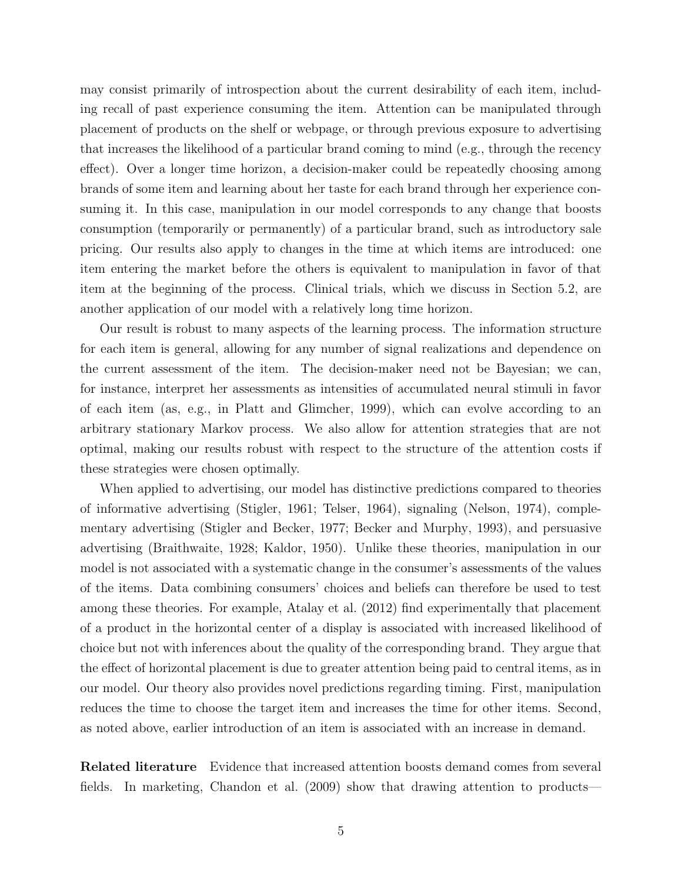may consist primarily of introspection about the current desirability of each item, including recall of past experience consuming the item. Attention can be manipulated through placement of products on the shelf or webpage, or through previous exposure to advertising that increases the likelihood of a particular brand coming to mind (e.g., through the recency effect). Over a longer time horizon, a decision-maker could be repeatedly choosing among brands of some item and learning about her taste for each brand through her experience consuming it. In this case, manipulation in our model corresponds to any change that boosts consumption (temporarily or permanently) of a particular brand, such as introductory sale pricing. Our results also apply to changes in the time at which items are introduced: one item entering the market before the others is equivalent to manipulation in favor of that item at the beginning of the process. Clinical trials, which we discuss in [Section 5.2,](#page-26-0) are another application of our model with a relatively long time horizon.

Our result is robust to many aspects of the learning process. The information structure for each item is general, allowing for any number of signal realizations and dependence on the current assessment of the item. The decision-maker need not be Bayesian; we can, for instance, interpret her assessments as intensities of accumulated neural stimuli in favor of each item (as, e.g., in [Platt and Glimcher,](#page-32-4) [1999\)](#page-32-4), which can evolve according to an arbitrary stationary Markov process. We also allow for attention strategies that are not optimal, making our results robust with respect to the structure of the attention costs if these strategies were chosen optimally.

When applied to advertising, our model has distinctive predictions compared to theories of informative advertising [\(Stigler,](#page-33-0) [1961;](#page-33-0) [Telser,](#page-33-1) [1964\)](#page-33-1), signaling [\(Nelson,](#page-32-5) [1974\)](#page-32-5), complementary advertising [\(Stigler and Becker,](#page-33-2) [1977;](#page-33-2) [Becker and Murphy,](#page-30-3) [1993\)](#page-30-3), and persuasive advertising [\(Braithwaite,](#page-30-4) [1928;](#page-30-4) [Kaldor,](#page-31-3) [1950\)](#page-31-3). Unlike these theories, manipulation in our model is not associated with a systematic change in the consumer's assessments of the values of the items. Data combining consumers' choices and beliefs can therefore be used to test among these theories. For example, [Atalay et al.](#page-30-5) [\(2012\)](#page-30-5) find experimentally that placement of a product in the horizontal center of a display is associated with increased likelihood of choice but not with inferences about the quality of the corresponding brand. They argue that the effect of horizontal placement is due to greater attention being paid to central items, as in our model. Our theory also provides novel predictions regarding timing. First, manipulation reduces the time to choose the target item and increases the time for other items. Second, as noted above, earlier introduction of an item is associated with an increase in demand.

Related literature Evidence that increased attention boosts demand comes from several fields. In marketing, [Chandon et al.](#page-30-1) [\(2009\)](#page-30-1) show that drawing attention to products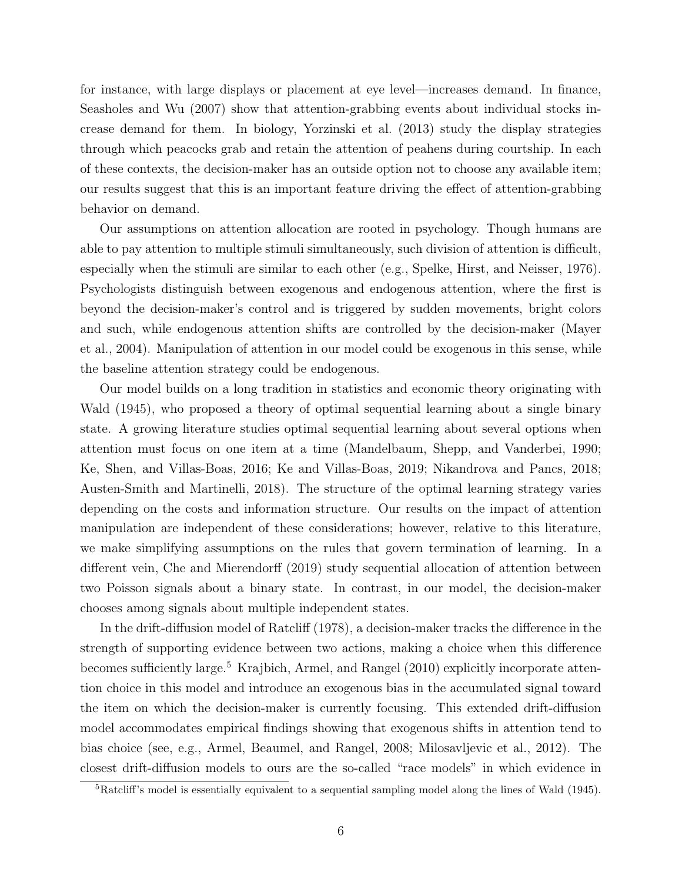for instance, with large displays or placement at eye level—increases demand. In finance, [Seasholes and Wu](#page-32-6) [\(2007\)](#page-32-6) show that attention-grabbing events about individual stocks increase demand for them. In biology, [Yorzinski et al.](#page-33-3) [\(2013\)](#page-33-3) study the display strategies through which peacocks grab and retain the attention of peahens during courtship. In each of these contexts, the decision-maker has an outside option not to choose any available item; our results suggest that this is an important feature driving the effect of attention-grabbing behavior on demand.

Our assumptions on attention allocation are rooted in psychology. Though humans are able to pay attention to multiple stimuli simultaneously, such division of attention is difficult, especially when the stimuli are similar to each other (e.g., [Spelke, Hirst, and Neisser,](#page-33-4) [1976\)](#page-33-4). Psychologists distinguish between exogenous and endogenous attention, where the first is beyond the decision-maker's control and is triggered by sudden movements, bright colors and such, while endogenous attention shifts are controlled by the decision-maker [\(Mayer](#page-32-7) [et al.,](#page-32-7) [2004\)](#page-32-7). Manipulation of attention in our model could be exogenous in this sense, while the baseline attention strategy could be endogenous.

Our model builds on a long tradition in statistics and economic theory originating with [Wald](#page-33-5) [\(1945\)](#page-33-5), who proposed a theory of optimal sequential learning about a single binary state. A growing literature studies optimal sequential learning about several options when attention must focus on one item at a time [\(Mandelbaum, Shepp, and Vanderbei,](#page-32-8) [1990;](#page-32-8) [Ke, Shen, and Villas-Boas,](#page-31-4) [2016;](#page-31-4) [Ke and Villas-Boas,](#page-31-5) [2019;](#page-31-5) [Nikandrova and Pancs,](#page-32-9) [2018;](#page-32-9) [Austen-Smith and Martinelli,](#page-30-6) [2018\)](#page-30-6). The structure of the optimal learning strategy varies depending on the costs and information structure. Our results on the impact of attention manipulation are independent of these considerations; however, relative to this literature, we make simplifying assumptions on the rules that govern termination of learning. In a different vein, [Che and Mierendorff](#page-31-6) [\(2019\)](#page-31-6) study sequential allocation of attention between two Poisson signals about a binary state. In contrast, in our model, the decision-maker chooses among signals about multiple independent states.

In the drift-diffusion model of [Ratcliff](#page-32-10) [\(1978\)](#page-32-10), a decision-maker tracks the difference in the strength of supporting evidence between two actions, making a choice when this difference becomes sufficiently large.<sup>[5](#page-5-0)</sup> [Krajbich, Armel, and Rangel](#page-31-7) [\(2010\)](#page-31-7) explicitly incorporate attention choice in this model and introduce an exogenous bias in the accumulated signal toward the item on which the decision-maker is currently focusing. This extended drift-diffusion model accommodates empirical findings showing that exogenous shifts in attention tend to bias choice (see, e.g., [Armel, Beaumel, and Rangel,](#page-30-2) [2008;](#page-30-2) [Milosavljevic et al.,](#page-32-11) [2012\)](#page-32-11). The closest drift-diffusion models to ours are the so-called "race models" in which evidence in

<span id="page-5-0"></span><sup>5</sup>Ratcliff's model is essentially equivalent to a sequential sampling model along the lines of [Wald](#page-33-5) [\(1945\)](#page-33-5).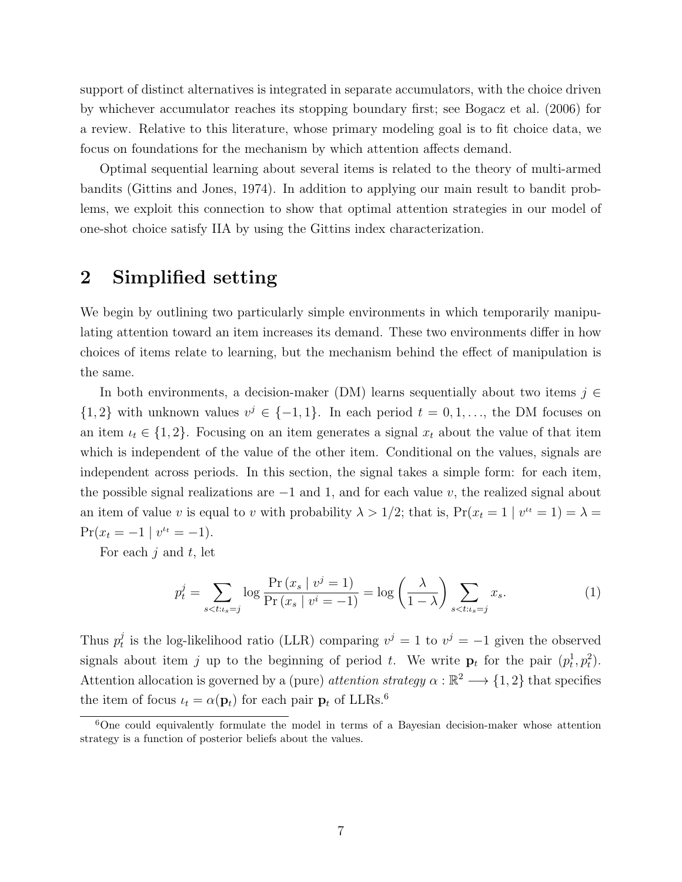support of distinct alternatives is integrated in separate accumulators, with the choice driven by whichever accumulator reaches its stopping boundary first; see [Bogacz et al.](#page-30-7) [\(2006\)](#page-30-7) for a review. Relative to this literature, whose primary modeling goal is to fit choice data, we focus on foundations for the mechanism by which attention affects demand.

Optimal sequential learning about several items is related to the theory of multi-armed bandits [\(Gittins and Jones,](#page-31-8) [1974\)](#page-31-8). In addition to applying our main result to bandit problems, we exploit this connection to show that optimal attention strategies in our model of one-shot choice satisfy IIA by using the Gittins index characterization.

# <span id="page-6-1"></span>2 Simplified setting

We begin by outlining two particularly simple environments in which temporarily manipulating attention toward an item increases its demand. These two environments differ in how choices of items relate to learning, but the mechanism behind the effect of manipulation is the same.

In both environments, a decision-maker (DM) learns sequentially about two items  $j \in$  $\{1,2\}$  with unknown values  $v^j \in \{-1,1\}$ . In each period  $t = 0,1,...$ , the DM focuses on an item  $\iota_t \in \{1,2\}$ . Focusing on an item generates a signal  $x_t$  about the value of that item which is independent of the value of the other item. Conditional on the values, signals are independent across periods. In this section, the signal takes a simple form: for each item, the possible signal realizations are  $-1$  and 1, and for each value v, the realized signal about an item of value v is equal to v with probability  $\lambda > 1/2$ ; that is,  $Pr(x_t = 1 | v^{t_t} = 1) = \lambda$  $Pr(x_t = -1 | v^{t_t} = -1).$ 

For each  $j$  and  $t$ , let

$$
p_t^j = \sum_{s < t : t_s = j} \log \frac{\Pr(x_s \mid v^j = 1)}{\Pr(x_s \mid v^i = -1)} = \log \left(\frac{\lambda}{1 - \lambda}\right) \sum_{s < t : t_s = j} x_s. \tag{1}
$$

Thus  $p_t^j$  $t_i^j$  is the log-likelihood ratio (LLR) comparing  $v^j = 1$  to  $v^j = -1$  given the observed signals about item j up to the beginning of period t. We write  $\mathbf{p}_t$  for the pair  $(p_t^1, p_t^2)$ . Attention allocation is governed by a (pure) *attention strategy*  $\alpha : \mathbb{R}^2 \longrightarrow \{1,2\}$  that specifies the item of focus  $u_t = \alpha(\mathbf{p}_t)$  for each pair  $\mathbf{p}_t$  of LLRs.<sup>[6](#page-6-0)</sup>

<span id="page-6-0"></span><sup>6</sup>One could equivalently formulate the model in terms of a Bayesian decision-maker whose attention strategy is a function of posterior beliefs about the values.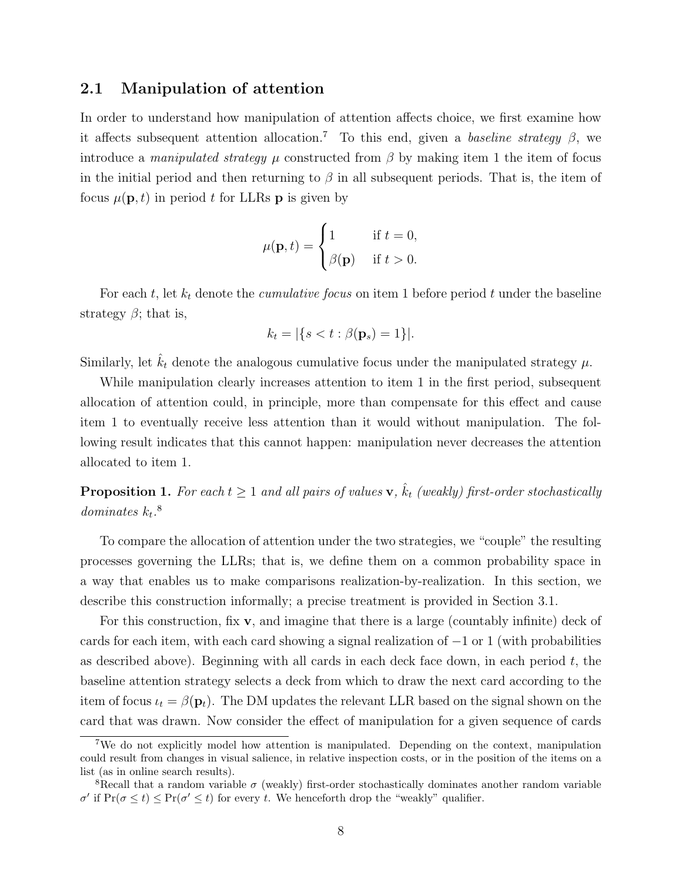#### <span id="page-7-3"></span>2.1 Manipulation of attention

In order to understand how manipulation of attention affects choice, we first examine how it affects subsequent attention allocation.<sup>[7](#page-7-0)</sup> To this end, given a baseline strategy  $\beta$ , we introduce a *manipulated strategy*  $\mu$  constructed from  $\beta$  by making item 1 the item of focus in the initial period and then returning to  $\beta$  in all subsequent periods. That is, the item of focus  $\mu(\mathbf{p}, t)$  in period t for LLRs **p** is given by

$$
\mu(\mathbf{p}, t) = \begin{cases} 1 & \text{if } t = 0, \\ \beta(\mathbf{p}) & \text{if } t > 0. \end{cases}
$$

For each t, let  $k_t$  denote the *cumulative focus* on item 1 before period t under the baseline strategy  $\beta$ ; that is,

$$
k_t = |\{s < t : \beta(\mathbf{p}_s) = 1\}|.
$$

Similarly, let  $\hat{k}_t$  denote the analogous cumulative focus under the manipulated strategy  $\mu$ .

While manipulation clearly increases attention to item 1 in the first period, subsequent allocation of attention could, in principle, more than compensate for this effect and cause item 1 to eventually receive less attention than it would without manipulation. The following result indicates that this cannot happen: manipulation never decreases the attention allocated to item 1.

<span id="page-7-2"></span>**Proposition 1.** For each  $t \geq 1$  and all pairs of values  $\mathbf{v}$ ,  $\hat{k}_t$  (weakly) first-order stochastically dominates  $k_t$ .<sup>[8](#page-7-1)</sup>

To compare the allocation of attention under the two strategies, we "couple" the resulting processes governing the LLRs; that is, we define them on a common probability space in a way that enables us to make comparisons realization-by-realization. In this section, we describe this construction informally; a precise treatment is provided in [Section 3.1.](#page-14-0)

For this construction, fix  $\bf{v}$ , and imagine that there is a large (countably infinite) deck of cards for each item, with each card showing a signal realization of  $-1$  or 1 (with probabilities as described above). Beginning with all cards in each deck face down, in each period  $t$ , the baseline attention strategy selects a deck from which to draw the next card according to the item of focus  $u_t = \beta(\mathbf{p}_t)$ . The DM updates the relevant LLR based on the signal shown on the card that was drawn. Now consider the effect of manipulation for a given sequence of cards

<span id="page-7-0"></span><sup>7</sup>We do not explicitly model how attention is manipulated. Depending on the context, manipulation could result from changes in visual salience, in relative inspection costs, or in the position of the items on a list (as in online search results).

<span id="page-7-1"></span><sup>&</sup>lt;sup>8</sup>Recall that a random variable  $\sigma$  (weakly) first-order stochastically dominates another random variable  $\sigma'$  if Pr( $\sigma \le t$ )  $\le$  Pr( $\sigma' \le t$ ) for every t. We henceforth drop the "weakly" qualifier.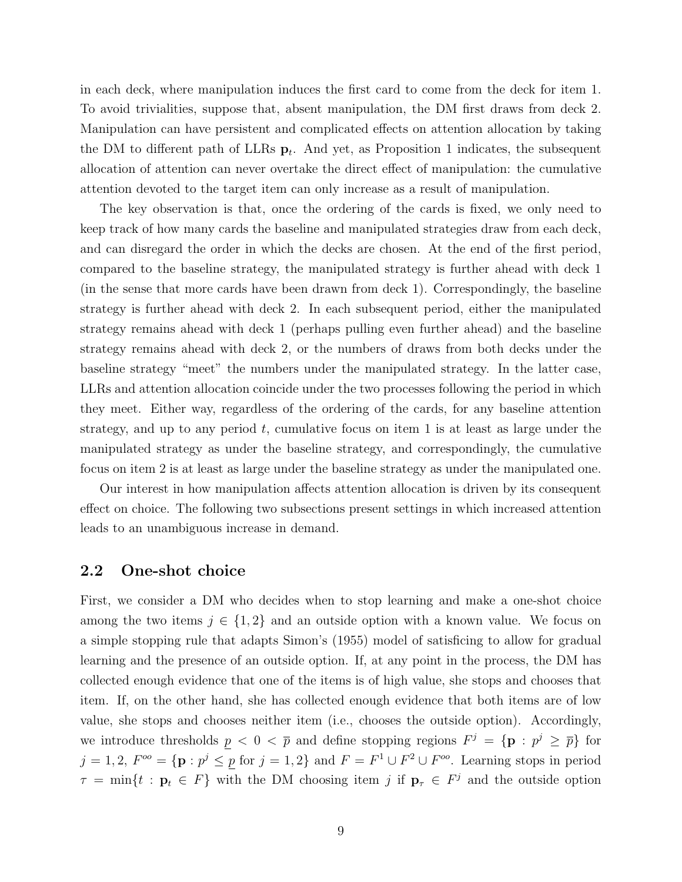in each deck, where manipulation induces the first card to come from the deck for item 1. To avoid trivialities, suppose that, absent manipulation, the DM first draws from deck 2. Manipulation can have persistent and complicated effects on attention allocation by taking the DM to different path of LLRs  $\mathbf{p}_t$ . And yet, as [Proposition 1](#page-7-2) indicates, the subsequent allocation of attention can never overtake the direct effect of manipulation: the cumulative attention devoted to the target item can only increase as a result of manipulation.

The key observation is that, once the ordering of the cards is fixed, we only need to keep track of how many cards the baseline and manipulated strategies draw from each deck, and can disregard the order in which the decks are chosen. At the end of the first period, compared to the baseline strategy, the manipulated strategy is further ahead with deck 1 (in the sense that more cards have been drawn from deck 1). Correspondingly, the baseline strategy is further ahead with deck 2. In each subsequent period, either the manipulated strategy remains ahead with deck 1 (perhaps pulling even further ahead) and the baseline strategy remains ahead with deck 2, or the numbers of draws from both decks under the baseline strategy "meet" the numbers under the manipulated strategy. In the latter case, LLRs and attention allocation coincide under the two processes following the period in which they meet. Either way, regardless of the ordering of the cards, for any baseline attention strategy, and up to any period  $t$ , cumulative focus on item 1 is at least as large under the manipulated strategy as under the baseline strategy, and correspondingly, the cumulative focus on item 2 is at least as large under the baseline strategy as under the manipulated one.

Our interest in how manipulation affects attention allocation is driven by its consequent effect on choice. The following two subsections present settings in which increased attention leads to an unambiguous increase in demand.

#### <span id="page-8-0"></span>2.2 One-shot choice

First, we consider a DM who decides when to stop learning and make a one-shot choice among the two items  $j \in \{1,2\}$  and an outside option with a known value. We focus on a simple stopping rule that adapts Simon's [\(1955\)](#page-32-12) model of satisficing to allow for gradual learning and the presence of an outside option. If, at any point in the process, the DM has collected enough evidence that one of the items is of high value, she stops and chooses that item. If, on the other hand, she has collected enough evidence that both items are of low value, she stops and chooses neither item (i.e., chooses the outside option). Accordingly, we introduce thresholds  $p < 0 < \bar{p}$  and define stopping regions  $F^j = \{p : p^j \geq \bar{p}\}\$ for  $j = 1, 2, F^{\circ \circ} = \{ \mathbf{p} : p^j \leq p \text{ for } j = 1, 2 \}$  and  $F = F^1 \cup F^2 \cup F^{\circ \circ}$ . Learning stops in period  $\tau = \min\{t : \mathbf{p}_t \in F\}$  with the DM choosing item j if  $\mathbf{p}_\tau \in F^j$  and the outside option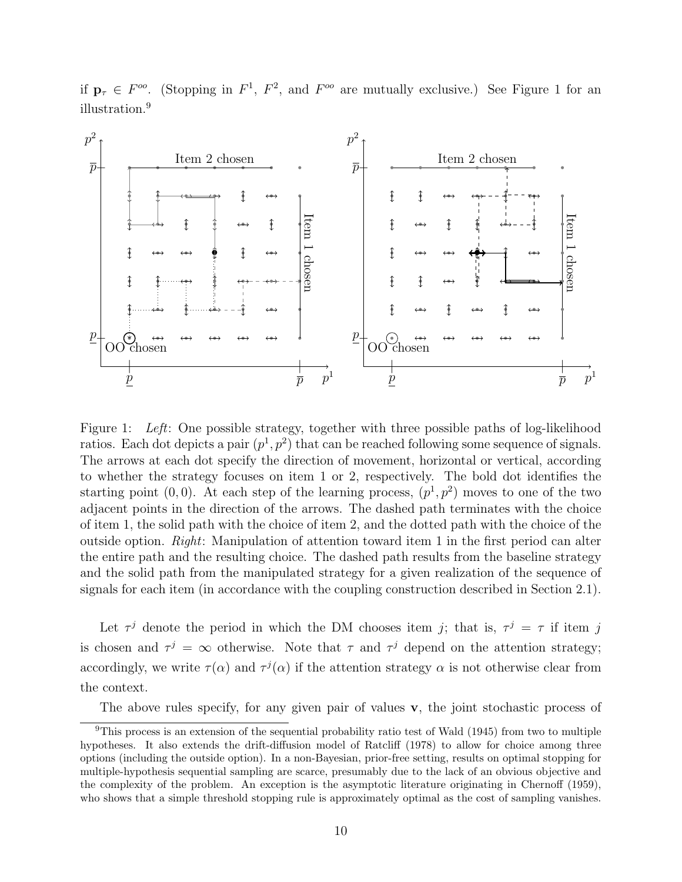

if  $\mathbf{p}_{\tau} \in F^{oo}$ . (Stopping in  $F^1$ ,  $F^2$ , and  $F^{oo}$  are mutually exclusive.) See [Figure 1](#page-9-0) for an illustration.<sup>[9](#page-9-1)</sup>

<span id="page-9-0"></span>Figure 1: Left: One possible strategy, together with three possible paths of log-likelihood ratios. Each dot depicts a pair  $(p<sup>1</sup>, p<sup>2</sup>)$  that can be reached following some sequence of signals. The arrows at each dot specify the direction of movement, horizontal or vertical, according to whether the strategy focuses on item 1 or 2, respectively. The bold dot identifies the starting point  $(0,0)$ . At each step of the learning process,  $(p^1, p^2)$  moves to one of the two adjacent points in the direction of the arrows. The dashed path terminates with the choice of item 1, the solid path with the choice of item 2, and the dotted path with the choice of the outside option. Right: Manipulation of attention toward item 1 in the first period can alter the entire path and the resulting choice. The dashed path results from the baseline strategy and the solid path from the manipulated strategy for a given realization of the sequence of signals for each item (in accordance with the coupling construction described in [Section 2.1\)](#page-7-3).

Let  $\tau^j$  denote the period in which the DM chooses item j; that is,  $\tau^j = \tau$  if item j is chosen and  $\tau^j = \infty$  otherwise. Note that  $\tau$  and  $\tau^j$  depend on the attention strategy; accordingly, we write  $\tau(\alpha)$  and  $\tau^{j}(\alpha)$  if the attention strategy  $\alpha$  is not otherwise clear from the context.

<span id="page-9-1"></span>The above rules specify, for any given pair of values  $\bf{v}$ , the joint stochastic process of

<sup>9</sup>This process is an extension of the sequential probability ratio test of [Wald](#page-33-5) [\(1945\)](#page-33-5) from two to multiple hypotheses. It also extends the drift-diffusion model of [Ratcliff](#page-32-10) [\(1978\)](#page-32-10) to allow for choice among three options (including the outside option). In a non-Bayesian, prior-free setting, results on optimal stopping for multiple-hypothesis sequential sampling are scarce, presumably due to the lack of an obvious objective and the complexity of the problem. An exception is the asymptotic literature originating in [Chernoff](#page-31-9) [\(1959\)](#page-31-9), who shows that a simple threshold stopping rule is approximately optimal as the cost of sampling vanishes.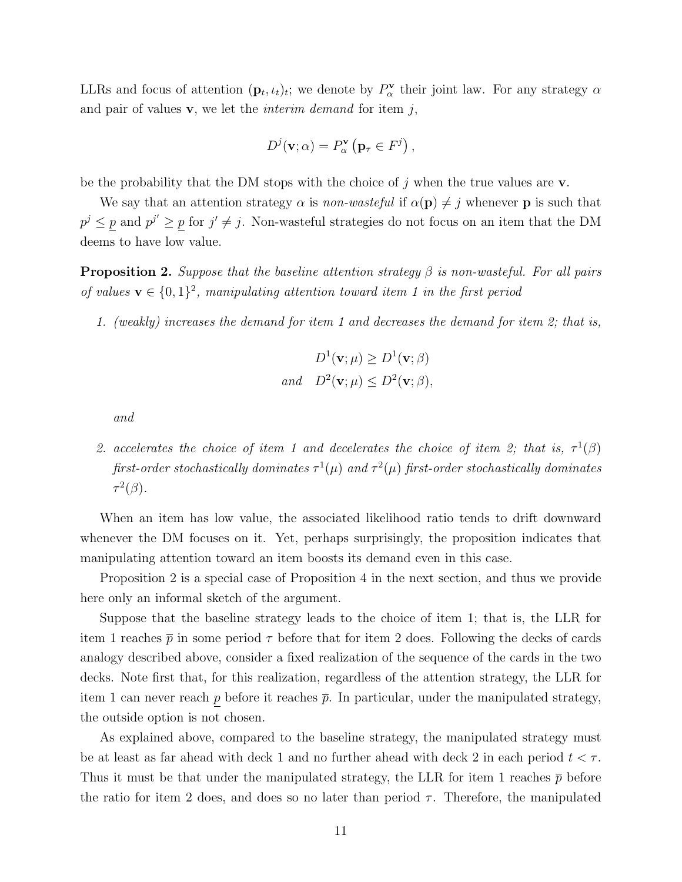LLRs and focus of attention  $(\mathbf{p}_t, \iota_t)_t$ ; we denote by  $P^{\mathbf{v}}_{\alpha}$  their joint law. For any strategy  $\alpha$ and pair of values  $\mathbf{v}$ , we let the *interim demand* for item  $j$ ,

$$
D^{j}(\mathbf{v};\alpha) = P_{\alpha}^{\mathbf{v}}\left(\mathbf{p}_{\tau} \in F^{j}\right),\,
$$

be the probability that the DM stops with the choice of j when the true values are  $\bf{v}$ .

We say that an attention strategy  $\alpha$  is non-wasteful if  $\alpha(\mathbf{p}) \neq j$  whenever p is such that  $p^j \leq p$  and  $p^{j'} \geq p$  for  $j' \neq j$ . Non-wasteful strategies do not focus on an item that the DM deems to have low value.

<span id="page-10-0"></span>**Proposition 2.** Suppose that the baseline attention strategy  $\beta$  is non-wasteful. For all pairs of values  $\mathbf{v} \in \{0,1\}^2$ , manipulating attention toward item 1 in the first period

1. (weakly) increases the demand for item 1 and decreases the demand for item 2; that is,

$$
D^{1}(\mathbf{v};\mu) \ge D^{1}(\mathbf{v};\beta)
$$
  
and 
$$
D^{2}(\mathbf{v};\mu) \le D^{2}(\mathbf{v};\beta),
$$

and

2. accelerates the choice of item 1 and decelerates the choice of item 2; that is,  $\tau^1(\beta)$ first-order stochastically dominates  $\tau^1(\mu)$  and  $\tau^2(\mu)$  first-order stochastically dominates  $\tau^2(\beta)$ .

When an item has low value, the associated likelihood ratio tends to drift downward whenever the DM focuses on it. Yet, perhaps surprisingly, the proposition indicates that manipulating attention toward an item boosts its demand even in this case.

[Proposition 2](#page-10-0) is a special case of [Proposition 4](#page-16-0) in the next section, and thus we provide here only an informal sketch of the argument.

Suppose that the baseline strategy leads to the choice of item 1; that is, the LLR for item 1 reaches  $\bar{p}$  in some period  $\tau$  before that for item 2 does. Following the decks of cards analogy described above, consider a fixed realization of the sequence of the cards in the two decks. Note first that, for this realization, regardless of the attention strategy, the LLR for item 1 can never reach  $p$  before it reaches  $\bar{p}$ . In particular, under the manipulated strategy, the outside option is not chosen.

As explained above, compared to the baseline strategy, the manipulated strategy must be at least as far ahead with deck 1 and no further ahead with deck 2 in each period  $t < \tau$ . Thus it must be that under the manipulated strategy, the LLR for item 1 reaches  $\bar{p}$  before the ratio for item 2 does, and does so no later than period  $\tau$ . Therefore, the manipulated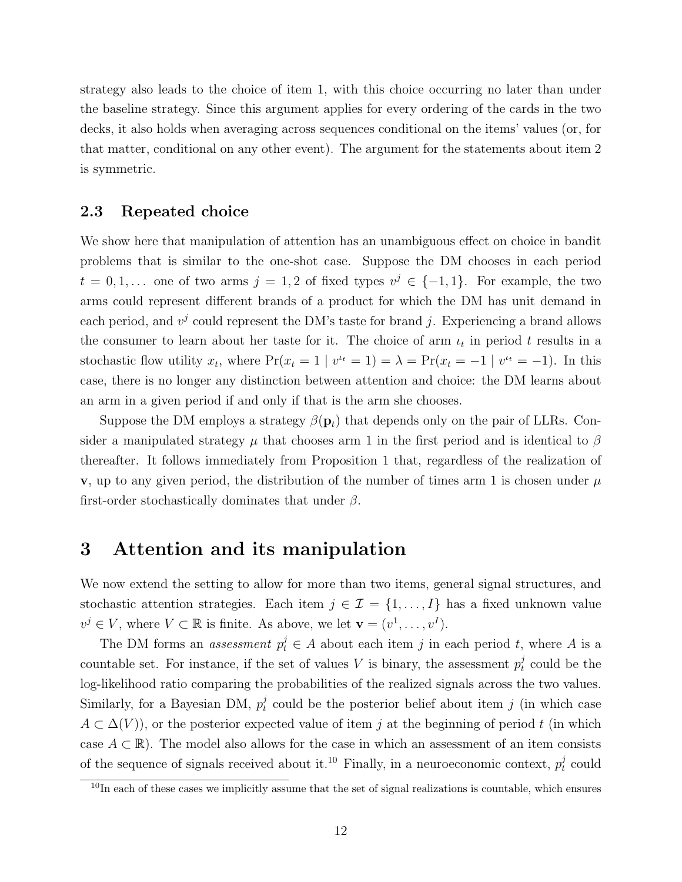strategy also leads to the choice of item 1, with this choice occurring no later than under the baseline strategy. Since this argument applies for every ordering of the cards in the two decks, it also holds when averaging across sequences conditional on the items' values (or, for that matter, conditional on any other event). The argument for the statements about item 2 is symmetric.

#### <span id="page-11-2"></span>2.3 Repeated choice

We show here that manipulation of attention has an unambiguous effect on choice in bandit problems that is similar to the one-shot case. Suppose the DM chooses in each period  $t = 0, 1, \ldots$  one of two arms  $j = 1, 2$  of fixed types  $v^j \in \{-1, 1\}$ . For example, the two arms could represent different brands of a product for which the DM has unit demand in each period, and  $v^j$  could represent the DM's taste for brand j. Experiencing a brand allows the consumer to learn about her taste for it. The choice of arm  $\iota_t$  in period t results in a stochastic flow utility  $x_t$ , where  $Pr(x_t = 1 | v^{t_t} = 1) = \lambda = Pr(x_t = -1 | v^{t_t} = -1)$ . In this case, there is no longer any distinction between attention and choice: the DM learns about an arm in a given period if and only if that is the arm she chooses.

Suppose the DM employs a strategy  $\beta(\mathbf{p}_t)$  that depends only on the pair of LLRs. Consider a manipulated strategy  $\mu$  that chooses arm 1 in the first period and is identical to  $\beta$ thereafter. It follows immediately from [Proposition 1](#page-7-2) that, regardless of the realization of v, up to any given period, the distribution of the number of times arm 1 is chosen under  $\mu$ first-order stochastically dominates that under  $\beta$ .

### <span id="page-11-1"></span>3 Attention and its manipulation

We now extend the setting to allow for more than two items, general signal structures, and stochastic attention strategies. Each item  $j \in \mathcal{I} = \{1, ..., I\}$  has a fixed unknown value  $v^j \in V$ , where  $V \subset \mathbb{R}$  is finite. As above, we let  $\mathbf{v} = (v^1, \dots, v^I)$ .

The DM forms an *assessment*  $p_t^j \in A$  about each item j in each period t, where A is a countable set. For instance, if the set of values V is binary, the assessment  $p_t^j$  $t \atop t$  could be the log-likelihood ratio comparing the probabilities of the realized signals across the two values. Similarly, for a Bayesian DM,  $p_t^j$  $t<sub>t</sub>$  could be the posterior belief about item j (in which case  $A \subset \Delta(V)$ , or the posterior expected value of item j at the beginning of period t (in which case  $A \subset \mathbb{R}$ ). The model also allows for the case in which an assessment of an item consists of the sequence of signals received about it.<sup>[10](#page-11-0)</sup> Finally, in a neuroeconomic context,  $p_t^j$  $t \text{ could}$ 

<span id="page-11-0"></span><sup>&</sup>lt;sup>10</sup>In each of these cases we implicitly assume that the set of signal realizations is countable, which ensures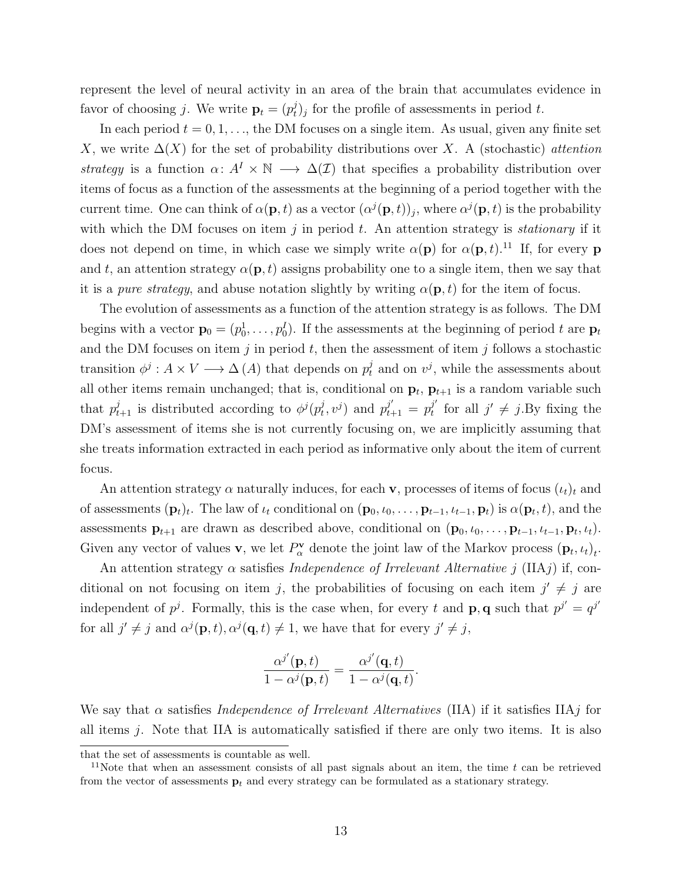represent the level of neural activity in an area of the brain that accumulates evidence in favor of choosing j. We write  $\mathbf{p}_t = (p_t^j)$  $(t)$  for the profile of assessments in period t.

In each period  $t = 0, 1, \ldots$ , the DM focuses on a single item. As usual, given any finite set X, we write  $\Delta(X)$  for the set of probability distributions over X. A (stochastic) attention strategy is a function  $\alpha: A^I \times \mathbb{N} \longrightarrow \Delta(\mathcal{I})$  that specifies a probability distribution over items of focus as a function of the assessments at the beginning of a period together with the current time. One can think of  $\alpha(\mathbf{p},t)$  as a vector  $(\alpha^{j}(\mathbf{p},t))_j$ , where  $\alpha^{j}(\mathbf{p},t)$  is the probability with which the DM focuses on item  $j$  in period  $t$ . An attention strategy is *stationary* if it does not depend on time, in which case we simply write  $\alpha(\mathbf{p})$  for  $\alpha(\mathbf{p}, t)$ .<sup>[11](#page-12-0)</sup> If, for every **p** and t, an attention strategy  $\alpha(\mathbf{p}, t)$  assigns probability one to a single item, then we say that it is a pure strategy, and abuse notation slightly by writing  $\alpha(\mathbf{p}, t)$  for the item of focus.

The evolution of assessments as a function of the attention strategy is as follows. The DM begins with a vector  $\mathbf{p}_0 = (p_0^1, \ldots, p_0^I)$ . If the assessments at the beginning of period t are  $\mathbf{p}_t$ and the DM focuses on item j in period t, then the assessment of item j follows a stochastic transition  $\phi^j: A \times V \longrightarrow \Delta(A)$  that depends on  $p_t^j$  and on  $v^j$ , while the assessments about all other items remain unchanged; that is, conditional on  $\mathbf{p}_t$ ,  $\mathbf{p}_{t+1}$  is a random variable such that  $p_{t+1}^j$  is distributed according to  $\phi^j(p_t^j)$  $(p_t^j, v^j)$  and  $p_{t+1}^{j'} = p_t^{j'}$  $j'$  for all  $j' \neq j$ . By fixing the DM's assessment of items she is not currently focusing on, we are implicitly assuming that she treats information extracted in each period as informative only about the item of current focus.

An attention strategy  $\alpha$  naturally induces, for each **v**, processes of items of focus  $(\iota_t)_t$  and of assessments  $(\mathbf{p}_t)_t$ . The law of  $\iota_t$  conditional on  $(\mathbf{p}_0, \iota_0, \ldots, \mathbf{p}_{t-1}, \iota_{t-1}, \mathbf{p}_t)$  is  $\alpha(\mathbf{p}_t, t)$ , and the assessments  $\mathbf{p}_{t+1}$  are drawn as described above, conditional on  $(\mathbf{p}_0, \iota_0, \ldots, \mathbf{p}_{t-1}, \iota_{t-1}, \mathbf{p}_t, \iota_t)$ . Given any vector of values **v**, we let  $P^{\mathbf{v}}_{\alpha}$  denote the joint law of the Markov process  $(\mathbf{p}_t, \iota_t)_t$ .

An attention strategy  $\alpha$  satisfies *Independence of Irrelevant Alternative* j (IIAj) if, conditional on not focusing on item j, the probabilities of focusing on each item  $j' \neq j$  are independent of  $p^j$ . Formally, this is the case when, for every t and **p**, **q** such that  $p^{j'} = q^{j'}$ for all  $j' \neq j$  and  $\alpha^{j}(\mathbf{p}, t), \alpha^{j}(\mathbf{q}, t) \neq 1$ , we have that for every  $j' \neq j$ ,

$$
\frac{\alpha^{j'}(\mathbf{p},t)}{1-\alpha^{j}(\mathbf{p},t)} = \frac{\alpha^{j'}(\mathbf{q},t)}{1-\alpha^{j}(\mathbf{q},t)}.
$$

We say that  $\alpha$  satisfies *Independence of Irrelevant Alternatives* (IIA) if it satisfies IIAj for all items  $j$ . Note that IIA is automatically satisfied if there are only two items. It is also

that the set of assessments is countable as well.

<span id="page-12-0"></span><sup>&</sup>lt;sup>11</sup>Note that when an assessment consists of all past signals about an item, the time t can be retrieved from the vector of assessments  $\mathbf{p}_t$  and every strategy can be formulated as a stationary strategy.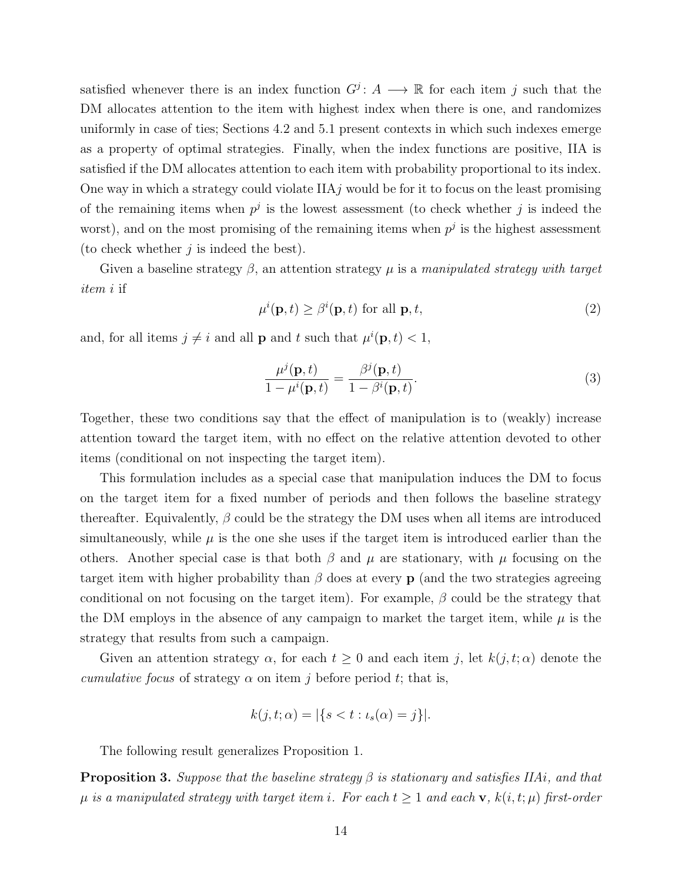satisfied whenever there is an index function  $G^j$ :  $A \longrightarrow \mathbb{R}$  for each item j such that the DM allocates attention to the item with highest index when there is one, and randomizes uniformly in case of ties; Sections [4.2](#page-19-0) and [5.1](#page-25-0) present contexts in which such indexes emerge as a property of optimal strategies. Finally, when the index functions are positive, IIA is satisfied if the DM allocates attention to each item with probability proportional to its index. One way in which a strategy could violate  $IIAj$  would be for it to focus on the least promising of the remaining items when  $p^j$  is the lowest assessment (to check whether j is indeed the worst), and on the most promising of the remaining items when  $p<sup>j</sup>$  is the highest assessment (to check whether  $j$  is indeed the best).

Given a baseline strategy  $\beta$ , an attention strategy  $\mu$  is a manipulated strategy with target item i if

$$
\mu^{i}(\mathbf{p},t) \geq \beta^{i}(\mathbf{p},t) \text{ for all } \mathbf{p},t,
$$
\n(2)

and, for all items  $j \neq i$  and all **p** and t such that  $\mu^{i}(\mathbf{p}, t) < 1$ ,

$$
\frac{\mu^j(\mathbf{p},t)}{1-\mu^i(\mathbf{p},t)} = \frac{\beta^j(\mathbf{p},t)}{1-\beta^i(\mathbf{p},t)}.
$$
\n(3)

Together, these two conditions say that the effect of manipulation is to (weakly) increase attention toward the target item, with no effect on the relative attention devoted to other items (conditional on not inspecting the target item).

This formulation includes as a special case that manipulation induces the DM to focus on the target item for a fixed number of periods and then follows the baseline strategy thereafter. Equivalently,  $\beta$  could be the strategy the DM uses when all items are introduced simultaneously, while  $\mu$  is the one she uses if the target item is introduced earlier than the others. Another special case is that both  $\beta$  and  $\mu$  are stationary, with  $\mu$  focusing on the target item with higher probability than  $\beta$  does at every p (and the two strategies agreeing conditional on not focusing on the target item). For example,  $\beta$  could be the strategy that the DM employs in the absence of any campaign to market the target item, while  $\mu$  is the strategy that results from such a campaign.

Given an attention strategy  $\alpha$ , for each  $t \geq 0$  and each item j, let  $k(j, t; \alpha)$  denote the cumulative focus of strategy  $\alpha$  on item j before period t; that is,

$$
k(j, t; \alpha) = |\{s < t : \iota_s(\alpha) = j\}|.
$$

The following result generalizes [Proposition 1.](#page-7-2)

<span id="page-13-0"></span>**Proposition 3.** Suppose that the baseline strategy  $\beta$  is stationary and satisfies IIAi, and that  $\mu$  is a manipulated strategy with target item i. For each  $t \geq 1$  and each **v**,  $k(i, t; \mu)$  first-order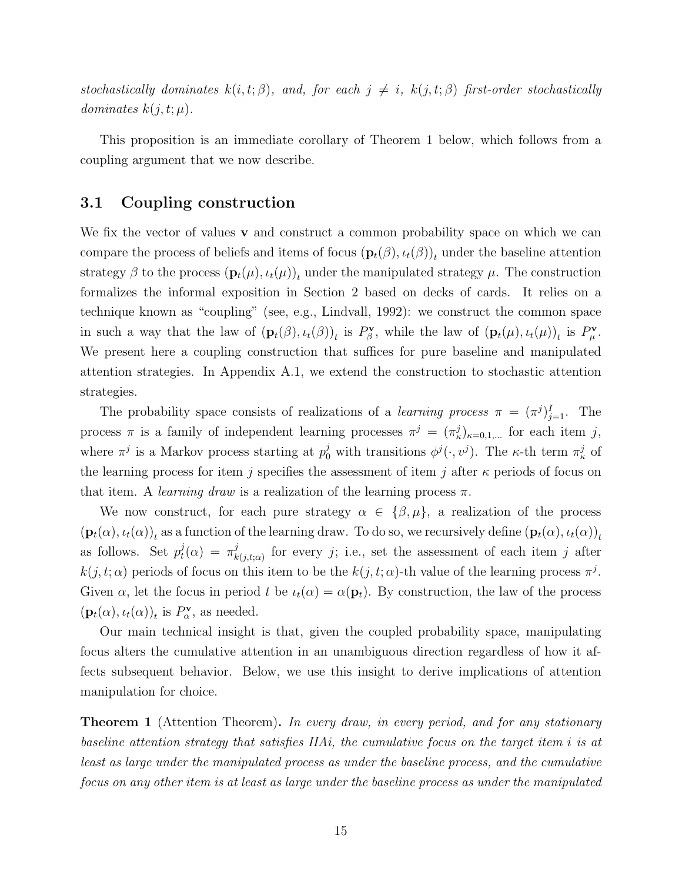stochastically dominates  $k(i, t; \beta)$ , and, for each  $j \neq i$ ,  $k(j, t; \beta)$  first-order stochastically dominates  $k(j, t; \mu)$ .

This proposition is an immediate corollary of [Theorem 1](#page-14-1) below, which follows from a coupling argument that we now describe.

#### <span id="page-14-0"></span>3.1 Coupling construction

We fix the vector of values  $\bf{v}$  and construct a common probability space on which we can compare the process of beliefs and items of focus  $(\mathbf{p}_t(\beta), \iota_t(\beta))_t$  under the baseline attention strategy  $\beta$  to the process  $(\mathbf{p}_t(\mu), \iota_t(\mu))_t$  under the manipulated strategy  $\mu$ . The construction formalizes the informal exposition in Section [2](#page-6-1) based on decks of cards. It relies on a technique known as "coupling" (see, e.g., [Lindvall,](#page-32-3) [1992\)](#page-32-3): we construct the common space in such a way that the law of  $(\mathbf{p}_t(\beta), \iota_t(\beta))_t$  is  $P^{\mathbf{v}}_{\beta}$ , while the law of  $(\mathbf{p}_t(\mu), \iota_t(\mu))_t$  is  $P^{\mathbf{v}}_{\mu}$ . We present here a coupling construction that suffices for pure baseline and manipulated attention strategies. In Appendix [A.1,](#page-34-0) we extend the construction to stochastic attention strategies.

The probability space consists of realizations of a *learning process*  $\pi = (\pi^j)_{j=1}^I$ . The process  $\pi$  is a family of independent learning processes  $\pi^{j} = (\pi^{j}_{\kappa})_{\kappa=0,1,...}$  for each item j, where  $\pi^j$  is a Markov process starting at  $p_0^j$  with transitions  $\phi^j(\cdot, v^j)$ . The  $\kappa$ -th term  $\pi^j_{\kappa}$  of the learning process for item j specifies the assessment of item j after  $\kappa$  periods of focus on that item. A *learning draw* is a realization of the learning process  $\pi$ .

We now construct, for each pure strategy  $\alpha \in {\beta, \mu}$ , a realization of the process  $(\mathbf{p}_t(\alpha), \iota_t(\alpha))_t$  as a function of the learning draw. To do so, we recursively define  $(\mathbf{p}_t(\alpha), \iota_t(\alpha))_t$ as follows. Set  $p_t^j$  $t_l^j(\alpha) = \pi_k^j$  $\sum_{k(j,t;\alpha)}^{j}$  for every j; i.e., set the assessment of each item j after  $k(j, t; \alpha)$  periods of focus on this item to be the  $k(j, t; \alpha)$ -th value of the learning process  $\pi^{j}$ . Given  $\alpha$ , let the focus in period t be  $\iota_t(\alpha) = \alpha(\mathbf{p}_t)$ . By construction, the law of the process  $(\mathbf{p}_t(\alpha), \iota_t(\alpha))_t$  is  $P^{\mathbf{v}}_{\alpha}$ , as needed.

Our main technical insight is that, given the coupled probability space, manipulating focus alters the cumulative attention in an unambiguous direction regardless of how it affects subsequent behavior. Below, we use this insight to derive implications of attention manipulation for choice.

<span id="page-14-1"></span>**Theorem 1** (Attention Theorem). In every draw, in every period, and for any stationary baseline attention strategy that satisfies IIAi, the cumulative focus on the target item i is at least as large under the manipulated process as under the baseline process, and the cumulative focus on any other item is at least as large under the baseline process as under the manipulated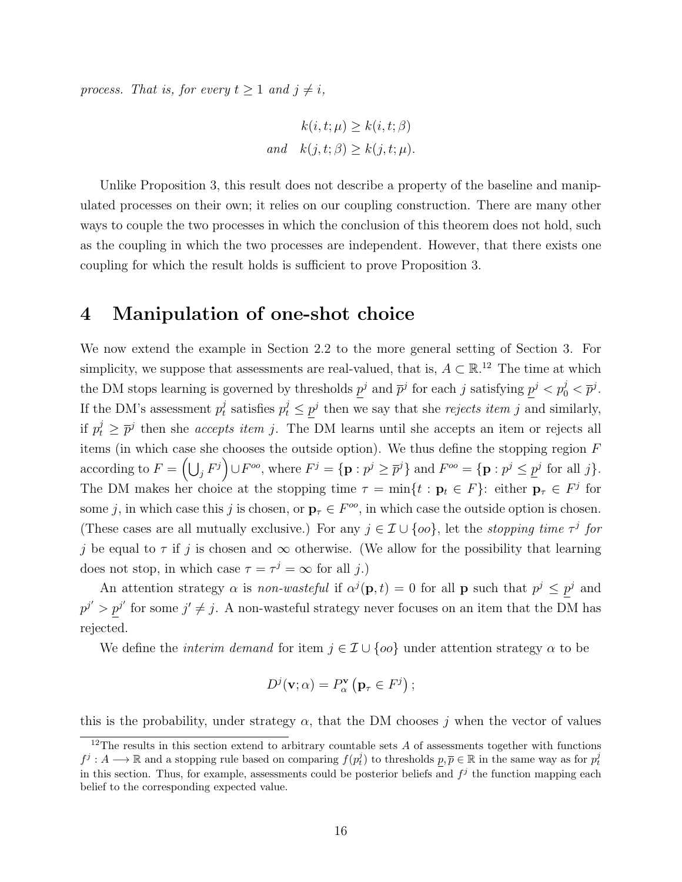process. That is, for every  $t \geq 1$  and  $j \neq i$ ,

$$
k(i, t; \mu) \ge k(i, t; \beta)
$$
  
and 
$$
k(j, t; \beta) \ge k(j, t; \mu).
$$

Unlike [Proposition 3,](#page-13-0) this result does not describe a property of the baseline and manipulated processes on their own; it relies on our coupling construction. There are many other ways to couple the two processes in which the conclusion of this theorem does not hold, such as the coupling in which the two processes are independent. However, that there exists one coupling for which the result holds is sufficient to prove [Proposition 3.](#page-13-0)

### <span id="page-15-1"></span>4 Manipulation of one-shot choice

We now extend the example in [Section 2.2](#page-8-0) to the more general setting of [Section 3.](#page-11-1) For simplicity, we suppose that assessments are real-valued, that is,  $A \subset \mathbb{R}^{12}$  $A \subset \mathbb{R}^{12}$  $A \subset \mathbb{R}^{12}$  The time at which the DM stops learning is governed by thresholds  $p^j$  and  $\bar{p}^j$  for each j satisfying  $p^j < p^j_0 < \bar{p}^j$ . If the DM's assessment  $p_t^j$  $t_i$  satisfies  $p_t^j \leq p^j$  then we say that she *rejects item* j and similarly, if  $p_t^j \geq \bar{p}^j$  then she *accepts item j*. The DM learns until she accepts an item or rejects all items (in which case she chooses the outside option). We thus define the stopping region  $F$ according to  $F = \left(\bigcup_j F^j\right) \cup F^{oo}$ , where  $F^j = \{p : p^j \ge \overline{p}^j\}$  and  $F^{oo} = \{p : p^j \le \underline{p}^j \text{ for all } j\}.$ The DM makes her choice at the stopping time  $\tau = \min\{t : \mathbf{p}_t \in F\}$ : either  $\mathbf{p}_{\tau} \in F^j$  for some j, in which case this j is chosen, or  $\mathbf{p}_{\tau} \in F^{\infty}$ , in which case the outside option is chosen. (These cases are all mutually exclusive.) For any  $j \in \mathcal{I} \cup \{oo\}$ , let the *stopping time*  $\tau^j$  for j be equal to  $\tau$  if j is chosen and  $\infty$  otherwise. (We allow for the possibility that learning does not stop, in which case  $\tau = \tau^j = \infty$  for all j.)

An attention strategy  $\alpha$  is non-wasteful if  $\alpha^{j}(\mathbf{p},t) = 0$  for all **p** such that  $p^{j} \leq p^{j}$  and  $p^{j'} > p^{j'}$  for some  $j' \neq j$ . A non-wasteful strategy never focuses on an item that the DM has rejected.

We define the *interim demand* for item  $j \in \mathcal{I} \cup \{oo\}$  under attention strategy  $\alpha$  to be

$$
D^{j}(\mathbf{v};\alpha) = P_{\alpha}^{\mathbf{v}}\left(\mathbf{p}_{\tau} \in F^{j}\right);
$$

this is the probability, under strategy  $\alpha$ , that the DM chooses j when the vector of values

<span id="page-15-0"></span><sup>&</sup>lt;sup>12</sup>The results in this section extend to arbitrary countable sets  $A$  of assessments together with functions  $f^j: A \longrightarrow \mathbb{R}$  and a stopping rule based on comparing  $f(p_t^j)$  to thresholds  $p, \overline{p} \in \mathbb{R}$  in the same way as for  $p_t^j$ in this section. Thus, for example, assessments could be posterior beliefs and  $f^j$  the function mapping each belief to the corresponding expected value.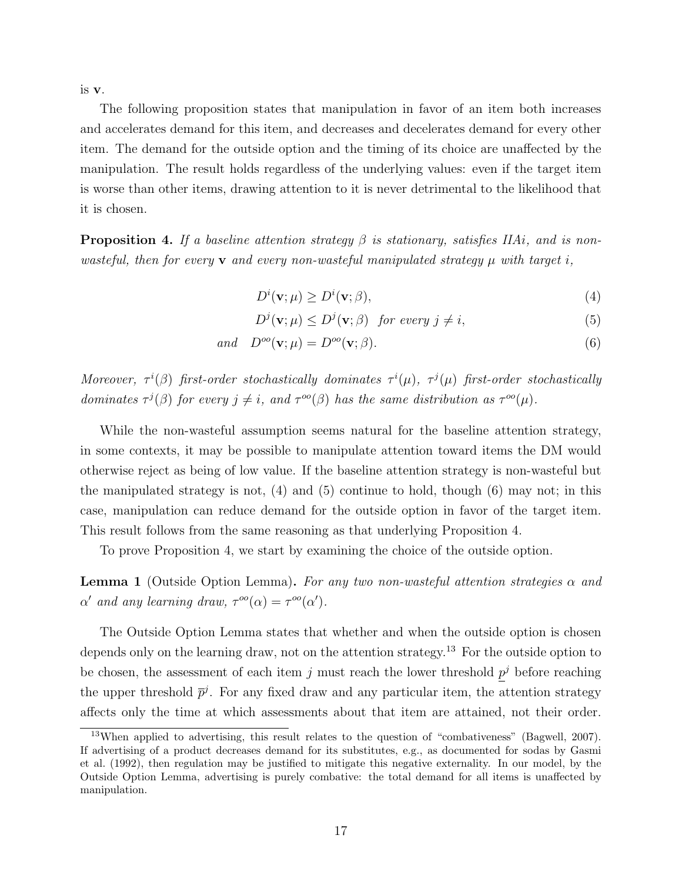is v.

The following proposition states that manipulation in favor of an item both increases and accelerates demand for this item, and decreases and decelerates demand for every other item. The demand for the outside option and the timing of its choice are unaffected by the manipulation. The result holds regardless of the underlying values: even if the target item is worse than other items, drawing attention to it is never detrimental to the likelihood that it is chosen.

<span id="page-16-0"></span>**Proposition 4.** If a baseline attention strategy  $\beta$  is stationary, satisfies IIAi, and is nonwasteful, then for every  $\bf{v}$  and every non-wasteful manipulated strategy  $\mu$  with target i,

<span id="page-16-3"></span><span id="page-16-2"></span><span id="page-16-1"></span> $D^i(\mathbf{v};\mu) \ge D^i(\mathbf{v};\beta),$ (4)

$$
D^{j}(\mathbf{v};\mu) \le D^{j}(\mathbf{v};\beta) \quad \text{for every } j \neq i,
$$
 (5)

$$
and \quad D^{oo}(\mathbf{v}; \mu) = D^{oo}(\mathbf{v}; \beta). \tag{6}
$$

Moreover,  $\tau^{i}(\beta)$  first-order stochastically dominates  $\tau^{i}(\mu)$ ,  $\tau^{j}(\mu)$  first-order stochastically dominates  $\tau^{j}(\beta)$  for every  $j \neq i$ , and  $\tau^{oo}(\beta)$  has the same distribution as  $\tau^{oo}(\mu)$ .

While the non-wasteful assumption seems natural for the baseline attention strategy, in some contexts, it may be possible to manipulate attention toward items the DM would otherwise reject as being of low value. If the baseline attention strategy is non-wasteful but the manipulated strategy is not, [\(4\)](#page-16-1) and [\(5\)](#page-16-2) continue to hold, though [\(6\)](#page-16-3) may not; in this case, manipulation can reduce demand for the outside option in favor of the target item. This result follows from the same reasoning as that underlying [Proposition 4.](#page-16-0)

To prove [Proposition 4,](#page-16-0) we start by examining the choice of the outside option.

<span id="page-16-4"></span>**Lemma 1** (Outside Option Lemma). For any two non-wasteful attention strategies  $\alpha$  and  $\alpha'$  and any learning draw,  $\tau^{oo}(\alpha) = \tau^{oo}(\alpha').$ 

The [Outside Option Lemma](#page-16-4) states that whether and when the outside option is chosen depends only on the learning draw, not on the attention strategy.<sup>[13](#page-16-5)</sup> For the outside option to be chosen, the assessment of each item j must reach the lower threshold  $p<sup>j</sup>$  before reaching the upper threshold  $\bar{p}^j$ . For any fixed draw and any particular item, the attention strategy affects only the time at which assessments about that item are attained, not their order.

<span id="page-16-5"></span><sup>13</sup>When applied to advertising, this result relates to the question of "combativeness" [\(Bagwell,](#page-30-0) [2007\)](#page-30-0). If advertising of a product decreases demand for its substitutes, e.g., as documented for sodas by [Gasmi](#page-31-10) [et al.](#page-31-10) [\(1992\)](#page-31-10), then regulation may be justified to mitigate this negative externality. In our model, by the [Outside Option Lemma,](#page-16-4) advertising is purely combative: the total demand for all items is unaffected by manipulation.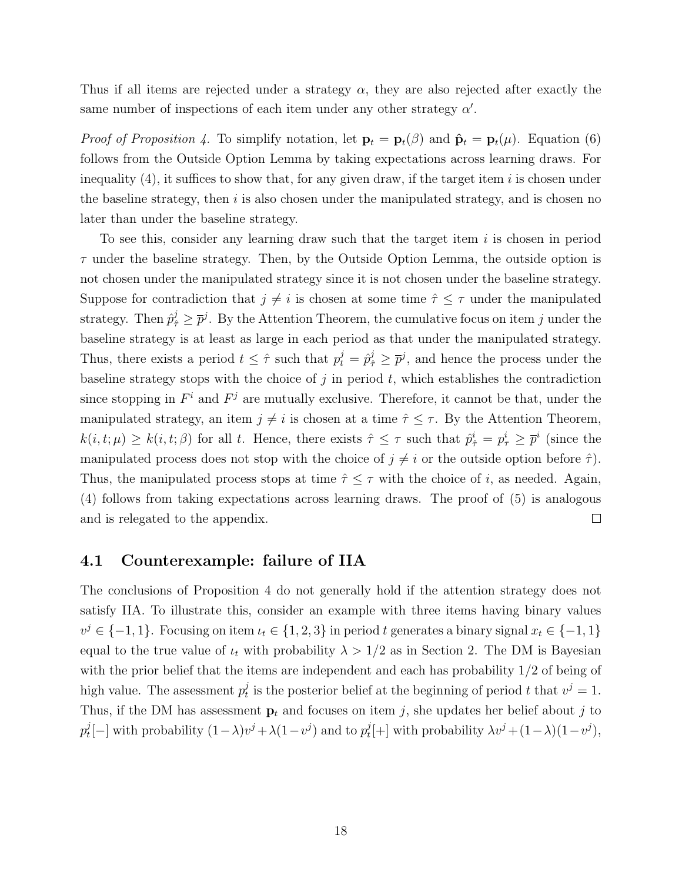Thus if all items are rejected under a strategy  $\alpha$ , they are also rejected after exactly the same number of inspections of each item under any other strategy  $\alpha'$ .

*Proof of [Proposition 4.](#page-16-0)* To simplify notation, let  $\mathbf{p}_t = \mathbf{p}_t(\beta)$  and  $\hat{\mathbf{p}}_t = \mathbf{p}_t(\mu)$ . Equation [\(6\)](#page-16-3) follows from the [Outside Option Lemma](#page-16-4) by taking expectations across learning draws. For inequality  $(4)$ , it suffices to show that, for any given draw, if the target item i is chosen under the baseline strategy, then  $i$  is also chosen under the manipulated strategy, and is chosen no later than under the baseline strategy.

To see this, consider any learning draw such that the target item  $i$  is chosen in period  $\tau$  under the baseline strategy. Then, by the [Outside Option Lemma,](#page-16-4) the outside option is not chosen under the manipulated strategy since it is not chosen under the baseline strategy. Suppose for contradiction that  $j \neq i$  is chosen at some time  $\hat{\tau} \leq \tau$  under the manipulated strategy. Then  $\hat{p}^j_{\hat{\tau}} \geq \overline{p}^j$ . By the [Attention Theorem,](#page-14-1) the cumulative focus on item j under the baseline strategy is at least as large in each period as that under the manipulated strategy. Thus, there exists a period  $t \leq \hat{\tau}$  such that  $p_t^j = \hat{p}_{\hat{\tau}}^j \geq \overline{p}^j$ , and hence the process under the baseline strategy stops with the choice of  $j$  in period  $t$ , which establishes the contradiction since stopping in  $F^i$  and  $F^j$  are mutually exclusive. Therefore, it cannot be that, under the manipulated strategy, an item  $j \neq i$  is chosen at a time  $\hat{\tau} \leq \tau$ . By the [Attention Theorem,](#page-14-1)  $k(i, t; \mu) \geq k(i, t; \beta)$  for all t. Hence, there exists  $\hat{\tau} \leq \tau$  such that  $\hat{p}_{\hat{\tau}}^i = p_{\tau}^i \geq \overline{p}^i$  (since the manipulated process does not stop with the choice of  $j \neq i$  or the outside option before  $\hat{\tau}$ ). Thus, the manipulated process stops at time  $\hat{\tau} \leq \tau$  with the choice of i, as needed. Again, [\(4\)](#page-16-1) follows from taking expectations across learning draws. The proof of [\(5\)](#page-16-2) is analogous  $\Box$ and is relegated to the appendix.

#### <span id="page-17-0"></span>4.1 Counterexample: failure of IIA

The conclusions of [Proposition 4](#page-16-0) do not generally hold if the attention strategy does not satisfy IIA. To illustrate this, consider an example with three items having binary values  $v^j \in \{-1, 1\}$ . Focusing on item  $u_t \in \{1, 2, 3\}$  in period t generates a binary signal  $x_t \in \{-1, 1\}$ equal to the true value of  $\iota_t$  with probability  $\lambda > 1/2$  as in Section [2.](#page-6-1) The DM is Bayesian with the prior belief that the items are independent and each has probability  $1/2$  of being of high value. The assessment  $p_t^j$  $t_i$  is the posterior belief at the beginning of period t that  $v^j = 1$ . Thus, if the DM has assessment  $p_t$  and focuses on item j, she updates her belief about j to  $p_t^j$  $t_{t}^{j}[-]$  with probability  $(1 - \lambda)v^{j} + \lambda(1 - v^{j})$  and to  $p_{t}^{j}$  $t^{j}[+]$  with probability  $\lambda v^{j} + (1 - \lambda)(1 - v^{j}),$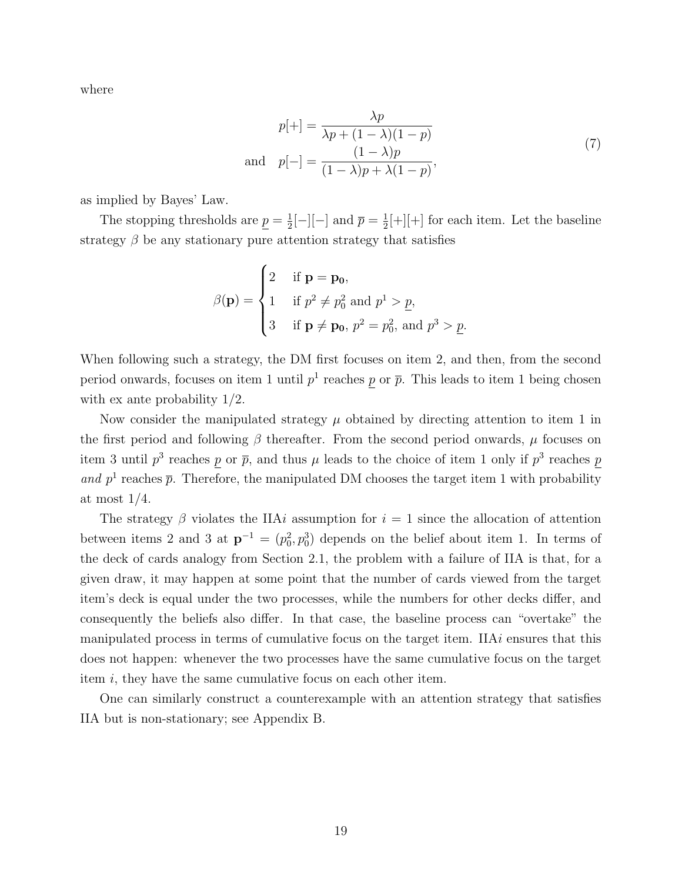where

<span id="page-18-0"></span>
$$
p[+] = \frac{\lambda p}{\lambda p + (1 - \lambda)(1 - p)}
$$
  
and 
$$
p[-] = \frac{(1 - \lambda)p}{(1 - \lambda)p + \lambda(1 - p)},
$$
\n
$$
(7)
$$

as implied by Bayes' Law.

The stopping thresholds are  $p=\frac{1}{2}$  $\frac{1}{2}[-][-]$  and  $\overline{p}=\frac{1}{2}$  $\frac{1}{2}$ [+][+] for each item. Let the baseline strategy  $\beta$  be any stationary pure attention strategy that satisfies

$$
\beta(\mathbf{p}) = \begin{cases}\n2 & \text{if } \mathbf{p} = \mathbf{p_0}, \\
1 & \text{if } p^2 \neq p_0^2 \text{ and } p^1 > p, \\
3 & \text{if } \mathbf{p} \neq \mathbf{p_0}, p^2 = p_0^2, \text{ and } p^3 > p.\n\end{cases}
$$

When following such a strategy, the DM first focuses on item 2, and then, from the second period onwards, focuses on item 1 until  $p<sup>1</sup>$  reaches p or  $\bar{p}$ . This leads to item 1 being chosen with ex ante probability 1/2.

Now consider the manipulated strategy  $\mu$  obtained by directing attention to item 1 in the first period and following  $\beta$  thereafter. From the second period onwards,  $\mu$  focuses on item 3 until  $p^3$  reaches p or  $\bar{p}$ , and thus  $\mu$  leads to the choice of item 1 only if  $p^3$  reaches p and  $p<sup>1</sup>$  reaches  $\bar{p}$ . Therefore, the manipulated DM chooses the target item 1 with probability at most 1/4.

The strategy  $\beta$  violates the IIAi assumption for  $i = 1$  since the allocation of attention between items 2 and 3 at  $\mathbf{p}^{-1} = (p_0^2, p_0^3)$  depends on the belief about item 1. In terms of the deck of cards analogy from [Section 2.1,](#page-7-3) the problem with a failure of IIA is that, for a given draw, it may happen at some point that the number of cards viewed from the target item's deck is equal under the two processes, while the numbers for other decks differ, and consequently the beliefs also differ. In that case, the baseline process can "overtake" the manipulated process in terms of cumulative focus on the target item. IIA $i$  ensures that this does not happen: whenever the two processes have the same cumulative focus on the target item i, they have the same cumulative focus on each other item.

One can similarly construct a counterexample with an attention strategy that satisfies IIA but is non-stationary; see [Appendix B.](#page-43-0)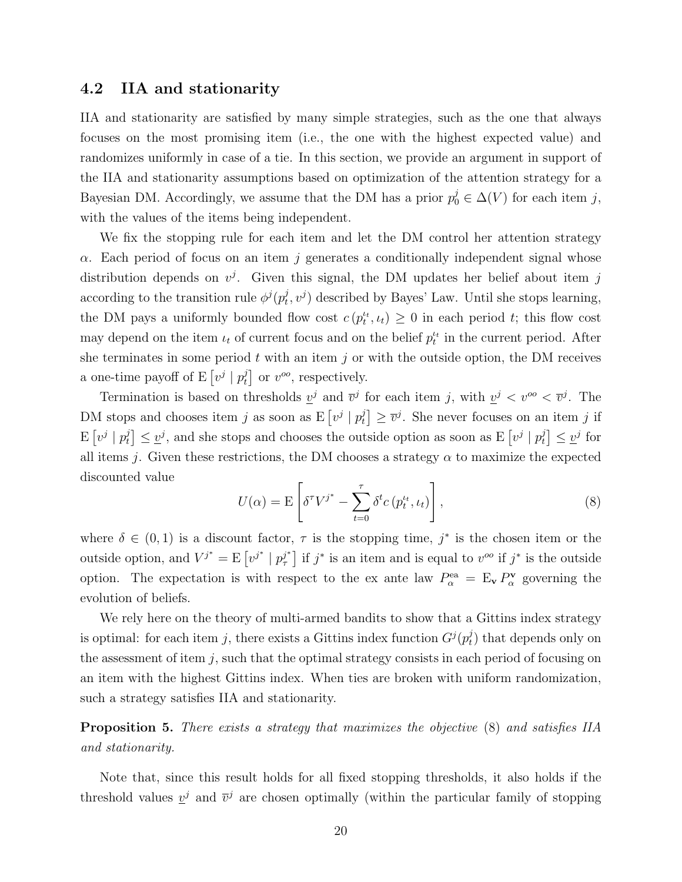#### <span id="page-19-0"></span>4.2 IIA and stationarity

IIA and stationarity are satisfied by many simple strategies, such as the one that always focuses on the most promising item (i.e., the one with the highest expected value) and randomizes uniformly in case of a tie. In this section, we provide an argument in support of the IIA and stationarity assumptions based on optimization of the attention strategy for a Bayesian DM. Accordingly, we assume that the DM has a prior  $p_0^j \in \Delta(V)$  for each item j, with the values of the items being independent.

We fix the stopping rule for each item and let the DM control her attention strategy  $\alpha$ . Each period of focus on an item j generates a conditionally independent signal whose distribution depends on  $v^j$ . Given this signal, the DM updates her belief about item j according to the transition rule  $\phi^{j}(p_t^j)$  $(t, v<sup>j</sup>)$  described by Bayes' Law. Until she stops learning, the DM pays a uniformly bounded flow cost  $c(p_t^{u}, u_t) \geq 0$  in each period t; this flow cost may depend on the item  $\iota_t$  of current focus and on the belief  $p_t^{\iota_t}$  in the current period. After she terminates in some period  $t$  with an item  $j$  or with the outside option, the DM receives a one-time payoff of E  $\left[v^j\mid p_t^j\right]$  $v^{j}$  or  $v^{oo}$ , respectively.

Termination is based on thresholds  $\underline{v}^j$  and  $\overline{v}^j$  for each item j, with  $\underline{v}^j < v^{oo} < \overline{v}^j$ . The DM stops and chooses item j as soon as  $E[v^j | p_t^j]$  $\left[\overline{v}^j\right] \geq \overline{v}^j$ . She never focuses on an item j if  $\mathrm{E}\left[v^{j} \mid p_{t}^{j}\right]$  $\mathcal{L}[\psi] \leq \mathcal{L}^{j}$ , and she stops and chooses the outside option as soon as E  $[v^{j} | p_{t}^{j}]$  $\left[\begin{smallmatrix} j \\ t \end{smallmatrix}\right] \leq \underline{v}^j$  for all items j. Given these restrictions, the DM chooses a strategy  $\alpha$  to maximize the expected discounted value

<span id="page-19-1"></span>
$$
U(\alpha) = \mathcal{E}\left[\delta^{\tau}V^{j^*} - \sum_{t=0}^{\tau}\delta^t c\left(p_t^{t_t}, \iota_t\right)\right],\tag{8}
$$

where  $\delta \in (0,1)$  is a discount factor,  $\tau$  is the stopping time,  $j^*$  is the chosen item or the outside option, and  $V^{j^*} = E[v^{j^*} | p^{j^*}$  $j^*$  if  $j^*$  is an item and is equal to  $v^{oo}$  if  $j^*$  is the outside option. The expectation is with respect to the ex ante law  $P^{\text{ea}}_{\alpha} = \mathbb{E}_{\mathbf{v}} P^{\mathbf{v}}_{\alpha}$  governing the evolution of beliefs.

We rely here on the theory of multi-armed bandits to show that a Gittins index strategy is optimal: for each item j, there exists a Gittins index function  $G^j(p_t^j)$  $_{t}^{j}$ ) that depends only on the assessment of item  $j$ , such that the optimal strategy consists in each period of focusing on an item with the highest Gittins index. When ties are broken with uniform randomization, such a strategy satisfies IIA and stationarity.

<span id="page-19-2"></span>Proposition 5. There exists a strategy that maximizes the objective [\(8\)](#page-19-1) and satisfies IIA and stationarity.

Note that, since this result holds for all fixed stopping thresholds, it also holds if the threshold values  $v^j$  and  $\bar{v}^j$  are chosen optimally (within the particular family of stopping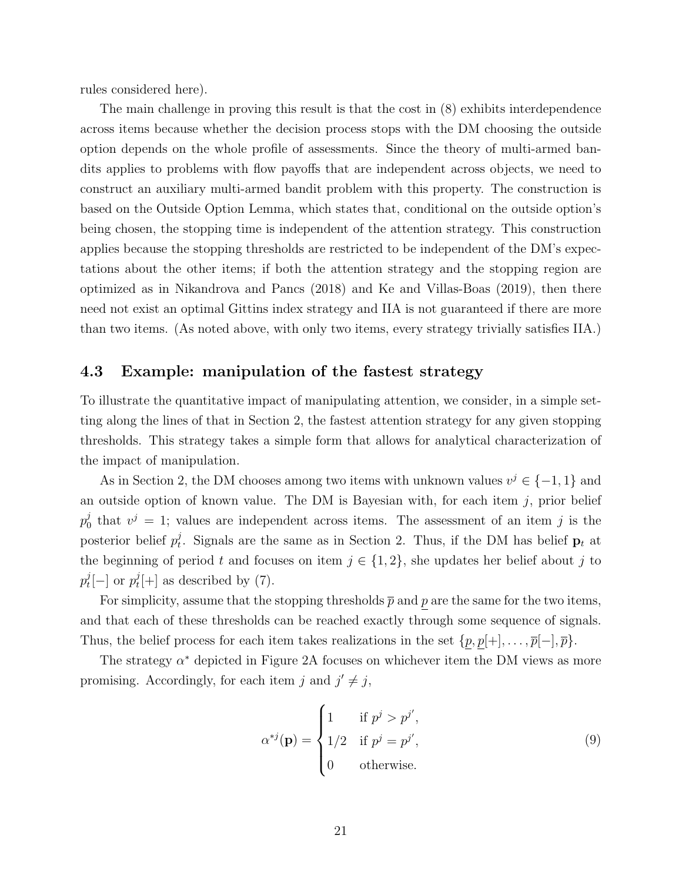rules considered here).

The main challenge in proving this result is that the cost in [\(8\)](#page-19-1) exhibits interdependence across items because whether the decision process stops with the DM choosing the outside option depends on the whole profile of assessments. Since the theory of multi-armed bandits applies to problems with flow payoffs that are independent across objects, we need to construct an auxiliary multi-armed bandit problem with this property. The construction is based on the [Outside Option Lemma,](#page-16-4) which states that, conditional on the outside option's being chosen, the stopping time is independent of the attention strategy. This construction applies because the stopping thresholds are restricted to be independent of the DM's expectations about the other items; if both the attention strategy and the stopping region are optimized as in [Nikandrova and Pancs](#page-32-9) [\(2018\)](#page-32-9) and [Ke and Villas-Boas](#page-31-5) [\(2019\)](#page-31-5), then there need not exist an optimal Gittins index strategy and IIA is not guaranteed if there are more than two items. (As noted above, with only two items, every strategy trivially satisfies IIA.)

#### 4.3 Example: manipulation of the fastest strategy

To illustrate the quantitative impact of manipulating attention, we consider, in a simple setting along the lines of that in [Section 2,](#page-6-1) the fastest attention strategy for any given stopping thresholds. This strategy takes a simple form that allows for analytical characterization of the impact of manipulation.

As in [Section 2,](#page-6-1) the DM chooses among two items with unknown values  $v^j \in \{-1, 1\}$  and an outside option of known value. The DM is Bayesian with, for each item  $j$ , prior belief  $p^j_0$  $\mu_0^j$  that  $v^j = 1$ ; values are independent across items. The assessment of an item j is the posterior belief  $p_t^j$ <sup>*t*</sup><sub>t</sub>. Signals are the same as in Section [2.](#page-6-1) Thus, if the DM has belief  $\mathbf{p}_t$  at the beginning of period t and focuses on item  $j \in \{1,2\}$ , she updates her belief about j to  $p_t^j$  $t^j_t[-]$  or  $p_t^j$  $t^{\jmath}[+]$  as described by [\(7\)](#page-18-0).

For simplicity, assume that the stopping thresholds  $\bar{p}$  and p are the same for the two items. and that each of these thresholds can be reached exactly through some sequence of signals. Thus, the belief process for each item takes realizations in the set  $\{p, p[+], \ldots, \overline{p}[-], \overline{p}\}.$ 

The strategy  $\alpha^*$  depicted in [Figure 2A](#page-21-0) focuses on whichever item the DM views as more promising. Accordingly, for each item j and  $j' \neq j$ ,

$$
\alpha^{*j}(\mathbf{p}) = \begin{cases} 1 & \text{if } p^j > p^{j'}, \\ 1/2 & \text{if } p^j = p^{j'}, \\ 0 & \text{otherwise.} \end{cases}
$$
(9)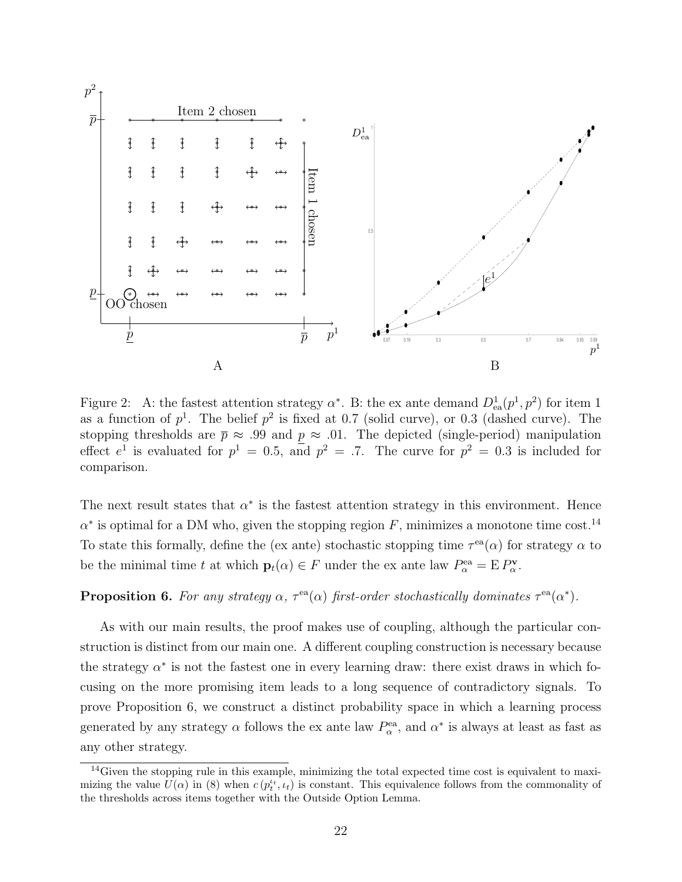

<span id="page-21-0"></span>Figure 2: A: the fastest attention strategy  $\alpha^*$ . B: the ex ante demand  $D_{ea}^1(p^1, p^2)$  for item 1 as a function of  $p^1$ . The belief  $p^2$  is fixed at 0.7 (solid curve), or 0.3 (dashed curve). The stopping thresholds are  $\bar{p} \approx .99$  and  $p \approx .01$ . The depicted (single-period) manipulation effect  $e^1$  is evaluated for  $p^1 = 0.5$ , and  $p^2 = .7$ . The curve for  $p^2 = 0.3$  is included for comparison.

The next result states that  $\alpha^*$  is the fastest attention strategy in this environment. Hence  $\alpha^*$  is optimal for a DM who, given the stopping region F, minimizes a monotone time cost.<sup>[14](#page-21-1)</sup> To state this formally, define the (ex ante) stochastic stopping time  $\tau^{ea}(\alpha)$  for strategy  $\alpha$  to be the minimal time t at which  $\mathbf{p}_t(\alpha) \in F$  under the ex ante law  $P^{\text{ea}}_{\alpha} = E P^{\mathbf{v}}_{\alpha}$ .

#### <span id="page-21-2"></span>**Proposition 6.** For any strategy  $\alpha$ ,  $\tau^{\text{ea}}(\alpha)$  first-order stochastically dominates  $\tau^{\text{ea}}(\alpha^*)$ .

As with our main results, the proof makes use of coupling, although the particular construction is distinct from our main one. A different coupling construction is necessary because the strategy  $\alpha^*$  is not the fastest one in every learning draw: there exist draws in which focusing on the more promising item leads to a long sequence of contradictory signals. To prove [Proposition 6,](#page-21-2) we construct a distinct probability space in which a learning process generated by any strategy  $\alpha$  follows the ex ante law  $P_{\alpha}^{\text{ea}}$ , and  $\alpha^*$  is always at least as fast as any other strategy.

<span id="page-21-1"></span><sup>&</sup>lt;sup>14</sup>Given the stopping rule in this example, minimizing the total expected time cost is equivalent to maximizing the value  $\overline{U}(\alpha)$  in [\(8\)](#page-19-1) when  $c(p_t^{\iota_t}, \iota_t)$  is constant. This equivalence follows from the commonality of the thresholds across items together with the [Outside Option Lemma.](#page-16-4)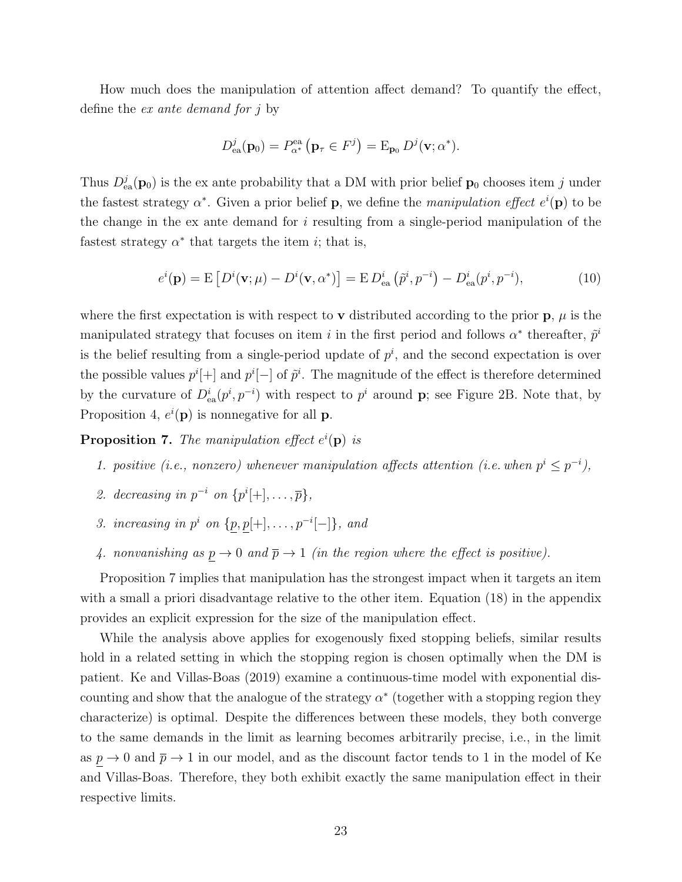How much does the manipulation of attention affect demand? To quantify the effect, define the ex ante demand for j by

$$
D_{\text{ea}}^j(\mathbf{p}_0) = P_{\alpha^*}^{\text{ea}}(\mathbf{p}_{\tau} \in F^j) = \mathcal{E}_{\mathbf{p}_0} D^j(\mathbf{v}; \alpha^*).
$$

Thus  $D_{ea}^j(\mathbf{p}_0)$  is the ex ante probability that a DM with prior belief  $\mathbf{p}_0$  chooses item j under the fastest strategy  $\alpha^*$ . Given a prior belief **p**, we define the manipulation effect  $e^i(\mathbf{p})$  to be the change in the ex ante demand for i resulting from a single-period manipulation of the fastest strategy  $\alpha^*$  that targets the item *i*; that is,

$$
e^{i}(\mathbf{p}) = \mathbf{E}\left[D^{i}(\mathbf{v};\mu) - D^{i}(\mathbf{v},\alpha^{*})\right] = \mathbf{E}\,D_{\text{ea}}^{i}\left(\tilde{p}^{i},p^{-i}\right) - D_{\text{ea}}^{i}(p^{i},p^{-i}),\tag{10}
$$

where the first expectation is with respect to **v** distributed according to the prior  $\mathbf{p}, \mu$  is the manipulated strategy that focuses on item i in the first period and follows  $\alpha^*$  thereafter,  $\tilde{p}^i$ is the belief resulting from a single-period update of  $p^i$ , and the second expectation is over the possible values  $p^{i}$ [+] and  $p^{i}$ [-] of  $\tilde{p}^{i}$ . The magnitude of the effect is therefore determined by the curvature of  $D_{ea}^{i}(p^{i}, p^{-i})$  with respect to  $p^{i}$  around **p**; see [Figure 2B](#page-21-0). Note that, by [Proposition 4,](#page-16-0)  $e^{i}(\mathbf{p})$  is nonnegative for all **p**.

<span id="page-22-0"></span>**Proposition 7.** The manipulation effect  $e^{i}(\mathbf{p})$  is

- 1. positive (i.e., nonzero) whenever manipulation affects attention (i.e. when  $p^{i} \leq p^{-i}$ ),
- 2. decreasing in  $p^{-i}$  on  $\{p^{i}[+] , \ldots , \overline{p}\},\$
- 3. increasing in  $p^i$  on  $\{p, p[+] , \ldots, p^{-i}[-] \}$ , and
- 4. nonvanishing as  $p \to 0$  and  $\bar{p} \to 1$  (in the region where the effect is positive).

[Proposition 7](#page-22-0) implies that manipulation has the strongest impact when it targets an item with a small a priori disadvantage relative to the other item. Equation [\(18\)](#page-41-0) in the appendix provides an explicit expression for the size of the manipulation effect.

While the analysis above applies for exogenously fixed stopping beliefs, similar results hold in a related setting in which the stopping region is chosen optimally when the DM is patient. [Ke and Villas-Boas](#page-31-5) [\(2019\)](#page-31-5) examine a continuous-time model with exponential discounting and show that the analogue of the strategy  $\alpha^*$  (together with a stopping region they characterize) is optimal. Despite the differences between these models, they both converge to the same demands in the limit as learning becomes arbitrarily precise, i.e., in the limit as  $\underline{p} \to 0$  and  $\overline{p} \to 1$  in our model, and as the discount factor tends to 1 in the model of Ke and Villas-Boas. Therefore, they both exhibit exactly the same manipulation effect in their respective limits.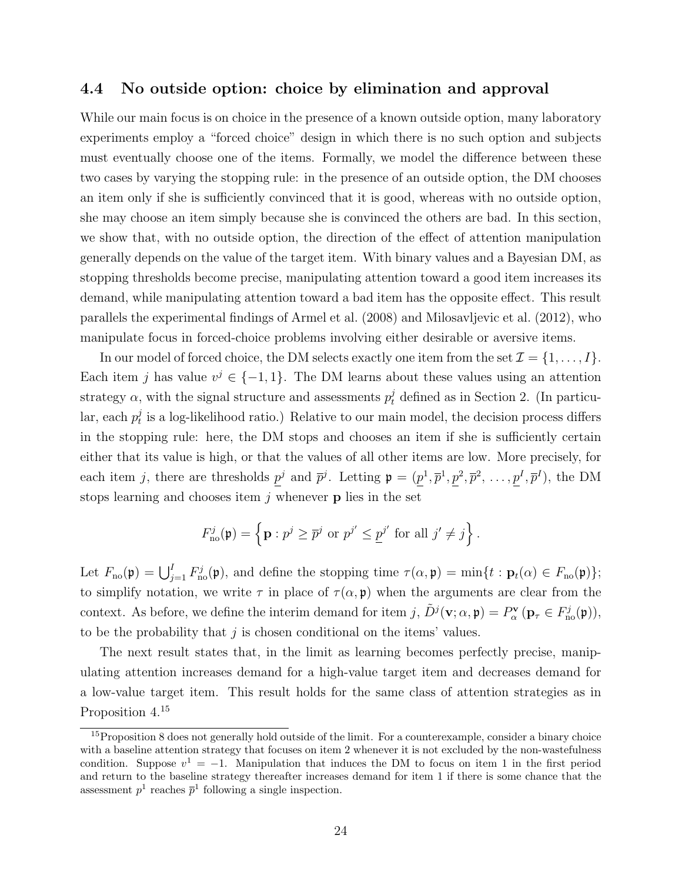#### 4.4 No outside option: choice by elimination and approval

While our main focus is on choice in the presence of a known outside option, many laboratory experiments employ a "forced choice" design in which there is no such option and subjects must eventually choose one of the items. Formally, we model the difference between these two cases by varying the stopping rule: in the presence of an outside option, the DM chooses an item only if she is sufficiently convinced that it is good, whereas with no outside option, she may choose an item simply because she is convinced the others are bad. In this section, we show that, with no outside option, the direction of the effect of attention manipulation generally depends on the value of the target item. With binary values and a Bayesian DM, as stopping thresholds become precise, manipulating attention toward a good item increases its demand, while manipulating attention toward a bad item has the opposite effect. This result parallels the experimental findings of [Armel et al.](#page-30-2) [\(2008\)](#page-30-2) and [Milosavljevic et al.](#page-32-11) [\(2012\)](#page-32-11), who manipulate focus in forced-choice problems involving either desirable or aversive items.

In our model of forced choice, the DM selects exactly one item from the set  $\mathcal{I} = \{1, \ldots, I\}$ . Each item j has value  $v^j \in \{-1,1\}$ . The DM learns about these values using an attention strategy  $\alpha$ , with the signal structure and assessments  $p_t^j$  defined as in [Section 2.](#page-6-1) (In particular, each  $p_t^j$  $_t^j$  is a log-likelihood ratio.) Relative to our main model, the decision process differs in the stopping rule: here, the DM stops and chooses an item if she is sufficiently certain either that its value is high, or that the values of all other items are low. More precisely, for each item j, there are thresholds  $p^j$  and  $\bar{p}^j$ . Letting  $\mathfrak{p} = (p^1, \bar{p}^1, p^2, \bar{p}^2, \ldots, p^I, \bar{p}^I)$ , the DM stops learning and chooses item  $j$  whenever **p** lies in the set

$$
F_{\text{no}}^j(\mathfrak{p}) = \left\{ \mathbf{p} : p^j \ge \overline{p}^j \text{ or } p^{j'} \le \underline{p}^{j'} \text{ for all } j' \neq j \right\}.
$$

Let  $F_{\text{no}}(\mathfrak{p}) = \bigcup_{j=1}^{I} F_{\text{no}}^{j}(\mathfrak{p}),$  and define the stopping time  $\tau(\alpha, \mathfrak{p}) = \min\{t : \mathbf{p}_t(\alpha) \in F_{\text{no}}(\mathfrak{p})\};$ to simplify notation, we write  $\tau$  in place of  $\tau(\alpha, \mathfrak{p})$  when the arguments are clear from the context. As before, we define the interim demand for item  $j$ ,  $\tilde{D}^j(\mathbf{v}; \alpha, \mathbf{\mathfrak{p}}) = P^{\mathbf{v}}_{\alpha}(\mathbf{p}_{\tau} \in F_{\text{no}}^j(\mathbf{\mathfrak{p}})),$ to be the probability that  $j$  is chosen conditional on the items' values.

The next result states that, in the limit as learning becomes perfectly precise, manipulating attention increases demand for a high-value target item and decreases demand for a low-value target item. This result holds for the same class of attention strategies as in Proposition  $4.^{15}$  $4.^{15}$  $4.^{15}$ 

<span id="page-23-0"></span> $15$ [Proposition 8](#page-24-0) does not generally hold outside of the limit. For a counterexample, consider a binary choice with a baseline attention strategy that focuses on item 2 whenever it is not excluded by the non-wastefulness condition. Suppose  $v^1 = -1$ . Manipulation that induces the DM to focus on item 1 in the first period and return to the baseline strategy thereafter increases demand for item 1 if there is some chance that the assessment  $p^1$  reaches  $\bar{p}^1$  following a single inspection.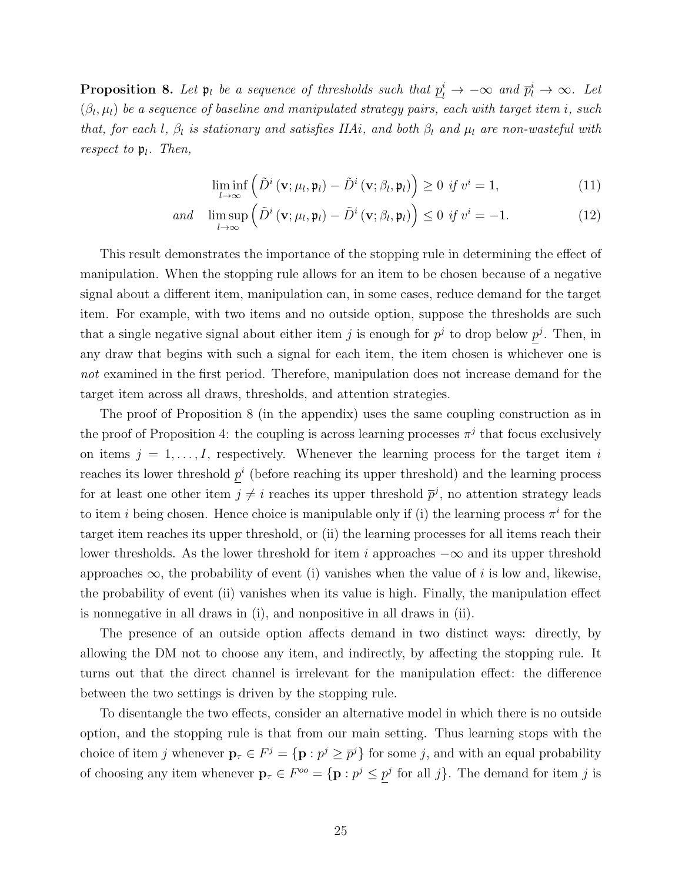<span id="page-24-0"></span>**Proposition 8.** Let  $\mathfrak{p}_l$  be a sequence of thresholds such that  $\underline{p}_l^i \to -\infty$  and  $\overline{p}_l^i \to \infty$ . Let  $(\beta_l,\mu_l)$  be a sequence of baseline and manipulated strategy pairs, each with target item i, such that, for each l,  $\beta_l$  is stationary and satisfies IIAi, and both  $\beta_l$  and  $\mu_l$  are non-wasteful with respect to  $\mathfrak{p}_l$ . Then,

$$
\liminf_{l \to \infty} \left( \tilde{D}^i \left( \mathbf{v}; \mu_l, \mathbf{\mathfrak{p}}_l \right) - \tilde{D}^i \left( \mathbf{v}; \beta_l, \mathbf{\mathfrak{p}}_l \right) \right) \ge 0 \text{ if } v^i = 1,
$$
\n(11)

$$
and \quad \limsup_{l \to \infty} \left( \tilde{D}^i \left( \mathbf{v}; \mu_l, \mathbf{\mathfrak{p}}_l \right) - \tilde{D}^i \left( \mathbf{v}; \beta_l, \mathbf{\mathfrak{p}}_l \right) \right) \leq 0 \text{ if } v^i = -1. \tag{12}
$$

This result demonstrates the importance of the stopping rule in determining the effect of manipulation. When the stopping rule allows for an item to be chosen because of a negative signal about a different item, manipulation can, in some cases, reduce demand for the target item. For example, with two items and no outside option, suppose the thresholds are such that a single negative signal about either item j is enough for  $p^j$  to drop below  $p^j$ . Then, in any draw that begins with such a signal for each item, the item chosen is whichever one is not examined in the first period. Therefore, manipulation does not increase demand for the target item across all draws, thresholds, and attention strategies.

The proof of [Proposition 8](#page-24-0) (in the appendix) uses the same coupling construction as in the proof of [Proposition 4:](#page-16-0) the coupling is across learning processes  $\pi^{j}$  that focus exclusively on items  $j = 1, \ldots, I$ , respectively. Whenever the learning process for the target item i reaches its lower threshold  $p^{i}$  (before reaching its upper threshold) and the learning process for at least one other item  $j \neq i$  reaches its upper threshold  $\bar{p}^j$ , no attention strategy leads to item *i* being chosen. Hence choice is manipulable only if (i) the learning process  $\pi^{i}$  for the target item reaches its upper threshold, or (ii) the learning processes for all items reach their lower thresholds. As the lower threshold for item i approaches  $-\infty$  and its upper threshold approaches  $\infty$ , the probability of event (i) vanishes when the value of i is low and, likewise, the probability of event (ii) vanishes when its value is high. Finally, the manipulation effect is nonnegative in all draws in (i), and nonpositive in all draws in (ii).

The presence of an outside option affects demand in two distinct ways: directly, by allowing the DM not to choose any item, and indirectly, by affecting the stopping rule. It turns out that the direct channel is irrelevant for the manipulation effect: the difference between the two settings is driven by the stopping rule.

To disentangle the two effects, consider an alternative model in which there is no outside option, and the stopping rule is that from our main setting. Thus learning stops with the choice of item j whenever  $\mathbf{p}_{\tau} \in F^j = {\mathbf{p} : p^j \ge \overline{p}^j}$  for some j, and with an equal probability of choosing any item whenever  $\mathbf{p}_{\tau} \in F^{\circ \circ} = {\mathbf{p} : p^j \leq p^j \text{ for all } j}.$  The demand for item j is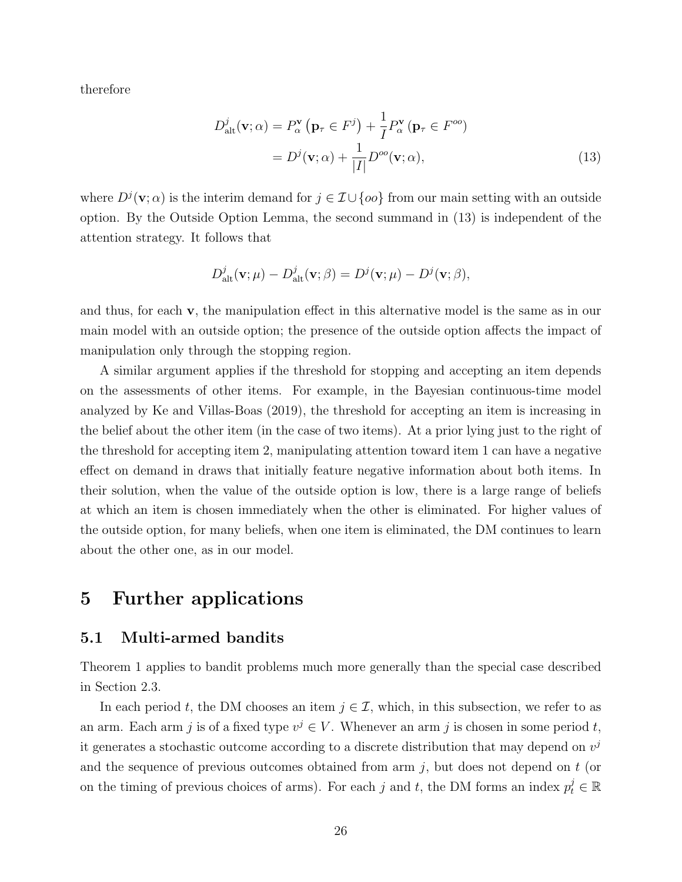therefore

<span id="page-25-1"></span>
$$
D_{\text{alt}}^{j}(\mathbf{v};\alpha) = P_{\alpha}^{\mathbf{v}}\left(\mathbf{p}_{\tau} \in F^{j}\right) + \frac{1}{I}P_{\alpha}^{\mathbf{v}}\left(\mathbf{p}_{\tau} \in F^{oo}\right)
$$

$$
= D^{j}(\mathbf{v};\alpha) + \frac{1}{|I|}D^{oo}(\mathbf{v};\alpha), \tag{13}
$$

where  $D^j(\mathbf{v};\alpha)$  is the interim demand for  $j \in \mathcal{I} \cup \{oo\}$  from our main setting with an outside option. By the [Outside Option Lemma,](#page-16-4) the second summand in [\(13\)](#page-25-1) is independent of the attention strategy. It follows that

$$
D_{\mathrm{alt}}^{j}(\mathbf{v};\mu) - D_{\mathrm{alt}}^{j}(\mathbf{v};\beta) = D^{j}(\mathbf{v};\mu) - D^{j}(\mathbf{v};\beta),
$$

and thus, for each v, the manipulation effect in this alternative model is the same as in our main model with an outside option; the presence of the outside option affects the impact of manipulation only through the stopping region.

A similar argument applies if the threshold for stopping and accepting an item depends on the assessments of other items. For example, in the Bayesian continuous-time model analyzed by [Ke and Villas-Boas](#page-31-5) [\(2019\)](#page-31-5), the threshold for accepting an item is increasing in the belief about the other item (in the case of two items). At a prior lying just to the right of the threshold for accepting item 2, manipulating attention toward item 1 can have a negative effect on demand in draws that initially feature negative information about both items. In their solution, when the value of the outside option is low, there is a large range of beliefs at which an item is chosen immediately when the other is eliminated. For higher values of the outside option, for many beliefs, when one item is eliminated, the DM continues to learn about the other one, as in our model.

### 5 Further applications

#### <span id="page-25-0"></span>5.1 Multi-armed bandits

[Theorem 1](#page-14-1) applies to bandit problems much more generally than the special case described in [Section 2.3.](#page-11-2)

In each period t, the DM chooses an item  $j \in \mathcal{I}$ , which, in this subsection, we refer to as an arm. Each arm j is of a fixed type  $v^j \in V$ . Whenever an arm j is chosen in some period t, it generates a stochastic outcome according to a discrete distribution that may depend on  $v^j$ and the sequence of previous outcomes obtained from arm  $j$ , but does not depend on  $t$  (or on the timing of previous choices of arms). For each j and t, the DM forms an index  $p_t^j \in \mathbb{R}$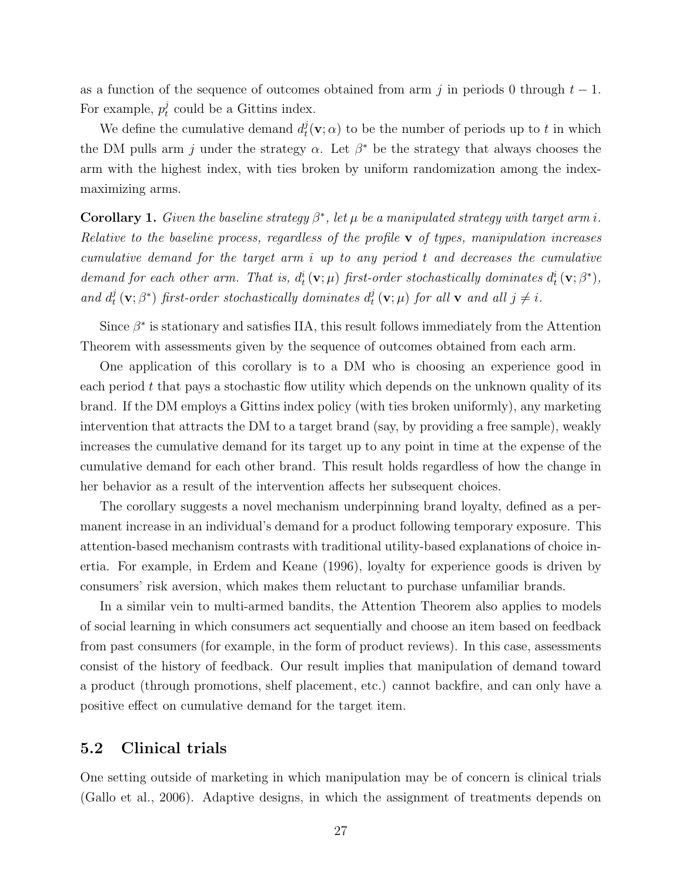as a function of the sequence of outcomes obtained from arm j in periods 0 through  $t - 1$ . For example,  $p_t^j$  $t<sub>t</sub>$  could be a Gittins index.

We define the cumulative demand  $d_t^j$  $t_t^j(\mathbf{v}; \alpha)$  to be the number of periods up to t in which the DM pulls arm j under the strategy  $\alpha$ . Let  $\beta^*$  be the strategy that always chooses the arm with the highest index, with ties broken by uniform randomization among the indexmaximizing arms.

Corollary 1. Given the baseline strategy  $\beta^*$ , let  $\mu$  be a manipulated strategy with target arm i. Relative to the baseline process, regardless of the profile  $\bf{v}$  of types, manipulation increases cumulative demand for the target arm i up to any period t and decreases the cumulative demand for each other arm. That is,  $d_t^i(\mathbf{v}; \mu)$  first-order stochastically dominates  $d_t^i(\mathbf{v}; \beta^*),$ and  $d_t^j$  $t^j_t\left(\mathbf{v};\beta^*\right)$  first-order stochastically dominates  $d^j_t$  $t_t^j(\mathbf{v};\mu)$  for all  $\mathbf{v}$  and all  $j \neq i$ .

Since  $\beta^*$  is stationary and satisfies IIA, this result follows immediately from the [Attention](#page-14-1) [Theorem](#page-14-1) with assessments given by the sequence of outcomes obtained from each arm.

One application of this corollary is to a DM who is choosing an experience good in each period  $t$  that pays a stochastic flow utility which depends on the unknown quality of its brand. If the DM employs a Gittins index policy (with ties broken uniformly), any marketing intervention that attracts the DM to a target brand (say, by providing a free sample), weakly increases the cumulative demand for its target up to any point in time at the expense of the cumulative demand for each other brand. This result holds regardless of how the change in her behavior as a result of the intervention affects her subsequent choices.

The corollary suggests a novel mechanism underpinning brand loyalty, defined as a permanent increase in an individual's demand for a product following temporary exposure. This attention-based mechanism contrasts with traditional utility-based explanations of choice inertia. For example, in [Erdem and Keane](#page-31-11) [\(1996\)](#page-31-11), loyalty for experience goods is driven by consumers' risk aversion, which makes them reluctant to purchase unfamiliar brands.

In a similar vein to multi-armed bandits, the [Attention Theorem](#page-14-1) also applies to models of social learning in which consumers act sequentially and choose an item based on feedback from past consumers (for example, in the form of product reviews). In this case, assessments consist of the history of feedback. Our result implies that manipulation of demand toward a product (through promotions, shelf placement, etc.) cannot backfire, and can only have a positive effect on cumulative demand for the target item.

#### <span id="page-26-0"></span>5.2 Clinical trials

One setting outside of marketing in which manipulation may be of concern is clinical trials [\(Gallo et al.,](#page-31-12) [2006\)](#page-31-12). Adaptive designs, in which the assignment of treatments depends on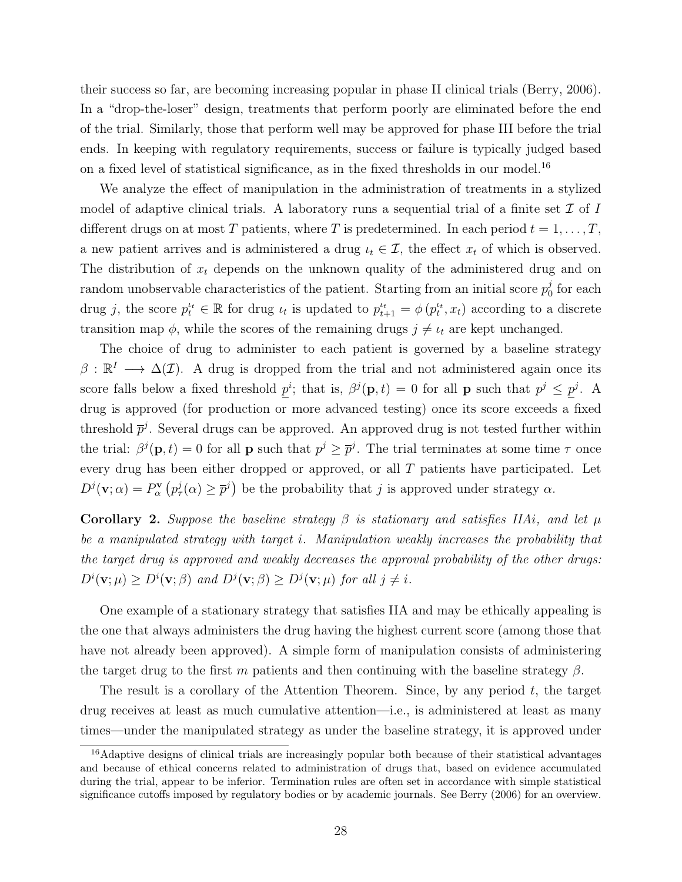their success so far, are becoming increasing popular in phase II clinical trials [\(Berry,](#page-30-8) [2006\)](#page-30-8). In a "drop-the-loser" design, treatments that perform poorly are eliminated before the end of the trial. Similarly, those that perform well may be approved for phase III before the trial ends. In keeping with regulatory requirements, success or failure is typically judged based on a fixed level of statistical significance, as in the fixed thresholds in our model.[16](#page-27-0)

We analyze the effect of manipulation in the administration of treatments in a stylized model of adaptive clinical trials. A laboratory runs a sequential trial of a finite set  $\mathcal I$  of  $I$ different drugs on at most T patients, where T is predetermined. In each period  $t = 1, \ldots, T$ , a new patient arrives and is administered a drug  $\iota_t \in \mathcal{I}$ , the effect  $x_t$  of which is observed. The distribution of  $x_t$  depends on the unknown quality of the administered drug and on random unobservable characteristics of the patient. Starting from an initial score  $p_0^j$  $_0^j$  for each drug j, the score  $p_t^{t_t} \in \mathbb{R}$  for drug  $\iota_t$  is updated to  $p_{t+1}^{t_t} = \phi(p_t^{t_t}, x_t)$  according to a discrete transition map  $\phi$ , while the scores of the remaining drugs  $j \neq \iota_t$  are kept unchanged.

The choice of drug to administer to each patient is governed by a baseline strategy  $\beta : \mathbb{R}^I \longrightarrow \Delta(\mathcal{I})$ . A drug is dropped from the trial and not administered again once its score falls below a fixed threshold  $p^i$ ; that is,  $\beta^j(\mathbf{p},t) = 0$  for all **p** such that  $p^j \leq p^j$ . A drug is approved (for production or more advanced testing) once its score exceeds a fixed threshold  $\bar{p}^j$ . Several drugs can be approved. An approved drug is not tested further within the trial:  $\beta^{j}(\mathbf{p},t) = 0$  for all **p** such that  $p^{j} \ge \overline{p}^{j}$ . The trial terminates at some time  $\tau$  once every drug has been either dropped or approved, or all T patients have participated. Let  $D^j(\mathbf{v};\alpha) = P^{\mathbf{v}}_{\alpha} (p^j_{\tau}(\alpha) \geq \overline{p}^j)$  be the probability that j is approved under strategy  $\alpha$ .

Corollary 2. Suppose the baseline strategy  $\beta$  is stationary and satisfies IIAi, and let  $\mu$ be a manipulated strategy with target i. Manipulation weakly increases the probability that the target drug is approved and weakly decreases the approval probability of the other drugs:  $D^i(\mathbf{v};\mu) \ge D^i(\mathbf{v};\beta)$  and  $D^j(\mathbf{v};\beta) \ge D^j(\mathbf{v};\mu)$  for all  $j \ne i$ .

One example of a stationary strategy that satisfies IIA and may be ethically appealing is the one that always administers the drug having the highest current score (among those that have not already been approved). A simple form of manipulation consists of administering the target drug to the first m patients and then continuing with the baseline strategy  $\beta$ .

The result is a corollary of the [Attention Theorem.](#page-14-1) Since, by any period t, the target drug receives at least as much cumulative attention—i.e., is administered at least as many times—under the manipulated strategy as under the baseline strategy, it is approved under

<span id="page-27-0"></span><sup>16</sup>Adaptive designs of clinical trials are increasingly popular both because of their statistical advantages and because of ethical concerns related to administration of drugs that, based on evidence accumulated during the trial, appear to be inferior. Termination rules are often set in accordance with simple statistical significance cutoffs imposed by regulatory bodies or by academic journals. See [Berry](#page-30-8) [\(2006\)](#page-30-8) for an overview.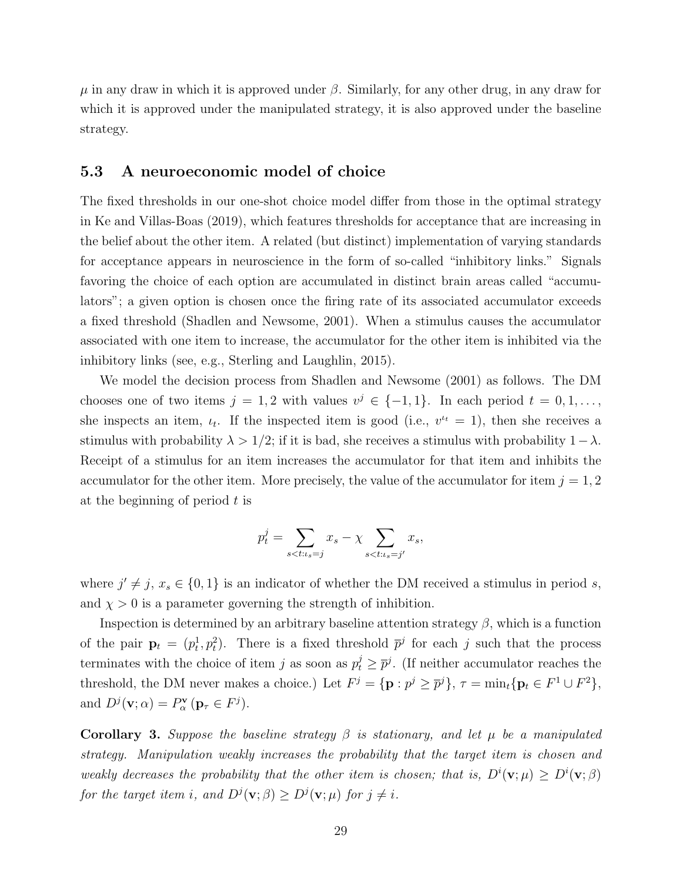$\mu$  in any draw in which it is approved under  $\beta$ . Similarly, for any other drug, in any draw for which it is approved under the manipulated strategy, it is also approved under the baseline strategy.

#### 5.3 A neuroeconomic model of choice

The fixed thresholds in our one-shot choice model differ from those in the optimal strategy in [Ke and Villas-Boas](#page-31-5) [\(2019\)](#page-31-5), which features thresholds for acceptance that are increasing in the belief about the other item. A related (but distinct) implementation of varying standards for acceptance appears in neuroscience in the form of so-called "inhibitory links." Signals favoring the choice of each option are accumulated in distinct brain areas called "accumulators"; a given option is chosen once the firing rate of its associated accumulator exceeds a fixed threshold [\(Shadlen and Newsome,](#page-32-13) [2001\)](#page-32-13). When a stimulus causes the accumulator associated with one item to increase, the accumulator for the other item is inhibited via the inhibitory links (see, e.g., [Sterling and Laughlin,](#page-33-6) [2015\)](#page-33-6).

We model the decision process from [Shadlen and Newsome](#page-32-13) [\(2001\)](#page-32-13) as follows. The DM chooses one of two items  $j = 1, 2$  with values  $v^j \in \{-1, 1\}$ . In each period  $t = 0, 1, \ldots$ , she inspects an item,  $u_t$ . If the inspected item is good (i.e.,  $v^{t} = 1$ ), then she receives a stimulus with probability  $\lambda > 1/2$ ; if it is bad, she receives a stimulus with probability  $1-\lambda$ . Receipt of a stimulus for an item increases the accumulator for that item and inhibits the accumulator for the other item. More precisely, the value of the accumulator for item  $j = 1, 2$ at the beginning of period  $t$  is

$$
p_t^j = \sum_{s < t : t_s = j} x_s - \chi \sum_{s < t : t_s = j'} x_s,
$$

where  $j' \neq j$ ,  $x_s \in \{0, 1\}$  is an indicator of whether the DM received a stimulus in period s, and  $\chi > 0$  is a parameter governing the strength of inhibition.

Inspection is determined by an arbitrary baseline attention strategy  $\beta$ , which is a function of the pair  $\mathbf{p}_t = (p_t^1, p_t^2)$ . There is a fixed threshold  $\bar{p}^j$  for each j such that the process terminates with the choice of item j as soon as  $p_t^j \geq \overline{p}^j$ . (If neither accumulator reaches the threshold, the DM never makes a choice.) Let  $F^j = {\{\mathbf{p} : p^j \ge \overline{p}^j\}}, \tau = \min_t {\{\mathbf{p}_t \in F^1 \cup F^2\}},$ and  $D^j(\mathbf{v}; \alpha) = P^{\mathbf{v}}_{\alpha}(\mathbf{p}_{\tau} \in F^j).$ 

Corollary 3. Suppose the baseline strategy  $\beta$  is stationary, and let  $\mu$  be a manipulated strategy. Manipulation weakly increases the probability that the target item is chosen and weakly decreases the probability that the other item is chosen; that is,  $D^{i}(v;\mu) \ge D^{i}(v;\beta)$ for the target item i, and  $D^j(\mathbf{v};\beta) \ge D^j(\mathbf{v};\mu)$  for  $j \ne i$ .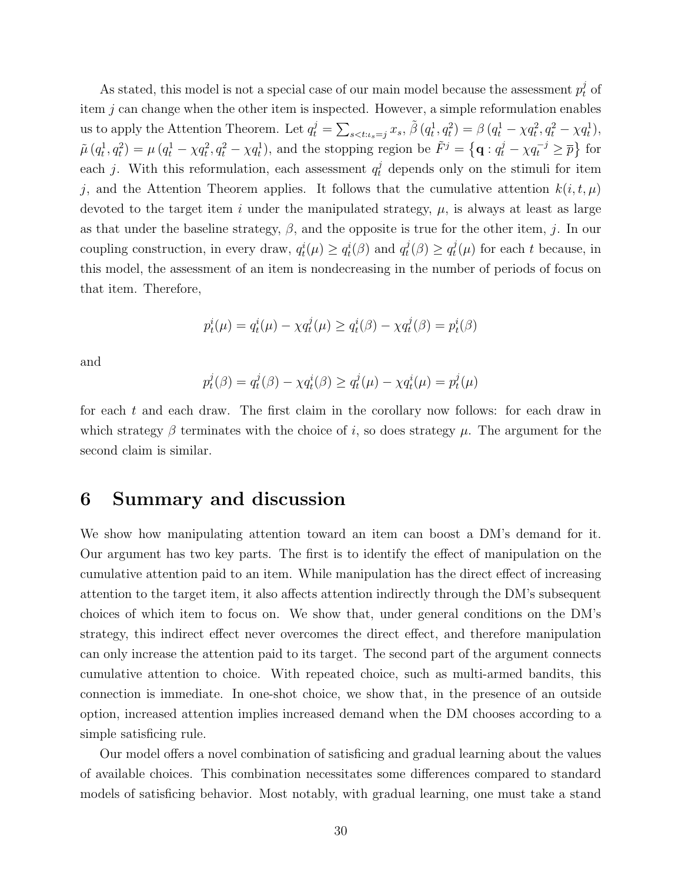As stated, this model is not a special case of our main model because the assessment  $p_t^j$  of item  $j$  can change when the other item is inspected. However, a simple reformulation enables us to apply the [Attention Theorem.](#page-14-1) Let  $q_t^j = \sum_{s < t : \iota_s = j} x_s$ ,  $\tilde{\beta}(q_t^1, q_t^2) = \beta (q_t^1 - \chi q_t^2, q_t^2 - \chi q_t^1)$ ,  $\tilde{\mu}\left(q_t^1, q_t^2\right) = \mu\left(q_t^1 - \chi q_t^2, q_t^2 - \chi q_t^1\right)$ , and the stopping region be  $\tilde{F}^j = \left\{q : q_t^j - \chi q_t^{-j} \geq \overline{p}\right\}$  for each j. With this reformulation, each assessment  $q_t^j$  depends only on the stimuli for item j, and the [Attention Theorem](#page-14-1) applies. It follows that the cumulative attention  $k(i, t, \mu)$ devoted to the target item i under the manipulated strategy,  $\mu$ , is always at least as large as that under the baseline strategy,  $\beta$ , and the opposite is true for the other item, j. In our coupling construction, in every draw,  $q_t^i(\mu) \ge q_t^i(\beta)$  and  $q_t^j$  $t^j(\beta) \geq q_t^j$  $t_t^j(\mu)$  for each t because, in this model, the assessment of an item is nondecreasing in the number of periods of focus on that item. Therefore,

$$
p_t^i(\mu) = q_t^i(\mu) - \chi q_t^j(\mu) \ge q_t^i(\beta) - \chi q_t^j(\beta) = p_t^i(\beta)
$$

and

$$
p_t^j(\beta) = q_t^j(\beta) - \chi q_t^i(\beta) \ge q_t^j(\mu) - \chi q_t^i(\mu) = p_t^j(\mu)
$$

for each t and each draw. The first claim in the corollary now follows: for each draw in which strategy  $\beta$  terminates with the choice of i, so does strategy  $\mu$ . The argument for the second claim is similar.

### 6 Summary and discussion

We show how manipulating attention toward an item can boost a DM's demand for it. Our argument has two key parts. The first is to identify the effect of manipulation on the cumulative attention paid to an item. While manipulation has the direct effect of increasing attention to the target item, it also affects attention indirectly through the DM's subsequent choices of which item to focus on. We show that, under general conditions on the DM's strategy, this indirect effect never overcomes the direct effect, and therefore manipulation can only increase the attention paid to its target. The second part of the argument connects cumulative attention to choice. With repeated choice, such as multi-armed bandits, this connection is immediate. In one-shot choice, we show that, in the presence of an outside option, increased attention implies increased demand when the DM chooses according to a simple satisficing rule.

Our model offers a novel combination of satisficing and gradual learning about the values of available choices. This combination necessitates some differences compared to standard models of satisficing behavior. Most notably, with gradual learning, one must take a stand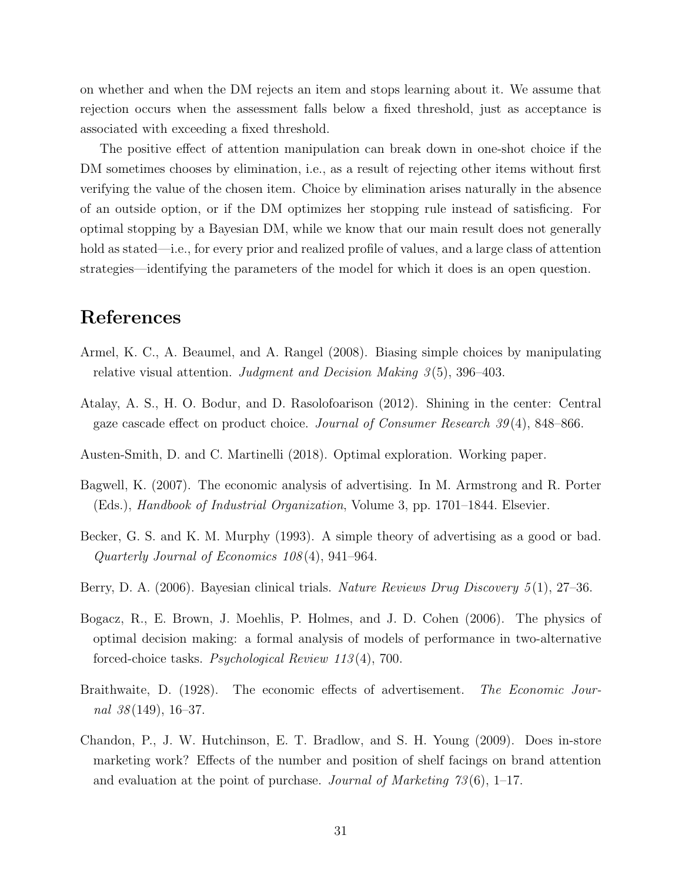on whether and when the DM rejects an item and stops learning about it. We assume that rejection occurs when the assessment falls below a fixed threshold, just as acceptance is associated with exceeding a fixed threshold.

The positive effect of attention manipulation can break down in one-shot choice if the DM sometimes chooses by elimination, i.e., as a result of rejecting other items without first verifying the value of the chosen item. Choice by elimination arises naturally in the absence of an outside option, or if the DM optimizes her stopping rule instead of satisficing. For optimal stopping by a Bayesian DM, while we know that our main result does not generally hold as stated—i.e., for every prior and realized profile of values, and a large class of attention strategies—identifying the parameters of the model for which it does is an open question.

# References

- <span id="page-30-2"></span>Armel, K. C., A. Beaumel, and A. Rangel (2008). Biasing simple choices by manipulating relative visual attention. Judgment and Decision Making  $3(5)$ , 396–403.
- <span id="page-30-5"></span>Atalay, A. S., H. O. Bodur, and D. Rasolofoarison (2012). Shining in the center: Central gaze cascade effect on product choice. Journal of Consumer Research 39 (4), 848–866.
- <span id="page-30-6"></span>Austen-Smith, D. and C. Martinelli (2018). Optimal exploration. Working paper.
- <span id="page-30-0"></span>Bagwell, K. (2007). The economic analysis of advertising. In M. Armstrong and R. Porter (Eds.), Handbook of Industrial Organization, Volume 3, pp. 1701–1844. Elsevier.
- <span id="page-30-3"></span>Becker, G. S. and K. M. Murphy (1993). A simple theory of advertising as a good or bad. Quarterly Journal of Economics 108 (4), 941–964.
- <span id="page-30-8"></span>Berry, D. A. (2006). Bayesian clinical trials. Nature Reviews Drug Discovery 5(1), 27–36.
- <span id="page-30-7"></span>Bogacz, R., E. Brown, J. Moehlis, P. Holmes, and J. D. Cohen (2006). The physics of optimal decision making: a formal analysis of models of performance in two-alternative forced-choice tasks. Psychological Review 113 (4), 700.
- <span id="page-30-4"></span>Braithwaite, D. (1928). The economic effects of advertisement. The Economic Journal  $38(149)$ , 16-37.
- <span id="page-30-1"></span>Chandon, P., J. W. Hutchinson, E. T. Bradlow, and S. H. Young (2009). Does in-store marketing work? Effects of the number and position of shelf facings on brand attention and evaluation at the point of purchase. Journal of Marketing  $73(6)$ , 1–17.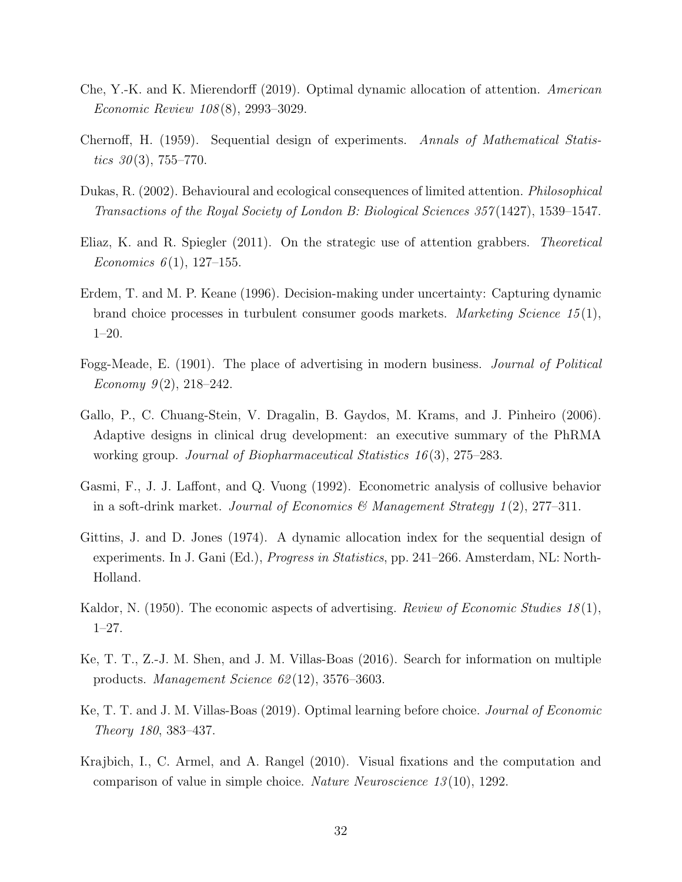- <span id="page-31-6"></span>Che, Y.-K. and K. Mierendorff (2019). Optimal dynamic allocation of attention. American Economic Review 108 (8), 2993–3029.
- <span id="page-31-9"></span>Chernoff, H. (1959). Sequential design of experiments. Annals of Mathematical Statistics  $30(3)$ , 755–770.
- <span id="page-31-2"></span>Dukas, R. (2002). Behavioural and ecological consequences of limited attention. Philosophical Transactions of the Royal Society of London B: Biological Sciences 357 (1427), 1539–1547.
- <span id="page-31-1"></span>Eliaz, K. and R. Spiegler (2011). On the strategic use of attention grabbers. Theoretical Economics  $6(1)$ , 127–155.
- <span id="page-31-11"></span>Erdem, T. and M. P. Keane (1996). Decision-making under uncertainty: Capturing dynamic brand choice processes in turbulent consumer goods markets. Marketing Science 15 (1), 1–20.
- <span id="page-31-0"></span>Fogg-Meade, E. (1901). The place of advertising in modern business. Journal of Political Economy  $9(2)$ ,  $218-242$ .
- <span id="page-31-12"></span>Gallo, P., C. Chuang-Stein, V. Dragalin, B. Gaydos, M. Krams, and J. Pinheiro (2006). Adaptive designs in clinical drug development: an executive summary of the PhRMA working group. Journal of Biopharmaceutical Statistics 16 (3), 275–283.
- <span id="page-31-10"></span>Gasmi, F., J. J. Laffont, and Q. Vuong (1992). Econometric analysis of collusive behavior in a soft-drink market. Journal of Economics & Management Strategy  $1(2)$ , 277–311.
- <span id="page-31-8"></span>Gittins, J. and D. Jones (1974). A dynamic allocation index for the sequential design of experiments. In J. Gani (Ed.), Progress in Statistics, pp. 241–266. Amsterdam, NL: North-Holland.
- <span id="page-31-3"></span>Kaldor, N. (1950). The economic aspects of advertising. *Review of Economic Studies 18*(1), 1–27.
- <span id="page-31-4"></span>Ke, T. T., Z.-J. M. Shen, and J. M. Villas-Boas (2016). Search for information on multiple products. Management Science 62 (12), 3576–3603.
- <span id="page-31-5"></span>Ke, T. T. and J. M. Villas-Boas (2019). Optimal learning before choice. Journal of Economic Theory 180, 383–437.
- <span id="page-31-7"></span>Krajbich, I., C. Armel, and A. Rangel (2010). Visual fixations and the computation and comparison of value in simple choice. Nature Neuroscience 13 (10), 1292.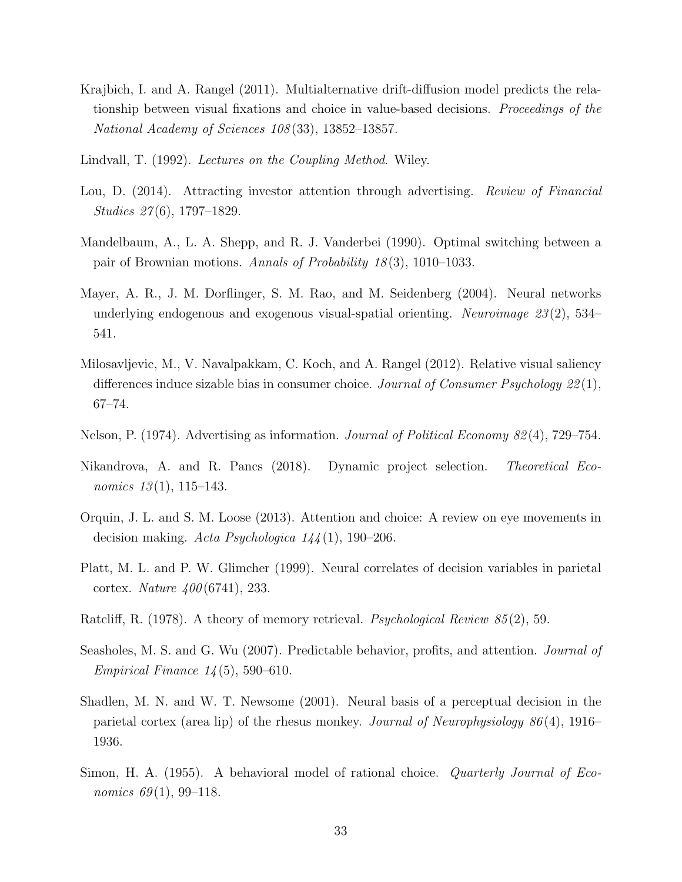- <span id="page-32-2"></span>Krajbich, I. and A. Rangel (2011). Multialternative drift-diffusion model predicts the relationship between visual fixations and choice in value-based decisions. Proceedings of the National Academy of Sciences 108 (33), 13852–13857.
- <span id="page-32-3"></span>Lindvall, T. (1992). *Lectures on the Coupling Method.* Wiley.
- <span id="page-32-0"></span>Lou, D. (2014). Attracting investor attention through advertising. *Review of Financial* Studies 27 (6), 1797–1829.
- <span id="page-32-8"></span>Mandelbaum, A., L. A. Shepp, and R. J. Vanderbei (1990). Optimal switching between a pair of Brownian motions. Annals of Probability 18 (3), 1010–1033.
- <span id="page-32-7"></span>Mayer, A. R., J. M. Dorflinger, S. M. Rao, and M. Seidenberg (2004). Neural networks underlying endogenous and exogenous visual-spatial orienting. Neuroimage  $23(2)$ , 534– 541.
- <span id="page-32-11"></span>Milosavljevic, M., V. Navalpakkam, C. Koch, and A. Rangel (2012). Relative visual saliency differences induce sizable bias in consumer choice. Journal of Consumer Psychology 22(1), 67–74.
- <span id="page-32-5"></span>Nelson, P. (1974). Advertising as information. Journal of Political Economy 82 (4), 729–754.
- <span id="page-32-9"></span>Nikandrova, A. and R. Pancs (2018). Dynamic project selection. Theoretical Economics  $13(1)$ , 115–143.
- <span id="page-32-1"></span>Orquin, J. L. and S. M. Loose (2013). Attention and choice: A review on eye movements in decision making. Acta Psychologica  $144(1)$ , 190–206.
- <span id="page-32-4"></span>Platt, M. L. and P. W. Glimcher (1999). Neural correlates of decision variables in parietal cortex. *Nature 400* (6741), 233.
- <span id="page-32-10"></span>Ratcliff, R. (1978). A theory of memory retrieval. *Psychological Review 85* (2), 59.
- <span id="page-32-6"></span>Seasholes, M. S. and G. Wu (2007). Predictable behavior, profits, and attention. Journal of *Empirical Finance*  $14(5)$ , 590–610.
- <span id="page-32-13"></span>Shadlen, M. N. and W. T. Newsome (2001). Neural basis of a perceptual decision in the parietal cortex (area lip) of the rhesus monkey. Journal of Neurophysiology 86 (4), 1916– 1936.
- <span id="page-32-12"></span>Simon, H. A. (1955). A behavioral model of rational choice. Quarterly Journal of Economics  $69(1)$ , 99-118.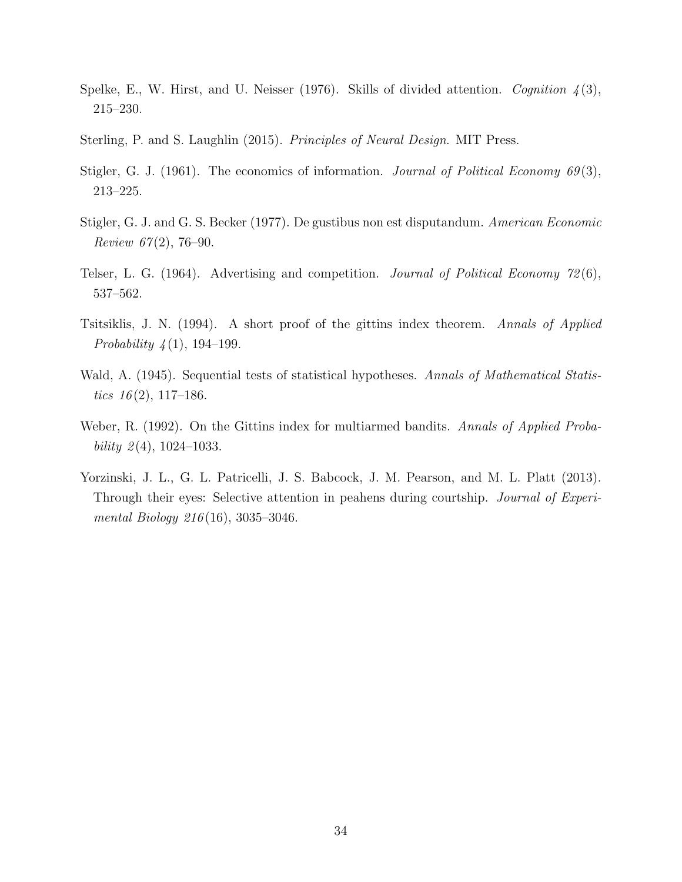- <span id="page-33-4"></span>Spelke, E., W. Hirst, and U. Neisser (1976). Skills of divided attention. Cognition  $\mathcal{A}(3)$ , 215–230.
- <span id="page-33-6"></span>Sterling, P. and S. Laughlin (2015). Principles of Neural Design. MIT Press.
- <span id="page-33-0"></span>Stigler, G. J. (1961). The economics of information. Journal of Political Economy  $69(3)$ , 213–225.
- <span id="page-33-2"></span>Stigler, G. J. and G. S. Becker (1977). De gustibus non est disputandum. American Economic Review  $67(2)$ , 76-90.
- <span id="page-33-1"></span>Telser, L. G. (1964). Advertising and competition. Journal of Political Economy 72(6), 537–562.
- <span id="page-33-7"></span>Tsitsiklis, J. N. (1994). A short proof of the gittins index theorem. Annals of Applied *Probability*  $4(1)$ , 194–199.
- <span id="page-33-5"></span>Wald, A. (1945). Sequential tests of statistical hypotheses. Annals of Mathematical Statistics  $16(2)$ , 117–186.
- <span id="page-33-8"></span>Weber, R. (1992). On the Gittins index for multiarmed bandits. Annals of Applied Probability  $2(4)$ , 1024–1033.
- <span id="page-33-3"></span>Yorzinski, J. L., G. L. Patricelli, J. S. Babcock, J. M. Pearson, and M. L. Platt (2013). Through their eyes: Selective attention in peahens during courtship. *Journal of Experi*mental Biology 216 (16), 3035–3046.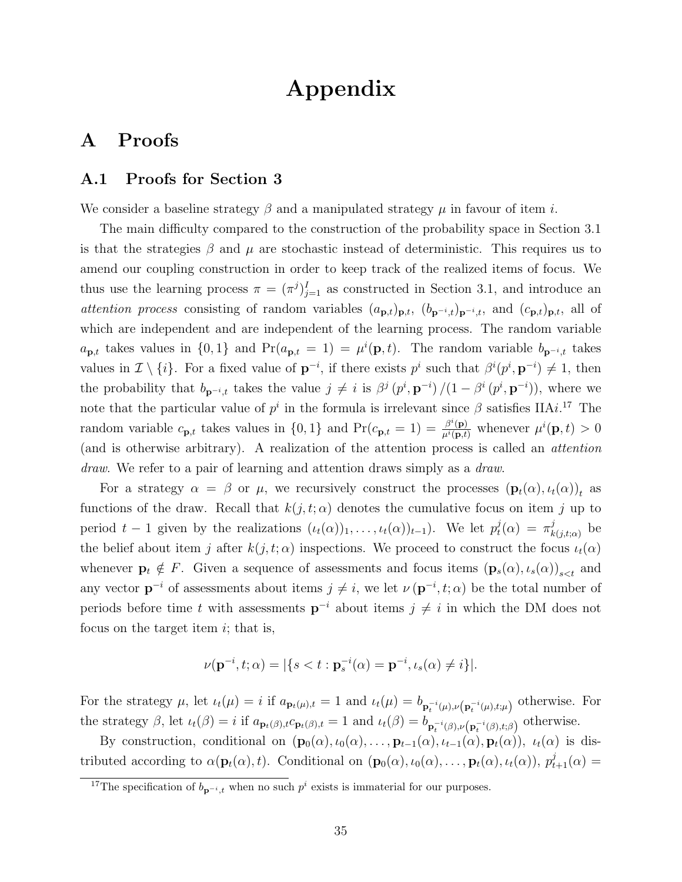# Appendix

# A Proofs

#### <span id="page-34-0"></span>A.1 Proofs for Section [3](#page-11-1)

We consider a baseline strategy  $\beta$  and a manipulated strategy  $\mu$  in favour of item i.

The main difficulty compared to the construction of the probability space in [Section 3.1](#page-14-0) is that the strategies  $\beta$  and  $\mu$  are stochastic instead of deterministic. This requires us to amend our coupling construction in order to keep track of the realized items of focus. We thus use the learning process  $\pi = (\pi^j)_{j=1}^I$  as constructed in [Section 3.1,](#page-14-0) and introduce an attention process consisting of random variables  $(a_{p,t})_{p,t}$ ,  $(b_{p^{-i},t})_{p^{-i},t}$ , and  $(c_{p,t})_{p,t}$ , all of which are independent and are independent of the learning process. The random variable  $a_{\mathbf{p},t}$  takes values in  $\{0,1\}$  and  $Pr(a_{\mathbf{p},t} = 1) = \mu^{i}(\mathbf{p},t)$ . The random variable  $b_{\mathbf{p}^{-i},t}$  takes values in  $\mathcal{I} \setminus \{i\}$ . For a fixed value of  $\mathbf{p}^{-i}$ , if there exists  $p^i$  such that  $\beta^i(p^i, \mathbf{p}^{-i}) \neq 1$ , then the probability that  $b_{p-i,t}$  takes the value  $j \neq i$  is  $\beta^j (p^i, p^{-i})/(1 - \beta^i (p^i, p^{-i}))$ , where we note that the particular value of  $p^i$  in the formula is irrelevant since  $\beta$  satisfies IIA*i*.<sup>[17](#page-34-1)</sup> The random variable  $c_{\mathbf{p},t}$  takes values in  $\{0,1\}$  and  $Pr(c_{\mathbf{p},t} = 1) = \frac{\beta^{i}(\mathbf{p})}{\mu^{i}(\mathbf{p},t)}$  whenever  $\mu^{i}(\mathbf{p},t) > 0$ (and is otherwise arbitrary). A realization of the attention process is called an attention draw. We refer to a pair of learning and attention draws simply as a *draw*.

For a strategy  $\alpha = \beta$  or  $\mu$ , we recursively construct the processes  $(\mathbf{p}_t(\alpha), \iota_t(\alpha))_t$  as functions of the draw. Recall that  $k(j, t; \alpha)$  denotes the cumulative focus on item j up to period  $t-1$  given by the realizations  $(\iota_t(\alpha))_1, \ldots, \iota_t(\alpha))_{t-1}$ ). We let  $p_t^j$  $t_l^j(\alpha) = \pi_k^j$  $_{k(j,t;\alpha)}^{j}$  be the belief about item j after  $k(j, t; \alpha)$  inspections. We proceed to construct the focus  $u_t(\alpha)$ whenever  $\mathbf{p}_t \notin F$ . Given a sequence of assessments and focus items  $(\mathbf{p}_s(\alpha), \iota_s(\alpha))_{s \leq t}$  and any vector  $\mathbf{p}^{-i}$  of assessments about items  $j \neq i$ , we let  $\nu(\mathbf{p}^{-i}, t; \alpha)$  be the total number of periods before time t with assessments  $p^{-i}$  about items  $j \neq i$  in which the DM does not focus on the target item  $i$ ; that is,

$$
\nu(\mathbf{p}^{-i}, t; \alpha) = |\{s < t : \mathbf{p}_s^{-i}(\alpha) = \mathbf{p}^{-i}, \iota_s(\alpha) \neq i\}|.
$$

For the strategy  $\mu$ , let  $\iota_t(\mu) = i$  if  $a_{\mathbf{p}_t(\mu),t} = 1$  and  $\iota_t(\mu) = b_{\mathbf{p}_t^{-i}(\mu),\nu(\mathbf{p}_t^{-i}(\mu),t;\mu)}$  otherwise. For the strategy  $\beta$ , let  $\iota_t(\beta) = i$  if  $a_{\mathbf{p}_t(\beta),t} c_{\mathbf{p}_t(\beta),t} = 1$  and  $\iota_t(\beta) = b_{\mathbf{p}_t^{-i}(\beta),\nu(\mathbf{p}_t^{-i}(\beta),t;\beta)}$  otherwise.

By construction, conditional on  $(\mathbf{p}_0(\alpha), \iota_0(\alpha), \ldots, \mathbf{p}_{t-1}(\alpha), \iota_{t-1}(\alpha), \mathbf{p}_t(\alpha))$ ,  $\iota_t(\alpha)$  is distributed according to  $\alpha(\mathbf{p}_t(\alpha), t)$ . Conditional on  $(\mathbf{p}_0(\alpha), \iota_0(\alpha), \ldots, \mathbf{p}_t(\alpha), \iota_t(\alpha)), p_{t+1}^j(\alpha) =$ 

<span id="page-34-1"></span><sup>&</sup>lt;sup>17</sup>The specification of  $b_{p^{-i},t}$  when no such  $p^i$  exists is immaterial for our purposes.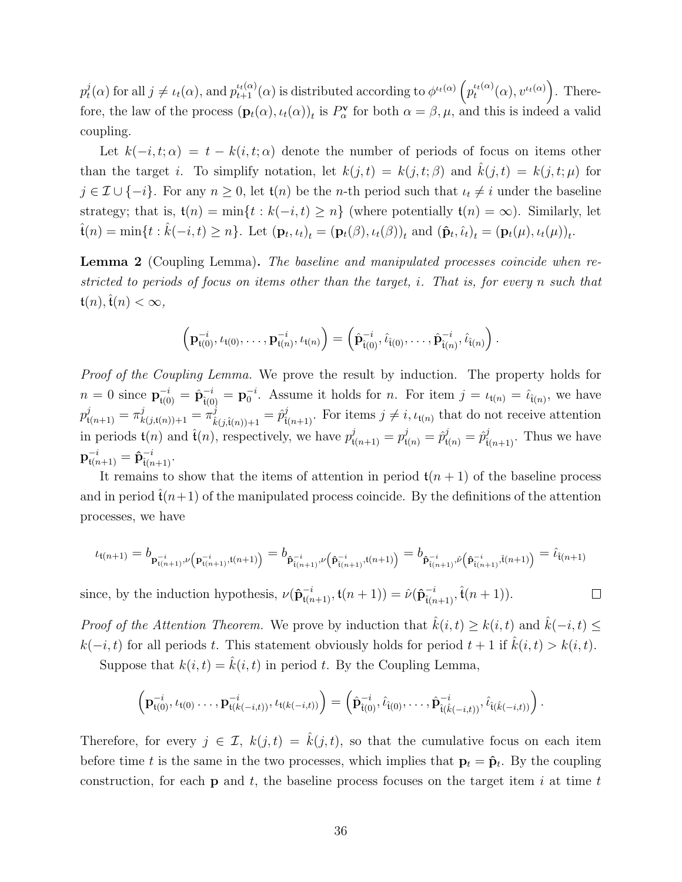$p_t^j$  $t_t^j(\alpha)$  for all  $j \neq \iota_t(\alpha)$ , and  $p_{t+1}^{\iota_t(\alpha)}(\alpha)$  is distributed according to  $\phi^{\iota_t(\alpha)}\left(p_t^{\iota_t(\alpha)}\right)$  $t_t^{(t)}(\alpha), v^{t}(t)}(a)$ . Therefore, the law of the process  $(\mathbf{p}_t(\alpha), \iota_t(\alpha))_t$  is  $P^{\mathbf{v}}_{\alpha}$  for both  $\alpha = \beta, \mu$ , and this is indeed a valid coupling.

Let  $k(-i, t; \alpha) = t - k(i, t; \alpha)$  denote the number of periods of focus on items other than the target i. To simplify notation, let  $k(j, t) = k(j, t; \beta)$  and  $\hat{k}(j, t) = k(j, t; \mu)$  for  $j \in \mathcal{I} \cup \{-i\}$ . For any  $n \geq 0$ , let  $\mathfrak{t}(n)$  be the n-th period such that  $\iota_t \neq i$  under the baseline strategy; that is,  $\mathfrak{t}(n) = \min\{t : k(-i, t) \geq n\}$  (where potentially  $\mathfrak{t}(n) = \infty$ ). Similarly, let  $\hat{\mathbf{t}}(n) = \min\{t : \hat{k}(-i, t) \geq n\}.$  Let  $(\mathbf{p}_t, \iota_t)_t = (\mathbf{p}_t(\beta), \iota_t(\beta))_t$  and  $(\hat{\mathbf{p}}_t, \hat{\iota}_t)_t = (\mathbf{p}_t(\mu), \iota_t(\mu))_t$ .

<span id="page-35-0"></span>Lemma 2 (Coupling Lemma). The baseline and manipulated processes coincide when restricted to periods of focus on items other than the target, i. That is, for every n such that  $\mathfrak{t}(n),\mathfrak{t}(n)<\infty,$ 

$$
\left(\mathbf{p}_{\mathfrak{t}(0)}^{-i},\iota_{\mathfrak{t}(0)},\ldots,\mathbf{p}_{\mathfrak{t}(n)}^{-i},\iota_{\mathfrak{t}(n)}\right)=\left(\hat{\mathbf{p}}_{\hat{\mathfrak{t}}(0)}^{-i},\hat{\iota}_{\hat{\mathfrak{t}}(0)},\ldots,\hat{\mathbf{p}}_{\hat{\mathfrak{t}}(n)}^{-i},\hat{\iota}_{\hat{\mathfrak{t}}(n)}\right).
$$

Proof of the [Coupling Lemma.](#page-35-0) We prove the result by induction. The property holds for  $n=0$  since  $\mathbf{p}_{\hat{\mathbf{t}}(0)}^{-i} = \hat{\mathbf{p}}_{\hat{\mathbf{t}}(0)}^{-i} = \mathbf{p}_0^{-i}$ . Assume it holds for n. For item  $j = \iota_{\mathbf{t}(n)} = \hat{\iota}_{\hat{\mathbf{t}}(n)}$ , we have  $p^{j}_{\mathfrak{t}(n+1)} = \pi^{j}_{k(j,\mathfrak{t}(n))+1} = \pi^{j}_{\hat{k}}$  $\hat{p}_{\hat{k}(j,\hat{i}(n))+1}^j = \hat{p}_{\hat{i}(n+1)}^j$ . For items  $j \neq i$ ,  $\iota_{t(n)}$  that do not receive attention in periods  $\mathfrak{t}(n)$  and  $\hat{\mathfrak{t}}(n)$ , respectively, we have  $p_{\mathfrak{t}(n+1)}^j = p_{\mathfrak{t}(n)}^j = \hat{p}_{\mathfrak{t}(n)}^j = \hat{p}_{\mathfrak{t}(n+1)}^j$ . Thus we have  $\mathbf{p}_{\mathfrak{t}(n+1)}^{-i} = \mathbf{\hat{p}}_{\mathfrak{\hat{t}}(n+1)}^{-i}.$ 

It remains to show that the items of attention in period  $t(n + 1)$  of the baseline process and in period  $\hat{t}(n+1)$  of the manipulated process coincide. By the definitions of the attention processes, we have

$$
\iota_{\mathfrak{t}(n+1)} = b_{\mathbf{p}_{\mathfrak{t}(n+1)}^{-i},\nu\left(\mathbf{p}_{\mathfrak{t}(n+1)}^{-i},\mathfrak{t}(n+1)\right)} = b_{\hat{\mathbf{p}}_{\hat{\mathfrak{t}}(n+1)}^{-i},\nu\left(\hat{\mathbf{p}}_{\hat{\mathfrak{t}}(n+1)}^{-i},\mathfrak{t}(n+1)\right)} = b_{\hat{\mathbf{p}}_{\hat{\mathfrak{t}}(n+1)}^{-i},\hat{\nu}\left(\hat{\mathbf{p}}_{\hat{\mathfrak{t}}(n+1)}^{-i},\hat{\mathfrak{t}}(n+1)\right)} = \hat{\iota}_{\hat{\mathfrak{t}}(n+1)}
$$

 $\Box$ 

since, by the induction hypothesis,  $\nu(\hat{\mathbf{p}}_{\mathfrak{t}(n+1)}^{-i}, \mathfrak{t}(n+1)) = \hat{\nu}(\hat{\mathbf{p}}_{\mathfrak{t}(n+1)}^{-i}, \hat{\mathfrak{t}}(n+1)).$ 

*Proof of the [Attention Theorem.](#page-14-1)* We prove by induction that  $\hat{k}(i,t) \geq k(i,t)$  and  $\hat{k}(-i,t) \leq$  $k(-i, t)$  for all periods t. This statement obviously holds for period  $t + 1$  if  $\hat{k}(i, t) > k(i, t)$ . Suppose that  $k(i, t) = \hat{k}(i, t)$  in period t. By the [Coupling Lemma,](#page-35-0)

$$
\left(\mathbf{p}_{\mathfrak{t}(0)}^{-i},\iota_{\mathfrak{t}(0)}\ldots,\mathbf{p}_{\mathfrak{t}(k(-i,t))}^{-i},\iota_{\mathfrak{t}(k(-i,t))}\right)=\left(\hat{\mathbf{p}}_{\mathfrak{t}(0)}^{-i},\hat{\iota}_{\mathfrak{t}(0)},\ldots,\hat{\mathbf{p}}_{\mathfrak{t}(\hat{k}(-i,t))}^{-i},\hat{\iota}_{\mathfrak{t}(\hat{k}(-i,t))}\right).
$$

Therefore, for every  $j \in \mathcal{I}$ ,  $k(j,t) = \hat{k}(j,t)$ , so that the cumulative focus on each item before time t is the same in the two processes, which implies that  $\mathbf{p}_t = \hat{\mathbf{p}}_t$ . By the coupling construction, for each  $p$  and t, the baseline process focuses on the target item i at time t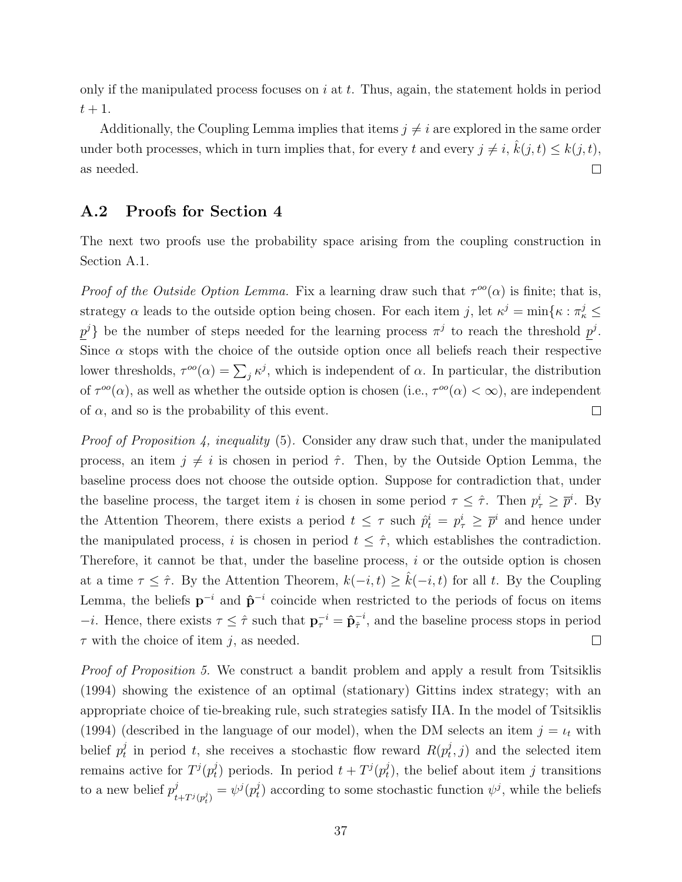only if the manipulated process focuses on  $i$  at  $t$ . Thus, again, the statement holds in period  $t+1$ .

Additionally, the [Coupling Lemma](#page-35-0) implies that items  $j \neq i$  are explored in the same order under both processes, which in turn implies that, for every t and every  $j \neq i$ ,  $\hat{k}(j,t) \leq k(j,t)$ , as needed.  $\Box$ 

#### A.2 Proofs for Section [4](#page-15-1)

The next two proofs use the probability space arising from the coupling construction in [Section A.1.](#page-34-0)

Proof of the [Outside Option Lemma.](#page-16-4) Fix a learning draw such that  $\tau^{oo}(\alpha)$  is finite; that is, strategy  $\alpha$  leads to the outside option being chosen. For each item j, let  $\kappa^j = \min\{\kappa : \pi^j_\kappa \leq$  $p^j$  be the number of steps needed for the learning process  $\pi^j$  to reach the threshold  $p^j$ . Since  $\alpha$  stops with the choice of the outside option once all beliefs reach their respective lower thresholds,  $\tau^{\circ\circ}(\alpha) = \sum_j \kappa^j$ , which is independent of  $\alpha$ . In particular, the distribution of  $\tau^{oo}(\alpha)$ , as well as whether the outside option is chosen (i.e.,  $\tau^{oo}(\alpha) < \infty$ ), are independent of  $\alpha$ , and so is the probability of this event.  $\Box$ 

Proof of [Proposition 4,](#page-16-0) inequality [\(5\)](#page-16-2). Consider any draw such that, under the manipulated process, an item  $j \neq i$  is chosen in period  $\hat{\tau}$ . Then, by the [Outside Option Lemma,](#page-16-4) the baseline process does not choose the outside option. Suppose for contradiction that, under the baseline process, the target item i is chosen in some period  $\tau \leq \hat{\tau}$ . Then  $p_{\tau}^{i} \geq \bar{p}^{i}$ . By the [Attention Theorem,](#page-14-1) there exists a period  $t \leq \tau$  such  $\hat{p}_t^i = p_\tau^i \geq \overline{p}^i$  and hence under the manipulated process, i is chosen in period  $t \leq \hat{\tau}$ , which establishes the contradiction. Therefore, it cannot be that, under the baseline process,  $i$  or the outside option is chosen at a time  $\tau \leq \hat{\tau}$ . By the [Attention Theorem,](#page-14-1)  $k(-i, t) \geq \hat{k}(-i, t)$  for all t. By the [Coupling](#page-35-0) [Lemma,](#page-35-0) the beliefs  $p^{-i}$  and  $\hat{p}^{-i}$  coincide when restricted to the periods of focus on items −*i*. Hence, there exists  $\tau \leq \hat{\tau}$  such that  $\mathbf{p}_{\tau}^{-i} = \hat{\mathbf{p}}_{\hat{\tau}}^{-i}$  $\frac{-i}{\hat{\tau}},$  and the baseline process stops in period  $\tau$  with the choice of item j, as needed.  $\Box$ 

Proof of [Proposition 5.](#page-19-2) We construct a bandit problem and apply a result from [Tsitsiklis](#page-33-7) [\(1994\)](#page-33-7) showing the existence of an optimal (stationary) Gittins index strategy; with an appropriate choice of tie-breaking rule, such strategies satisfy IIA. In the model of [Tsitsiklis](#page-33-7) [\(1994\)](#page-33-7) (described in the language of our model), when the DM selects an item  $j = \iota_t$  with belief  $p_t^j$  $t_t$  in period t, she receives a stochastic flow reward  $R(p_t^j)$  $(t, j)$  and the selected item remains active for  $T^{j}(p_t^j)$  $(t_t^j)$  periods. In period  $t + T^j(p_t^j)$  $(t<sub>t</sub>)$ , the belief about item j transitions to a new belief  $p_i^j$  $_{t+T^{j}(p_{t}^{j})}^{j}=\psi^{j}(p_{t}^{j}% ,p_{t}^{j})\psi^{j}(p_{t}^{j})$  $(t)$  according to some stochastic function  $\psi^j$ , while the beliefs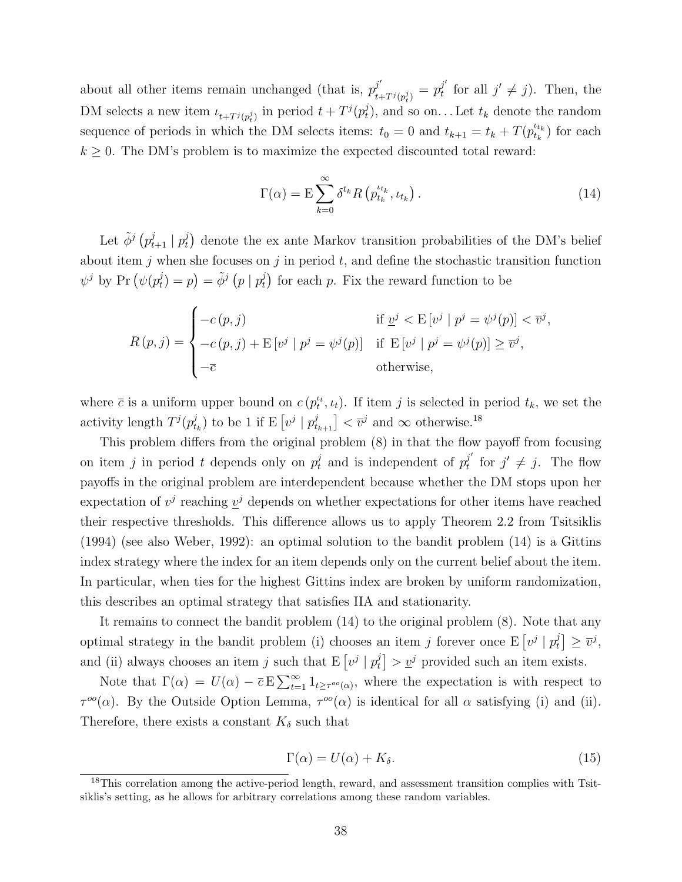about all other items remain unchanged (that is,  $p_i^{j'}$  $\frac{j'}{t+T^j(p_t^j)}=p_t^{j'}$  $j'$  for all  $j' \neq j$ ). Then, the DM selects a new item  $\iota_{t+T^j(p_t^j)}$  in period  $t+T^j(p_t^j)$  $(t<sub>t</sub>)$ , and so on... Let  $t<sub>k</sub>$  denote the random sequence of periods in which the DM selects items:  $t_0 = 0$  and  $t_{k+1} = t_k + T(p_{t_k}^{t_{t_k}})$  $t_k^{(t_k)}$  for each  $k \geq 0$ . The DM's problem is to maximize the expected discounted total reward:

<span id="page-37-1"></span>
$$
\Gamma(\alpha) = \mathcal{E} \sum_{k=0}^{\infty} \delta^{t_k} R\left(p_{t_k}^{t_{t_k}}, t_{t_k}\right).
$$
\n(14)

Let  $\tilde{\phi}^j(p_{t+1}^j | p_t^j)$  $\eta_t^j$  denote the ex ante Markov transition probabilities of the DM's belief about item j when she focuses on j in period t, and define the stochastic transition function  $\psi^j$  by Pr  $(\psi(p_t^j)$  $\tilde{\phi}^j(p \mid p_t^j) = \tilde{\phi}^j(p \mid p_t^j)$  $(t)$  for each p. Fix the reward function to be

$$
R(p, j) = \begin{cases} -c(p, j) & \text{if } \underline{v}^j < E[v^j \mid p^j = \psi^j(p)] < \overline{v}^j, \\ -c(p, j) + E[v^j \mid p^j = \psi^j(p)] & \text{if } E[v^j \mid p^j = \psi^j(p)] \ge \overline{v}^j, \\ -\overline{c} & \text{otherwise,} \end{cases}
$$

where  $\bar{c}$  is a uniform upper bound on  $c$   $(p_t^{\mu}, \iota_t)$ . If item j is selected in period  $t_k$ , we set the activity length  $T^{j}(p_t^j)$  $(t_k^j)$  to be 1 if E  $\left[v^j \mid p_{t_{k+1}}^j\right] < \overline{v}^j$  and  $\infty$  otherwise.<sup>[18](#page-37-0)</sup>

This problem differs from the original problem [\(8\)](#page-19-1) in that the flow payoff from focusing on item j in period t depends only on  $p_t^j$  and is independent of  $p_t^{j'}$  $j'$  for  $j' \neq j$ . The flow payoffs in the original problem are interdependent because whether the DM stops upon her expectation of  $v^j$  reaching  $v^j$  depends on whether expectations for other items have reached their respective thresholds. This difference allows us to apply Theorem 2.2 from [Tsitsiklis](#page-33-7) [\(1994\)](#page-33-7) (see also [Weber,](#page-33-8) [1992\)](#page-33-8): an optimal solution to the bandit problem [\(14\)](#page-37-1) is a Gittins index strategy where the index for an item depends only on the current belief about the item. In particular, when ties for the highest Gittins index are broken by uniform randomization, this describes an optimal strategy that satisfies IIA and stationarity.

It remains to connect the bandit problem [\(14\)](#page-37-1) to the original problem [\(8\)](#page-19-1). Note that any optimal strategy in the bandit problem (i) chooses an item j forever once  $E[v^j | p_t^j]$  $\begin{aligned} \begin{bmatrix} j \ t \end{bmatrix} \geq \overline{v}^j, \end{aligned}$ and (ii) always chooses an item j such that  $E[v^j | p_t^j]$  $\left[ \begin{array}{c} j \\ t \end{array} \right] > \underline{v}^j$  provided such an item exists.

Note that  $\Gamma(\alpha) = U(\alpha) - \overline{c} \mathbb{E} \sum_{t=1}^{\infty} 1_{t \geq \tau^{\text{oo}}(\alpha)},$  where the expectation is with respect to  $\tau^{oo}(\alpha)$ . By the [Outside Option Lemma,](#page-16-4)  $\tau^{oo}(\alpha)$  is identical for all  $\alpha$  satisfying (i) and (ii). Therefore, there exists a constant  $K_{\delta}$  such that

$$
\Gamma(\alpha) = U(\alpha) + K_{\delta}.\tag{15}
$$

<span id="page-37-0"></span><sup>&</sup>lt;sup>18</sup>This correlation among the active-period length, reward, and assessment transition complies with Tsitsiklis's setting, as he allows for arbitrary correlations among these random variables.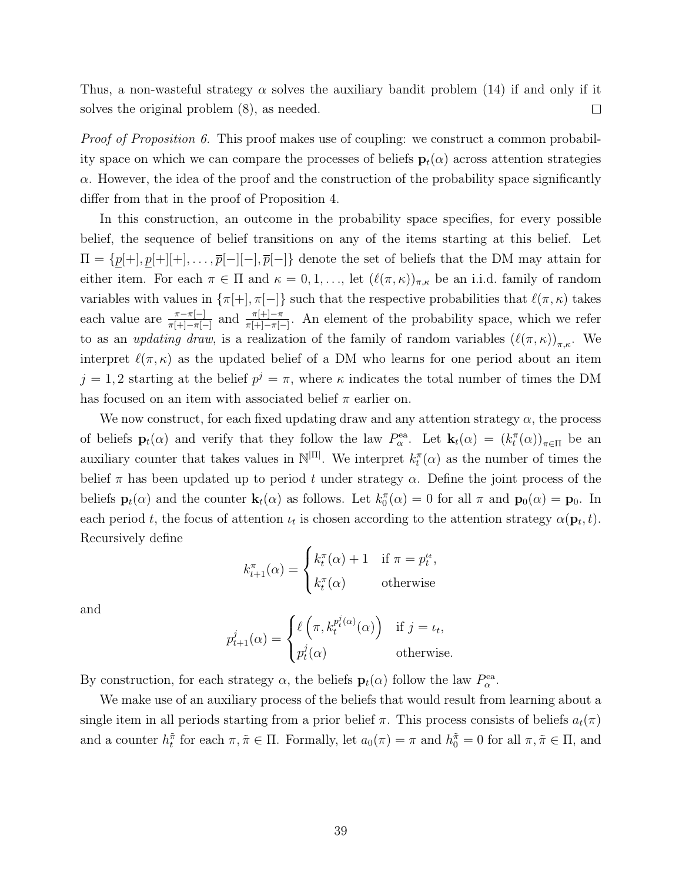Thus, a non-wasteful strategy  $\alpha$  solves the auxiliary bandit problem [\(14\)](#page-37-1) if and only if it solves the original problem [\(8\)](#page-19-1), as needed.  $\Box$ 

*Proof of [Proposition 6.](#page-21-2)* This proof makes use of coupling: we construct a common probability space on which we can compare the processes of beliefs  $\mathbf{p}_t(\alpha)$  across attention strategies  $\alpha$ . However, the idea of the proof and the construction of the probability space significantly differ from that in the proof of [Proposition 4.](#page-16-0)

In this construction, an outcome in the probability space specifies, for every possible belief, the sequence of belief transitions on any of the items starting at this belief. Let  $\Pi = \{p[+] , p[+][+] , \ldots , \overline{p}[-] [-], \overline{p}[-] \}$  denote the set of beliefs that the DM may attain for either item. For each  $\pi \in \Pi$  and  $\kappa = 0, 1, \ldots$ , let  $(\ell(\pi, \kappa))_{\pi,\kappa}$  be an i.i.d. family of random variables with values in  $\{\pi[\text{+}], \pi[\text{--}]\}$  such that the respective probabilities that  $\ell(\pi, \kappa)$  takes each value are  $\frac{\pi-\pi[-]}{\pi[+]-\pi[-]}$  and  $\frac{\pi[+]-\pi}{\pi[+]-\pi[-]}$ . An element of the probability space, which we refer to as an *updating draw*, is a realization of the family of random variables  $(\ell(\pi, \kappa))_{\pi,\kappa}$ . We interpret  $\ell(\pi, \kappa)$  as the updated belief of a DM who learns for one period about an item  $j = 1, 2$  starting at the belief  $p^j = \pi$ , where  $\kappa$  indicates the total number of times the DM has focused on an item with associated belief  $\pi$  earlier on.

We now construct, for each fixed updating draw and any attention strategy  $\alpha$ , the process of beliefs  $\mathbf{p}_t(\alpha)$  and verify that they follow the law  $P^{\text{ea}}_{\alpha}$ . Let  $\mathbf{k}_t(\alpha) = (k_t^{\pi}(\alpha))_{\pi \in \Pi}$  be an auxiliary counter that takes values in  $\mathbb{N}^{|\Pi|}$ . We interpret  $k_t^{\pi}(\alpha)$  as the number of times the belief  $\pi$  has been updated up to period t under strategy  $\alpha$ . Define the joint process of the beliefs  $\mathbf{p}_t(\alpha)$  and the counter  $\mathbf{k}_t(\alpha)$  as follows. Let  $k_0(\alpha) = 0$  for all  $\pi$  and  $\mathbf{p}_0(\alpha) = \mathbf{p}_0$ . In each period t, the focus of attention  $\iota_t$  is chosen according to the attention strategy  $\alpha(\mathbf{p}_t, t)$ . Recursively define

$$
k_{t+1}^{\pi}(\alpha) = \begin{cases} k_t^{\pi}(\alpha) + 1 & \text{if } \pi = p_t^{t_t}, \\ k_t^{\pi}(\alpha) & \text{otherwise} \end{cases}
$$

and

$$
p_{t+1}^j(\alpha) = \begin{cases} \ell\left(\pi, k_t^{p_t^j(\alpha)}(\alpha)\right) & \text{if } j = \iota_t, \\ p_t^j(\alpha) & \text{otherwise.} \end{cases}
$$

By construction, for each strategy  $\alpha$ , the beliefs  $\mathbf{p}_t(\alpha)$  follow the law  $P_\alpha^{\text{ea}}$ .

We make use of an auxiliary process of the beliefs that would result from learning about a single item in all periods starting from a prior belief  $\pi$ . This process consists of beliefs  $a_t(\pi)$ and a counter  $h_t^{\tilde{\pi}}$  for each  $\pi, \tilde{\pi} \in \Pi$ . Formally, let  $a_0(\pi) = \pi$  and  $h_0^{\tilde{\pi}} = 0$  for all  $\pi, \tilde{\pi} \in \Pi$ , and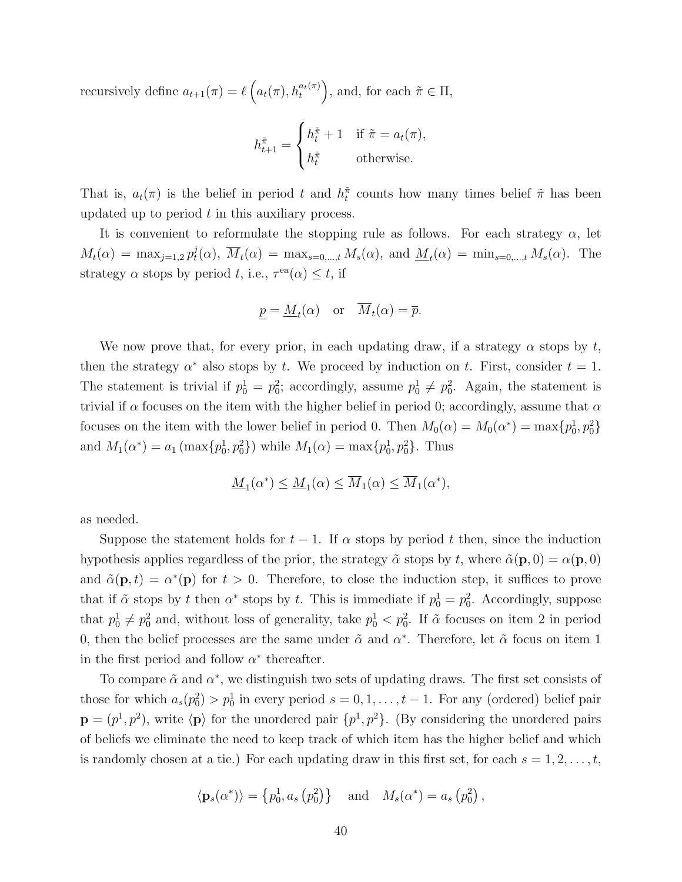recursively define  $a_{t+1}(\pi) = \ell\left(a_t(\pi), h_t^{a_t(\pi)}\right)$ , and, for each  $\tilde{\pi} \in \Pi$ ,

$$
h_{t+1}^{\tilde{\pi}} = \begin{cases} h_t^{\tilde{\pi}} + 1 & \text{if } \tilde{\pi} = a_t(\pi), \\ h_t^{\tilde{\pi}} & \text{otherwise.} \end{cases}
$$

That is,  $a_t(\pi)$  is the belief in period t and  $h_t^{\pi}$  counts how many times belief  $\tilde{\pi}$  has been updated up to period  $t$  in this auxiliary process.

It is convenient to reformulate the stopping rule as follows. For each strategy  $\alpha$ , let  $M_t(\alpha) = \max_{j=1,2} p_t^j$  $t^j(t)$ ,  $\overline{M}_t(\alpha) = \max_{s=0,\dots,t} M_s(\alpha)$ , and  $\underline{M}_t(\alpha) = \min_{s=0,\dots,t} M_s(\alpha)$ . The strategy  $\alpha$  stops by period t, i.e.,  $\tau^{\text{ea}}(\alpha) \leq t$ , if

$$
\underline{p} = \underline{M}_t(\alpha) \quad \text{or} \quad \overline{M}_t(\alpha) = \overline{p}.
$$

We now prove that, for every prior, in each updating draw, if a strategy  $\alpha$  stops by t, then the strategy  $\alpha^*$  also stops by t. We proceed by induction on t. First, consider  $t = 1$ . The statement is trivial if  $p_0^1 = p_0^2$ ; accordingly, assume  $p_0^1 \neq p_0^2$ . Again, the statement is trivial if  $\alpha$  focuses on the item with the higher belief in period 0; accordingly, assume that  $\alpha$ focuses on the item with the lower belief in period 0. Then  $M_0(\alpha) = M_0(\alpha^*) = \max\{p_0^1, p_0^2\}$ and  $M_1(\alpha^*) = a_1 \left( \max\{p_0^1, p_0^2\} \right)$  while  $M_1(\alpha) = \max\{p_0^1, p_0^2\}$ . Thus

$$
\underline{M}_1(\alpha^*) \le \underline{M}_1(\alpha) \le \overline{M}_1(\alpha) \le \overline{M}_1(\alpha^*),
$$

as needed.

Suppose the statement holds for  $t-1$ . If  $\alpha$  stops by period t then, since the induction hypothesis applies regardless of the prior, the strategy  $\tilde{\alpha}$  stops by t, where  $\tilde{\alpha}(\mathbf{p},0) = \alpha(\mathbf{p},0)$ and  $\tilde{\alpha}(\mathbf{p},t) = \alpha^*(\mathbf{p})$  for  $t > 0$ . Therefore, to close the induction step, it suffices to prove that if  $\tilde{\alpha}$  stops by t then  $\alpha^*$  stops by t. This is immediate if  $p_0^1 = p_0^2$ . Accordingly, suppose that  $p_0^1 \neq p_0^2$  and, without loss of generality, take  $p_0^1 < p_0^2$ . If  $\tilde{\alpha}$  focuses on item 2 in period 0, then the belief processes are the same under  $\tilde{\alpha}$  and  $\alpha^*$ . Therefore, let  $\tilde{\alpha}$  focus on item 1 in the first period and follow  $\alpha^*$  thereafter.

To compare  $\tilde{\alpha}$  and  $\alpha^*$ , we distinguish two sets of updating draws. The first set consists of those for which  $a_s(p_0^2) > p_0^1$  in every period  $s = 0, 1, \ldots, t-1$ . For any (ordered) belief pair  $\mathbf{p}=(p^1,p^2)$ , write  $\langle \mathbf{p} \rangle$  for the unordered pair  $\{p^1,p^2\}$ . (By considering the unordered pairs of beliefs we eliminate the need to keep track of which item has the higher belief and which is randomly chosen at a tie.) For each updating draw in this first set, for each  $s = 1, 2, \ldots, t$ ,

$$
\langle \mathbf{p}_s(\alpha^*) \rangle = \left\{ p_0^1, a_s \left( p_0^2 \right) \right\}
$$
 and  $M_s(\alpha^*) = a_s \left( p_0^2 \right)$ ,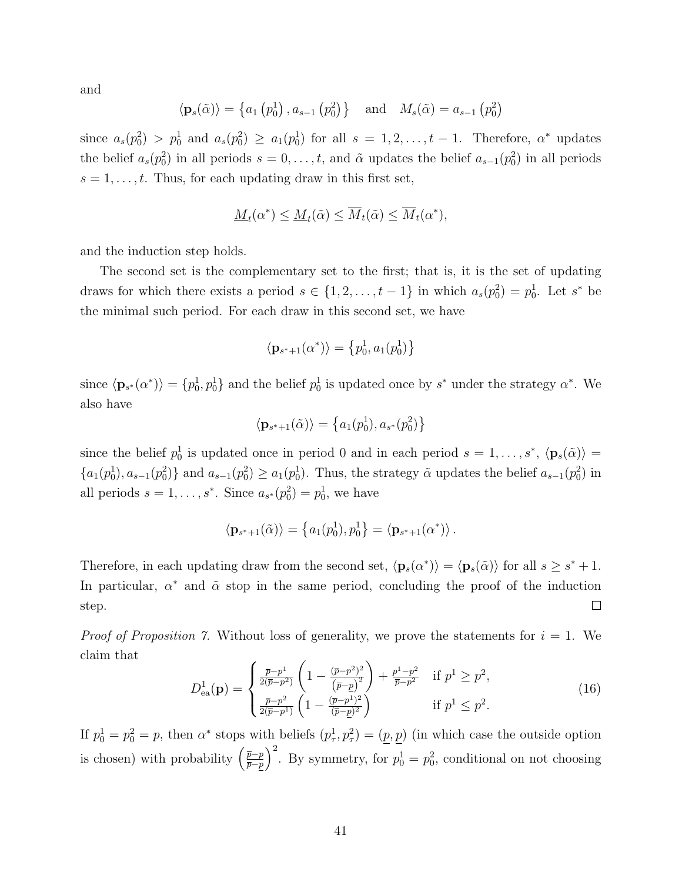and

$$
\langle \mathbf{p}_s(\tilde{\alpha}) \rangle = \left\{ a_1 \left( p_0^1 \right), a_{s-1} \left( p_0^2 \right) \right\}
$$
 and  $M_s(\tilde{\alpha}) = a_{s-1} \left( p_0^2 \right)$ 

since  $a_s(p_0^2) > p_0^1$  and  $a_s(p_0^2) \ge a_1(p_0^1)$  for all  $s = 1, 2, \ldots, t-1$ . Therefore,  $\alpha^*$  updates the belief  $a_s(p_0^2)$  in all periods  $s = 0, \ldots, t$ , and  $\tilde{\alpha}$  updates the belief  $a_{s-1}(p_0^2)$  in all periods  $s = 1, \ldots, t$ . Thus, for each updating draw in this first set,

$$
\underline{M}_t(\alpha^*) \le \underline{M}_t(\tilde{\alpha}) \le \overline{M}_t(\tilde{\alpha}) \le \overline{M}_t(\alpha^*),
$$

and the induction step holds.

The second set is the complementary set to the first; that is, it is the set of updating draws for which there exists a period  $s \in \{1, 2, ..., t-1\}$  in which  $a_s(p_0^2) = p_0^1$ . Let  $s^*$  be the minimal such period. For each draw in this second set, we have

$$
\langle \mathbf{p}_{s^*+1}(\alpha^*) \rangle = \{ p_0^1, a_1(p_0^1) \}
$$

since  $\langle \mathbf{p}_{s^*}(\alpha^*)\rangle = \{p_0^1, p_0^1\}$  and the belief  $p_0^1$  is updated once by  $s^*$  under the strategy  $\alpha^*$ . We also have

$$
\langle \mathbf{p}_{s^*+1}(\tilde{\alpha}) \rangle = \left\{ a_1(p_0^1), a_{s^*}(p_0^2) \right\}
$$

since the belief  $p_0^1$  is updated once in period 0 and in each period  $s = 1, \ldots, s^*$ ,  $\langle \mathbf{p}_s(\tilde{\alpha}) \rangle =$  $\{a_1(p_0), a_{s-1}(p_0^2)\}\$ and  $a_{s-1}(p_0^2) \ge a_1(p_0^1)$ . Thus, the strategy  $\tilde{\alpha}$  updates the belief  $a_{s-1}(p_0^2)$  in all periods  $s = 1, ..., s^*$ . Since  $a_{s^*}(p_0^2) = p_0^1$ , we have

$$
\langle \mathbf{p}_{s^*+1}(\tilde{\alpha})\rangle = \left\{a_1(p_0^1), p_0^1\right\} = \langle \mathbf{p}_{s^*+1}(\alpha^*)\rangle.
$$

Therefore, in each updating draw from the second set,  $\langle \mathbf{p}_s(\alpha^*) \rangle = \langle \mathbf{p}_s(\tilde{\alpha}) \rangle$  for all  $s \geq s^* + 1$ . In particular,  $\alpha^*$  and  $\tilde{\alpha}$  stop in the same period, concluding the proof of the induction step.  $\Box$ 

*Proof of [Proposition 7.](#page-22-0)* Without loss of generality, we prove the statements for  $i = 1$ . We claim that

<span id="page-40-0"></span>
$$
D_{\text{ea}}^1(\mathbf{p}) = \begin{cases} \frac{\bar{p} - p^1}{2(\bar{p} - p^2)} \left( 1 - \frac{(\bar{p} - p^2)^2}{(\bar{p} - p)^2} \right) + \frac{p^1 - p^2}{\bar{p} - p^2} & \text{if } p^1 \ge p^2, \\ \frac{\bar{p} - p^2}{2(\bar{p} - p^1)} \left( 1 - \frac{(\bar{p} - p^1)^2}{(\bar{p} - p)^2} \right) & \text{if } p^1 \le p^2. \end{cases}
$$
(16)

If  $p_0^1 = p_0^2 = p$ , then  $\alpha^*$  stops with beliefs  $(p_\tau^1, p_\tau^2) = (p, p)$  (in which case the outside option is chosen) with probability  $\left(\frac{\bar{p}-p}{\bar{p}-p}\right)$  $(\frac{\overline{p}-p}{\overline{p}-p})^2$ . By symmetry, for  $p_0^1 = p_0^2$ , conditional on not choosing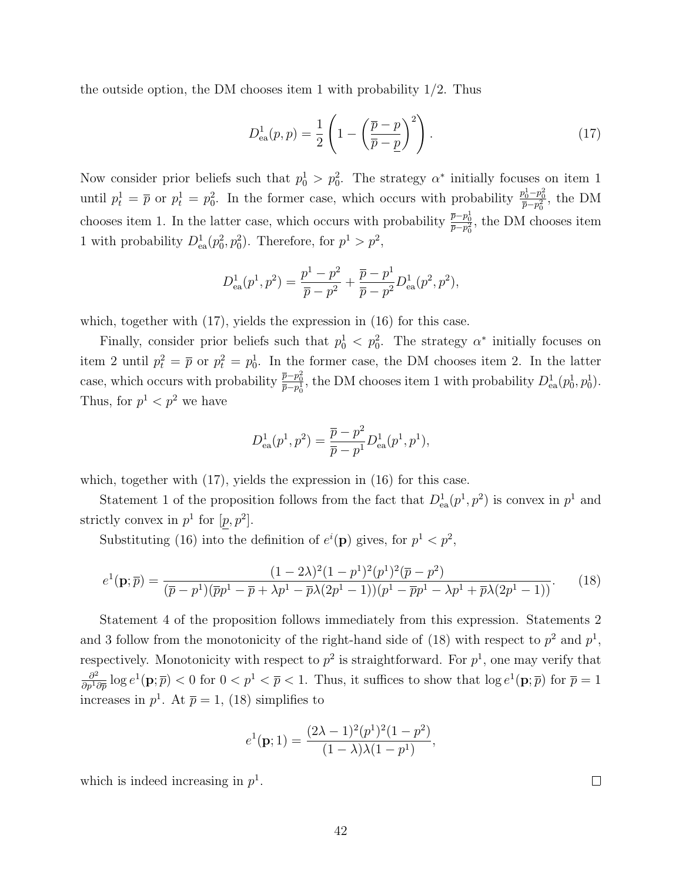the outside option, the DM chooses item 1 with probability 1/2. Thus

<span id="page-41-1"></span>
$$
D_{\text{ea}}^1(p,p) = \frac{1}{2} \left( 1 - \left( \frac{\overline{p} - p}{\overline{p} - \underline{p}} \right)^2 \right). \tag{17}
$$

Now consider prior beliefs such that  $p_0^1 > p_0^2$ . The strategy  $\alpha^*$  initially focuses on item 1 until  $p_t^1 = \bar{p}$  or  $p_t^1 = p_0^2$ . In the former case, which occurs with probability  $\frac{p_0^1 - p_0^2}{\bar{p} - p_0^2}$ , the DM chooses item 1. In the latter case, which occurs with probability  $\frac{\bar{p}-p_0^1}{\bar{p}-p_0^2}$ , the DM chooses item 1 with probability  $D_{ea}^1(p_0^2, p_0^2)$ . Therefore, for  $p^1 > p^2$ ,

$$
D_{ea}^{1}(p^{1}, p^{2}) = \frac{p^{1} - p^{2}}{\overline{p} - p^{2}} + \frac{\overline{p} - p^{1}}{\overline{p} - p^{2}} D_{ea}^{1}(p^{2}, p^{2}),
$$

which, together with  $(17)$ , yields the expression in  $(16)$  for this case.

Finally, consider prior beliefs such that  $p_0^1 < p_0^2$ . The strategy  $\alpha^*$  initially focuses on item 2 until  $p_t^2 = \bar{p}$  or  $p_t^2 = p_0^1$ . In the former case, the DM chooses item 2. In the latter case, which occurs with probability  $\frac{\bar{p}-p_0^2}{\bar{p}-p_0^1}$ , the DM chooses item 1 with probability  $D_{ea}^1(p_0^1, p_0^1)$ . Thus, for  $p^1 < p^2$  we have

$$
D_{\text{ea}}^1(p^1, p^2) = \frac{\overline{p} - p^2}{\overline{p} - p^1} D_{\text{ea}}^1(p^1, p^1),
$$

which, together with  $(17)$ , yields the expression in  $(16)$  for this case.

Statement 1 of the proposition follows from the fact that  $D_{ea}^1(p^1, p^2)$  is convex in  $p^1$  and strictly convex in  $p^1$  for  $[p, p^2]$ .

Substituting [\(16\)](#page-40-0) into the definition of  $e^{i}(\mathbf{p})$  gives, for  $p^{1} < p^{2}$ ,

<span id="page-41-0"></span>
$$
e^{1}(\mathbf{p};\overline{p}) = \frac{(1-2\lambda)^{2}(1-p^{1})^{2}(p^{1})^{2}(\overline{p}-p^{2})}{(\overline{p}-p^{1})(\overline{p}p^{1}-\overline{p}+\lambda p^{1}-\overline{p}\lambda(2p^{1}-1))(p^{1}-\overline{p}p^{1}-\lambda p^{1}+\overline{p}\lambda(2p^{1}-1))}.
$$
 (18)

Statement 4 of the proposition follows immediately from this expression. Statements 2 and 3 follow from the monotonicity of the right-hand side of [\(18\)](#page-41-0) with respect to  $p^2$  and  $p^1$ , respectively. Monotonicity with respect to  $p^2$  is straightforward. For  $p^1$ , one may verify that  $\partial^2$  $\frac{\partial^2}{\partial p^1 \partial \bar{p}} \log e^1(\mathbf{p}; \bar{p}) < 0$  for  $0 < p^1 < \bar{p} < 1$ . Thus, it suffices to show that  $\log e^1(\mathbf{p}; \bar{p})$  for  $\bar{p} = 1$ increases in  $p^1$ . At  $\bar{p} = 1$ , [\(18\)](#page-41-0) simplifies to

$$
e^{1}(\mathbf{p}; 1) = \frac{(2\lambda - 1)^{2}(p^{1})^{2}(1 - p^{2})}{(1 - \lambda)\lambda(1 - p^{1})},
$$

which is indeed increasing in  $p<sup>1</sup>$ .

 $\Box$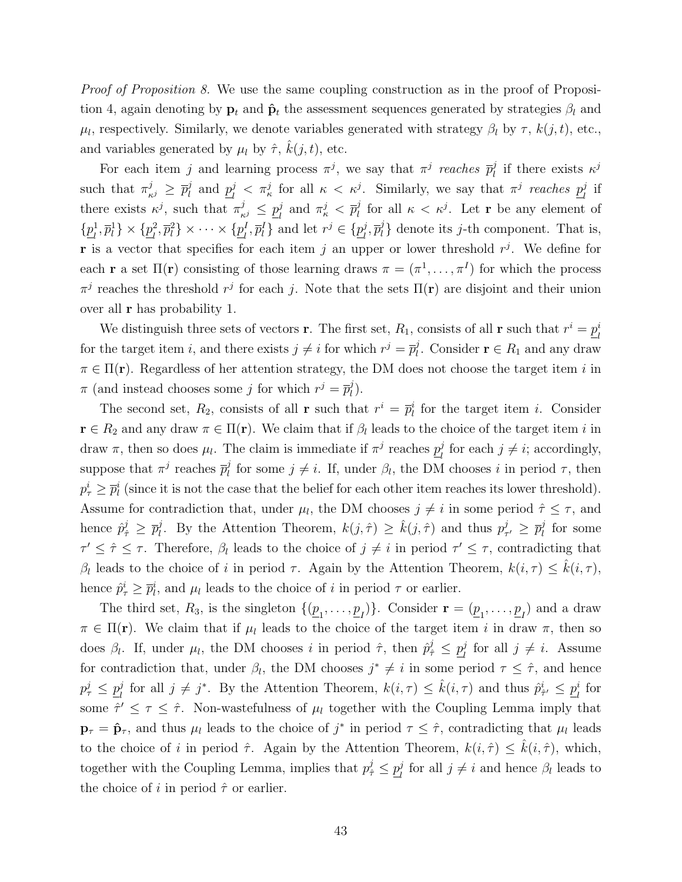Proof of [Proposition 8.](#page-24-0) We use the same coupling construction as in the proof of [Proposi](#page-16-0)[tion 4,](#page-16-0) again denoting by  $\mathbf{p}_t$  and  $\hat{\mathbf{p}}_t$  the assessment sequences generated by strategies  $\beta_l$  and  $\mu_l$ , respectively. Similarly, we denote variables generated with strategy  $\beta_l$  by  $\tau$ ,  $k(j, t)$ , etc., and variables generated by  $\mu_l$  by  $\hat{\tau}$ ,  $\hat{k}(j, t)$ , etc.

For each item j and learning process  $\pi^{j}$ , we say that  $\pi^{j}$  reaches  $\bar{p}_{l}^{j}$  $\mu$ <sup>j</sup> if there exists  $\kappa^j$ such that  $\pi_{\kappa^j}^j \geq \bar{p}_l^j$  $\frac{j}{l}$  and  $\frac{p}{l}$  $\frac{d}{dt}$   $\langle \pi_k^j \rangle$  for all  $\kappa \langle \kappa_j^j \rangle$ . Similarly, we say that  $\pi_j^j$  reaches  $p_l^j$  $\frac{j}{l}$  if there exists  $\kappa^j$ , such that  $\pi^j_{\kappa^j} \leq p^j_{l}$  $\frac{j}{l}$  and  $\pi_{\kappa}^{j} < \overline{p}_{l}^{j}$  $\frac{d}{dt}$  for all  $\kappa < \kappa^j$ . Let **r** be any element of  $\{p_i^1\}$  $\{p_l^1, \overline{p}_l^1\} \times \{\underline{p}_l^2\}$  $\{p_l^2, \overline{p}_l^2\} \times \cdots \times \{\underline{p}_l^I\}$  $\{p_l^I, \overline{p}_l^I\}$  and let  $r^j \in {\{\underline{p}_l^j\}}$  $\bar{p}_l^j, \overline{p}_l^j$  $\{u_i\}$  denote its *j*-th component. That is, **r** is a vector that specifies for each item j an upper or lower threshold  $r<sup>j</sup>$ . We define for each **r** a set  $\Pi(\mathbf{r})$  consisting of those learning draws  $\pi = (\pi^1, \dots, \pi^I)$  for which the process  $\pi^j$  reaches the threshold  $r^j$  for each j. Note that the sets  $\Pi(\mathbf{r})$  are disjoint and their union over all r has probability 1.

We distinguish three sets of vectors **r**. The first set,  $R_1$ , consists of all **r** such that  $r^i = p_i^i$ l for the target item i, and there exists  $j \neq i$  for which  $r^j = \overline{p}_l^j$ <sup>*l*</sup>. Consider **r**  $\in$  *R*<sub>1</sub> and any draw  $\pi \in \Pi(\mathbf{r})$ . Regardless of her attention strategy, the DM does not choose the target item i in  $\pi$  (and instead chooses some j for which  $r^j = \overline{p}_l^j$  $\binom{j}{l}$ .

The second set,  $R_2$ , consists of all **r** such that  $r^i = \overline{p}_l^i$  for the target item *i*. Consider  $\mathbf{r} \in R_2$  and any draw  $\pi \in \Pi(\mathbf{r})$ . We claim that if  $\beta_l$  leads to the choice of the target item i in draw  $\pi$ , then so does  $\mu_l$ . The claim is immediate if  $\pi^j$  reaches  $p_l^j$  $\frac{j}{l}$  for each  $j \neq i$ ; accordingly, suppose that  $\pi^j$  reaches  $\bar{p}_l^j$  $\ell_l^j$  for some  $j \neq i$ . If, under  $\beta_l$ , the DM chooses i in period  $\tau$ , then  $p_{\tau}^{i} \geq \bar{p}_{l}^{i}$  (since it is not the case that the belief for each other item reaches its lower threshold). Assume for contradiction that, under  $\mu_l$ , the DM chooses  $j \neq i$  in some period  $\hat{\tau} \leq \tau$ , and hence  $\hat{p}_{\hat{\tau}}^j \geq \overline{p}_l^j$ *i*. By the [Attention Theorem,](#page-14-1)  $k(j, \hat{\tau}) \geq \hat{k}(j, \hat{\tau})$  and thus  $p_{\tau}^{j}$  $_{\tau'}^j \geq \overline{p}_l^j$  $\frac{j}{l}$  for some  $\tau' \leq \hat{\tau} \leq \tau$ . Therefore,  $\beta_l$  leads to the choice of  $j \neq i$  in period  $\tau' \leq \tau$ , contradicting that β<sub>l</sub> leads to the choice of i in period τ. Again by the [Attention Theorem,](#page-14-1)  $k(i, \tau) \leq \hat{k}(i, \tau)$ , hence  $\hat{p}^i_{\tau} \geq \overline{p}^i_l$ , and  $\mu_l$  leads to the choice of i in period  $\tau$  or earlier.

The third set,  $R_3$ , is the singleton  $\{(\underline{p}_1, \ldots, \underline{p}_I)\}\$ . Consider  $\mathbf{r} = (\underline{p}_1, \ldots, \underline{p}_I)$  and a draw  $\pi \in \Pi(\mathbf{r})$ . We claim that if  $\mu_l$  leads to the choice of the target item i in draw  $\pi$ , then so does  $\beta_l$ . If, under  $\mu_l$ , the DM chooses i in period  $\hat{\tau}$ , then  $\hat{p}^j_{\hat{\tau}} \leq \underline{p}^j_l$  $\frac{j}{l}$  for all  $j \neq i$ . Assume for contradiction that, under  $\beta_l$ , the DM chooses  $j^* \neq i$  in some period  $\tau \leq \hat{\tau}$ , and hence  $p^j_\tau \leq \underline{p}^j_l$  $\hat{p}_l^j$  for all  $j \neq j^*$ . By the [Attention Theorem,](#page-14-1)  $k(i, \tau) \leq \hat{k}(i, \tau)$  and thus  $\hat{p}_{\tau'}^i \leq \underline{p}_l^i$  $\frac{i}{l}$  for some  $\hat{\tau}' \leq \tau \leq \hat{\tau}$ . Non-wastefulness of  $\mu_l$  together with the [Coupling Lemma](#page-35-0) imply that  $\mathbf{p}_{\tau} = \hat{\mathbf{p}}_{\tau}$ , and thus  $\mu_l$  leads to the choice of  $j^*$  in period  $\tau \leq \hat{\tau}$ , contradicting that  $\mu_l$  leads to the choice of i in period  $\hat{\tau}$ . Again by the [Attention Theorem,](#page-14-1)  $k(i, \hat{\tau}) \leq k(i, \hat{\tau})$ , which, together with the [Coupling Lemma,](#page-35-0) implies that  $p_{\hat{\tau}}^j \leq p_{l}^j$  $\frac{j}{l}$  for all  $j \neq i$  and hence  $\beta_l$  leads to the choice of i in period  $\hat{\tau}$  or earlier.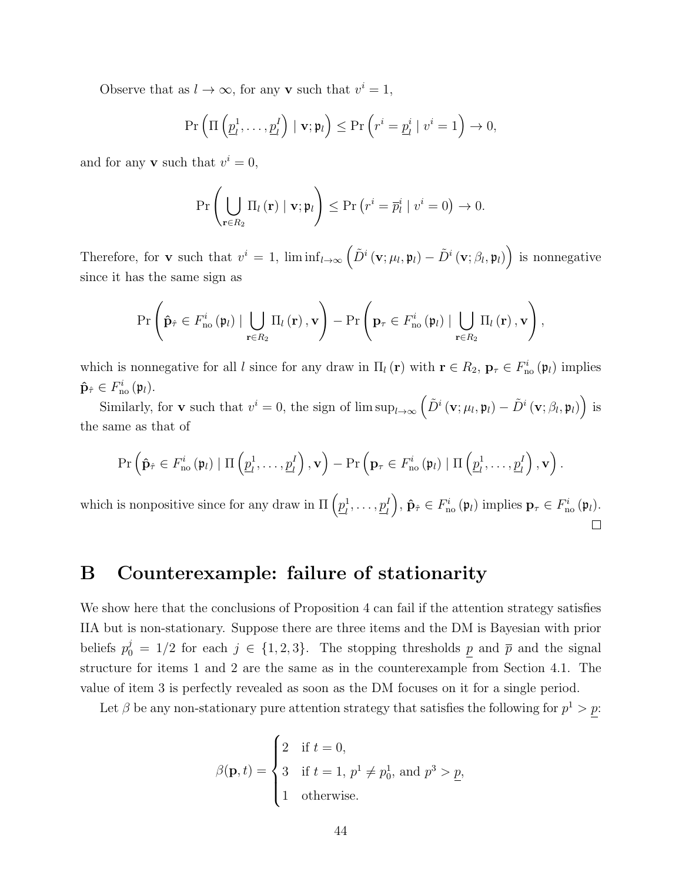Observe that as  $l \to \infty$ , for any **v** such that  $v^i = 1$ ,

$$
\Pr\left(\Pi\left(\underline{p}_l^1,\ldots,\underline{p}_l^I\right) \mid \mathbf{v}; \mathfrak{p}_l\right) \leq \Pr\left(r^i = \underline{p}_l^i \mid v^i = 1\right) \to 0,
$$

and for any **v** such that  $v^i = 0$ ,

$$
\Pr\left(\bigcup_{\mathbf{r}\in R_2}\Pi_l\left(\mathbf{r}\right) \mid \mathbf{v}; \mathfrak{p}_l\right) \leq \Pr\left(r^i = \overline{p}_l^i \mid v^i = 0\right) \to 0.
$$

Therefore, for **v** such that  $v^i = 1$ ,  $\liminf_{l \to \infty} (\tilde{D}^i(\mathbf{v}; \mu_l, \mathbf{\mathfrak{p}}_l) - \tilde{D}^i(\mathbf{v}; \beta_l, \mathbf{\mathfrak{p}}_l))$  is nonnegative since it has the same sign as

$$
\Pr\left(\hat{\mathbf{p}}_{\hat{\tau}}\in F_{\text{no}}^{i}\left(\mathfrak{p}_{l}\right)\mid \bigcup_{\mathbf{r}\in R_{2}}\Pi_{l}\left(\mathbf{r}\right),\mathbf{v}\right)-\Pr\left(\mathbf{p}_{\tau}\in F_{\text{no}}^{i}\left(\mathfrak{p}_{l}\right)\mid \bigcup_{\mathbf{r}\in R_{2}}\Pi_{l}\left(\mathbf{r}\right),\mathbf{v}\right),\right.
$$

which is nonnegative for all l since for any draw in  $\Pi_l(\mathbf{r})$  with  $\mathbf{r} \in R_2$ ,  $\mathbf{p}_{\tau} \in F_{\text{no}}^i(\mathfrak{p}_l)$  implies  $\mathbf{\hat{p}}_{\hat{\tau}} \in F_{\text{no}}^i(\mathfrak{p}_l).$ 

Similarly, for **v** such that  $v^i = 0$ , the sign of  $\limsup_{l\to\infty} (\tilde{D}^i(\mathbf{v}; \mu_l, \mathfrak{p}_l) - \tilde{D}^i(\mathbf{v}; \beta_l, \mathfrak{p}_l))$  is the same as that of

$$
\Pr\left(\hat{\mathbf{p}}_{\hat{\tau}} \in F_{\text{no}}^{i}\left(\mathfrak{p}_{l}\right) \mid \Pi\left(\underline{p}_{l}^{1}, \ldots, \underline{p}_{l}^{I}\right), \mathbf{v}\right) - \Pr\left(\mathbf{p}_{\tau} \in F_{\text{no}}^{i}\left(\mathfrak{p}_{l}\right) \mid \Pi\left(\underline{p}_{l}^{1}, \ldots, \underline{p}_{l}^{I}\right), \mathbf{v}\right).
$$

which is nonpositive since for any draw in  $\Pi\left(p_i^1\right)$  $\Big), \, \hat{\mathbf{p}}_{\hat{\tau}} \in F_{\text{no}}^i(\mathfrak{p}_l) \text{ implies } \mathbf{p}_{\tau} \in F_{\text{no}}^i(\mathfrak{p}_l).$  $\frac{1}{l}, \ldots, \underline{p}_l^I$ П

# <span id="page-43-0"></span>B Counterexample: failure of stationarity

We show here that the conclusions of [Proposition 4](#page-16-0) can fail if the attention strategy satisfies IIA but is non-stationary. Suppose there are three items and the DM is Bayesian with prior beliefs  $p_0^j = 1/2$  for each  $j \in \{1, 2, 3\}$ . The stopping thresholds p and  $\bar{p}$  and the signal structure for items 1 and 2 are the same as in the counterexample from Section [4.1.](#page-17-0) The value of item 3 is perfectly revealed as soon as the DM focuses on it for a single period.

Let  $\beta$  be any non-stationary pure attention strategy that satisfies the following for  $p^1 > p$ :

$$
\beta(\mathbf{p}, t) = \begin{cases} 2 & \text{if } t = 0, \\ 3 & \text{if } t = 1, p^1 \neq p_0^1 \text{, and } p^3 > \underline{p}, \\ 1 & \text{otherwise.} \end{cases}
$$